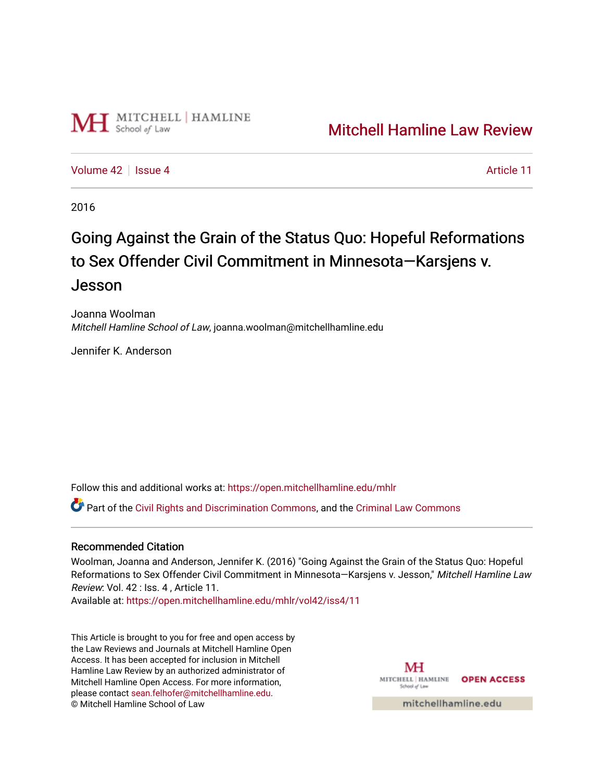

## [Mitchell Hamline Law Review](https://open.mitchellhamline.edu/mhlr)

[Volume 42](https://open.mitchellhamline.edu/mhlr/vol42) | [Issue 4](https://open.mitchellhamline.edu/mhlr/vol42/iss4) Article 11

2016

# Going Against the Grain of the Status Quo: Hopeful Reformations to Sex Offender Civil Commitment in Minnesota—Karsjens v. Jesson

Joanna Woolman Mitchell Hamline School of Law, joanna.woolman@mitchellhamline.edu

Jennifer K. Anderson

Follow this and additional works at: [https://open.mitchellhamline.edu/mhlr](https://open.mitchellhamline.edu/mhlr?utm_source=open.mitchellhamline.edu%2Fmhlr%2Fvol42%2Fiss4%2F11&utm_medium=PDF&utm_campaign=PDFCoverPages) 

Part of the [Civil Rights and Discrimination Commons,](http://network.bepress.com/hgg/discipline/585?utm_source=open.mitchellhamline.edu%2Fmhlr%2Fvol42%2Fiss4%2F11&utm_medium=PDF&utm_campaign=PDFCoverPages) and the [Criminal Law Commons](http://network.bepress.com/hgg/discipline/912?utm_source=open.mitchellhamline.edu%2Fmhlr%2Fvol42%2Fiss4%2F11&utm_medium=PDF&utm_campaign=PDFCoverPages)

#### Recommended Citation

Woolman, Joanna and Anderson, Jennifer K. (2016) "Going Against the Grain of the Status Quo: Hopeful Reformations to Sex Offender Civil Commitment in Minnesota-Karsjens v. Jesson," Mitchell Hamline Law Review: Vol. 42 : Iss. 4 , Article 11.

Available at: [https://open.mitchellhamline.edu/mhlr/vol42/iss4/11](https://open.mitchellhamline.edu/mhlr/vol42/iss4/11?utm_source=open.mitchellhamline.edu%2Fmhlr%2Fvol42%2Fiss4%2F11&utm_medium=PDF&utm_campaign=PDFCoverPages)

This Article is brought to you for free and open access by the Law Reviews and Journals at Mitchell Hamline Open Access. It has been accepted for inclusion in Mitchell Hamline Law Review by an authorized administrator of Mitchell Hamline Open Access. For more information, please contact [sean.felhofer@mitchellhamline.edu.](mailto:sean.felhofer@mitchellhamline.edu) © Mitchell Hamline School of Law

MH MITCHELL | HAMLINE **OPEN ACCESS** School of La

mitchellhamline.edu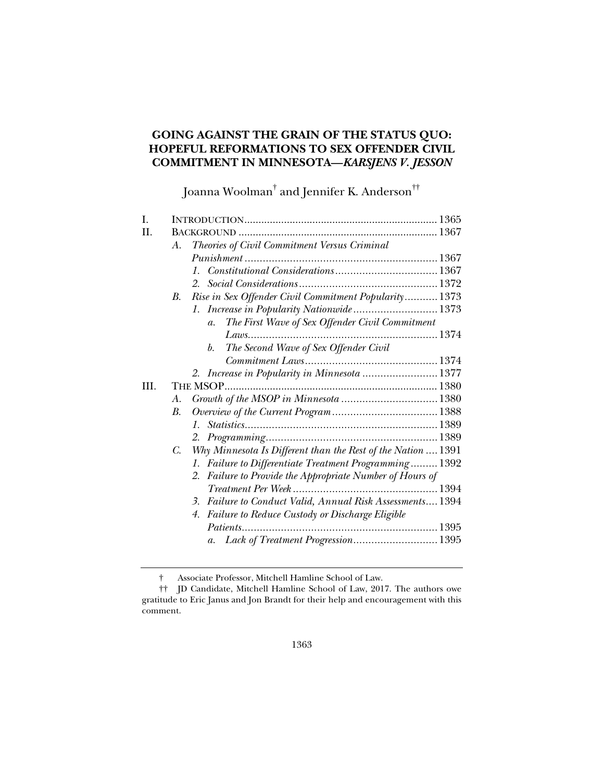### **GOING AGAINST THE GRAIN OF THE STATUS QUO: HOPEFUL REFORMATIONS TO SEX OFFENDER CIVIL COMMITMENT IN MINNESOTA—***KARSJENS V. JESSON*

Joanna Woolman<sup>†</sup> and Jennifer K. Anderson<sup>††</sup>

| L   |                                                                    |  |
|-----|--------------------------------------------------------------------|--|
| H.  |                                                                    |  |
|     | Theories of Civil Commitment Versus Criminal<br>A.                 |  |
|     |                                                                    |  |
|     | $1_{-}$                                                            |  |
|     |                                                                    |  |
|     | Rise in Sex Offender Civil Commitment Popularity 1373<br>В.        |  |
|     | 1. Increase in Popularity Nationwide 1373                          |  |
|     | The First Wave of Sex Offender Civil Commitment<br>$a_{\cdot}$     |  |
|     |                                                                    |  |
|     | The Second Wave of Sex Offender Civil<br>b.                        |  |
|     |                                                                    |  |
|     | 2. Increase in Popularity in Minnesota  1377                       |  |
| HI. |                                                                    |  |
|     | А.                                                                 |  |
|     | В.                                                                 |  |
|     | $1_{\cdot}$                                                        |  |
|     |                                                                    |  |
|     | Why Minnesota Is Different than the Rest of the Nation  1391<br>C. |  |
|     | 1. Failure to Differentiate Treatment Programming 1392             |  |
|     | Failure to Provide the Appropriate Number of Hours of<br>2.        |  |
|     |                                                                    |  |
|     | Failure to Conduct Valid, Annual Risk Assessments 1394<br>3.       |  |
|     | Failure to Reduce Custody or Discharge Eligible<br>4.              |  |
|     |                                                                    |  |
|     | a. Lack of Treatment Progression1395                               |  |
|     |                                                                    |  |

† Associate Professor, Mitchell Hamline School of Law.

 <sup>††</sup> JD Candidate, Mitchell Hamline School of Law, 2017. The authors owe gratitude to Eric Janus and Jon Brandt for their help and encouragement with this comment.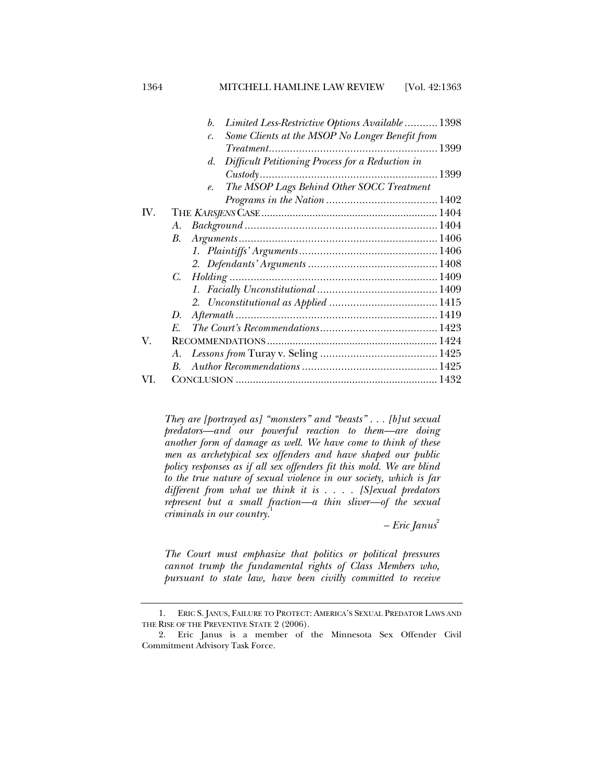1364 MITCHELL HAMLINE LAW REVIEW [Vol. 42:1363

|     | Limited Less-Restrictive Options Available  1398<br>b.           |  |
|-----|------------------------------------------------------------------|--|
|     | Some Clients at the MSOP No Longer Benefit from<br>$\mathcal{C}$ |  |
|     |                                                                  |  |
|     | Difficult Petitioning Process for a Reduction in<br>d.           |  |
|     |                                                                  |  |
|     | The MSOP Lags Behind Other SOCC Treatment<br>$e_{\cdot}$         |  |
|     |                                                                  |  |
| IV. |                                                                  |  |
|     | $Background \dots 1404$<br>А.                                    |  |
|     | A <i>rguments</i> <sup>1406</sup><br>В.                          |  |
|     |                                                                  |  |
|     |                                                                  |  |
|     | C.                                                               |  |
|     |                                                                  |  |
|     |                                                                  |  |
|     | D.                                                               |  |
|     | $E_{\cdot}$                                                      |  |
| V.  |                                                                  |  |
|     | А.                                                               |  |
|     | В.                                                               |  |
| VI  |                                                                  |  |

*They are [portrayed as] "monsters" and "beasts" . . . [b]ut sexual predators—and our powerful reaction to them—are doing another form of damage as well. We have come to think of these men as archetypical sex offenders and have shaped our public policy responses as if all sex offenders fit this mold. We are blind to the true nature of sexual violence in our society, which is far different from what we think it is . . . . [S]exual predators represent but a small fraction—a thin sliver—of the sexual criminals in our country.*<sup>1</sup>

*– Eric Janus*<sup>2</sup>

*The Court must emphasize that politics or political pressures cannot trump the fundamental rights of Class Members who, pursuant to state law, have been civilly committed to receive* 

 <sup>1.</sup> ERIC S. JANUS, FAILURE TO PROTECT: AMERICA'S SEXUAL PREDATOR LAWS AND THE RISE OF THE PREVENTIVE STATE 2 (2006).

 <sup>2.</sup> Eric Janus is a member of the Minnesota Sex Offender Civil Commitment Advisory Task Force.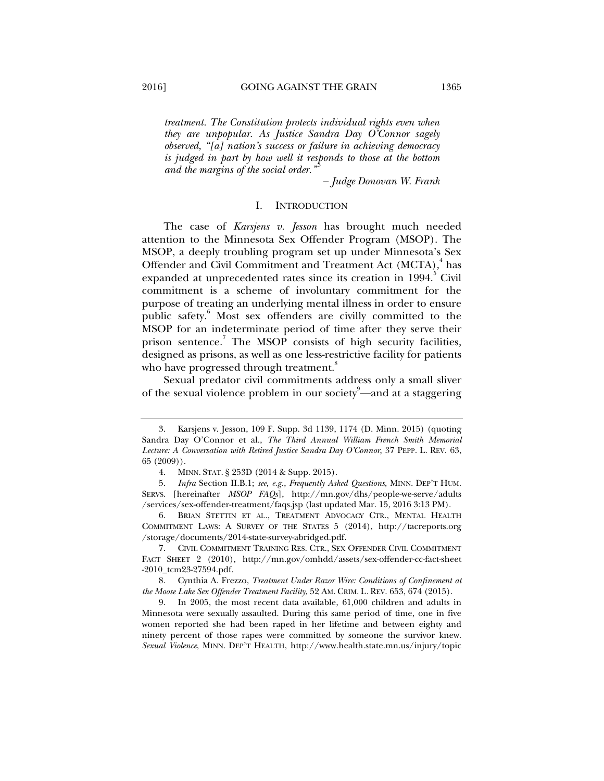*treatment. The Constitution protects individual rights even when they are unpopular. As Justice Sandra Day O'Connor sagely observed, "[a] nation's success or failure in achieving democracy is judged in part by how well it responds to those at the bottom and the margins of the social order.*"

*– Judge Donovan W. Frank* 

#### I. INTRODUCTION

The case of *Karsjens v. Jesson* has brought much needed attention to the Minnesota Sex Offender Program (MSOP). The MSOP, a deeply troubling program set up under Minnesota's Sex Offender and Civil Commitment and Treatment Act (MCTA),<sup>4</sup> has expanded at unprecedented rates since its creation in 1994.<sup>5</sup> Civil commitment is a scheme of involuntary commitment for the purpose of treating an underlying mental illness in order to ensure public safety.<sup>6</sup> Most sex offenders are civilly committed to the MSOP for an indeterminate period of time after they serve their prison sentence.<sup>7</sup> The MSOP consists of high security facilities, designed as prisons, as well as one less-restrictive facility for patients who have progressed through treatment.<sup>8</sup>

Sexual predator civil commitments address only a small sliver of the sexual violence problem in our society<sup>9</sup>—and at a staggering

 <sup>3.</sup> Karsjens v. Jesson, 109 F. Supp. 3d 1139, 1174 (D. Minn. 2015) (quoting Sandra Day O'Connor et al., *The Third Annual William French Smith Memorial Lecture: A Conversation with Retired Justice Sandra Day O'Connor*, 37 PEPP. L. REV. 63, 65 (2009)).

 <sup>4.</sup> MINN. STAT. § 253D (2014 & Supp. 2015).

 <sup>5.</sup> *Infra* Section II.B.1; *see, e.g.*, *Frequently Asked Questions*, MINN. DEP'T HUM. SERVS. [hereinafter *MSOP FAQs*], http://mn.gov/dhs/people-we-serve/adults /services/sex-offender-treatment/faqs.jsp (last updated Mar. 15, 2016 3:13 PM).

 <sup>6.</sup> BRIAN STETTIN ET AL., TREATMENT ADVOCACY CTR., MENTAL HEALTH COMMITMENT LAWS: A SURVEY OF THE STATES 5 (2014), http://tacreports.org /storage/documents/2014-state-survey-abridged.pdf.

 <sup>7.</sup> CIVIL COMMITMENT TRAINING RES. CTR., SEX OFFENDER CIVIL COMMITMENT FACT SHEET 2 (2010), http://mn.gov/omhdd/assets/sex-offender-cc-fact-sheet -2010\_tcm23-27594.pdf.

 <sup>8.</sup> Cynthia A. Frezzo, *Treatment Under Razor Wire: Conditions of Confinement at the Moose Lake Sex Offender Treatment Facility*, 52 AM. CRIM. L. REV. 653, 674 (2015).

 <sup>9.</sup> In 2005, the most recent data available, 61,000 children and adults in Minnesota were sexually assaulted. During this same period of time, one in five women reported she had been raped in her lifetime and between eighty and ninety percent of those rapes were committed by someone the survivor knew. *Sexual Violence*, MINN. DEP'T HEALTH, http://www.health.state.mn.us/injury/topic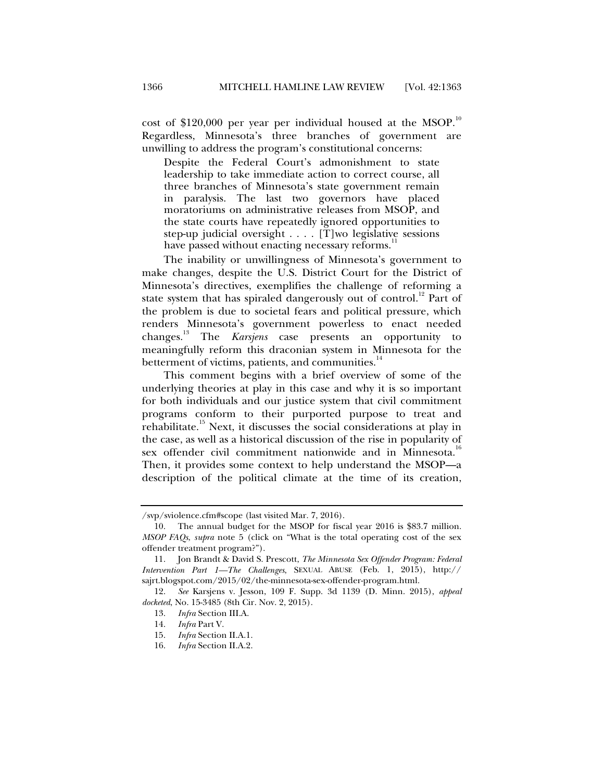cost of \$120,000 per year per individual housed at the MSOP.<sup>10</sup> Regardless, Minnesota's three branches of government are unwilling to address the program's constitutional concerns:

Despite the Federal Court's admonishment to state leadership to take immediate action to correct course, all three branches of Minnesota's state government remain in paralysis. The last two governors have placed moratoriums on administrative releases from MSOP, and the state courts have repeatedly ignored opportunities to step-up judicial oversight . . . . [T]wo legislative sessions have passed without enacting necessary reforms.<sup>1</sup>

The inability or unwillingness of Minnesota's government to make changes, despite the U.S. District Court for the District of Minnesota's directives, exemplifies the challenge of reforming a state system that has spiraled dangerously out of control.<sup>12</sup> Part of the problem is due to societal fears and political pressure, which renders Minnesota's government powerless to enact needed changes.13 The *Karsjens* case presents an opportunity to meaningfully reform this draconian system in Minnesota for the betterment of victims, patients, and communities.<sup>14</sup>

This comment begins with a brief overview of some of the underlying theories at play in this case and why it is so important for both individuals and our justice system that civil commitment programs conform to their purported purpose to treat and rehabilitate.<sup>15</sup> Next, it discusses the social considerations at play in the case, as well as a historical discussion of the rise in popularity of sex offender civil commitment nationwide and in Minnesota.<sup>16</sup> Then, it provides some context to help understand the MSOP—a description of the political climate at the time of its creation,

<sup>/</sup>svp/sviolence.cfm#scope (last visited Mar. 7, 2016).

 <sup>10.</sup> The annual budget for the MSOP for fiscal year 2016 is \$83.7 million. *MSOP FAQs*, *supra* note 5 (click on "What is the total operating cost of the sex offender treatment program?").

 <sup>11.</sup> Jon Brandt & David S. Prescott, *The Minnesota Sex Offender Program: Federal Intervention Part 1—The Challenges*, SEXUAL ABUSE (Feb. 1, 2015), http:// sajrt.blogspot.com/2015/02/the-minnesota-sex-offender-program.html.

 <sup>12.</sup> *See* Karsjens v. Jesson, 109 F. Supp. 3d 1139 (D. Minn. 2015), *appeal docketed*, No. 15-3485 (8th Cir. Nov. 2, 2015).

<sup>13.</sup> *Infra* Section III.A.<br>14. *Infra* Part V.

 <sup>14.</sup> *Infra* Part V.

 <sup>15.</sup> *Infra* Section II.A.1.

 <sup>16.</sup> *Infra* Section II.A.2.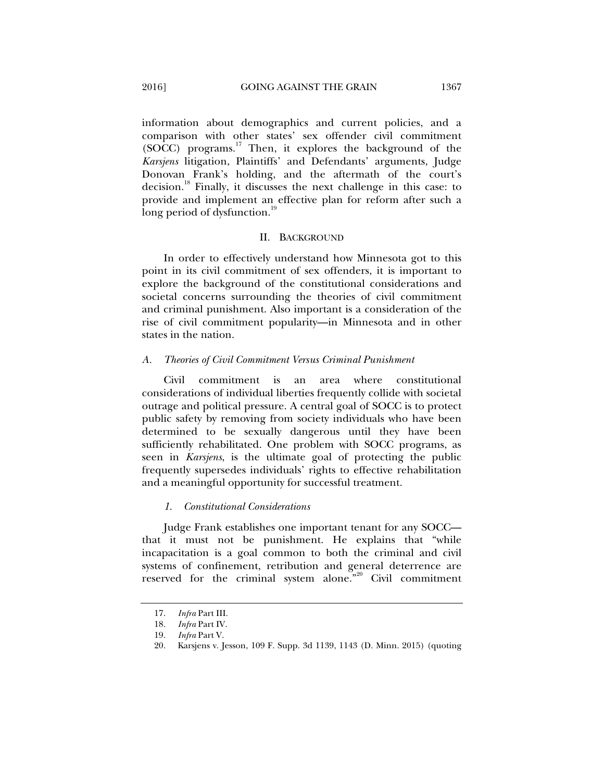information about demographics and current policies, and a comparison with other states' sex offender civil commitment  $(SOCC)$  programs.<sup>17</sup> Then, it explores the background of the *Karsjens* litigation, Plaintiffs' and Defendants' arguments, Judge Donovan Frank's holding, and the aftermath of the court's decision.<sup>18</sup> Finally, it discusses the next challenge in this case: to provide and implement an effective plan for reform after such a long period of dysfunction.<sup>19</sup>

#### II. BACKGROUND

In order to effectively understand how Minnesota got to this point in its civil commitment of sex offenders, it is important to explore the background of the constitutional considerations and societal concerns surrounding the theories of civil commitment and criminal punishment. Also important is a consideration of the rise of civil commitment popularity—in Minnesota and in other states in the nation.

#### *A. Theories of Civil Commitment Versus Criminal Punishment*

Civil commitment is an area where constitutional considerations of individual liberties frequently collide with societal outrage and political pressure. A central goal of SOCC is to protect public safety by removing from society individuals who have been determined to be sexually dangerous until they have been sufficiently rehabilitated. One problem with SOCC programs, as seen in *Karsjens*, is the ultimate goal of protecting the public frequently supersedes individuals' rights to effective rehabilitation and a meaningful opportunity for successful treatment.

#### *1. Constitutional Considerations*

Judge Frank establishes one important tenant for any SOCC that it must not be punishment. He explains that "while incapacitation is a goal common to both the criminal and civil systems of confinement, retribution and general deterrence are reserved for the criminal system alone."<sup>20</sup> Civil commitment

 <sup>17.</sup> *Infra* Part III.

 <sup>18.</sup> *Infra* Part IV.

 <sup>19.</sup> *Infra* Part V.

 <sup>20.</sup> Karsjens v. Jesson, 109 F. Supp. 3d 1139, 1143 (D. Minn. 2015) (quoting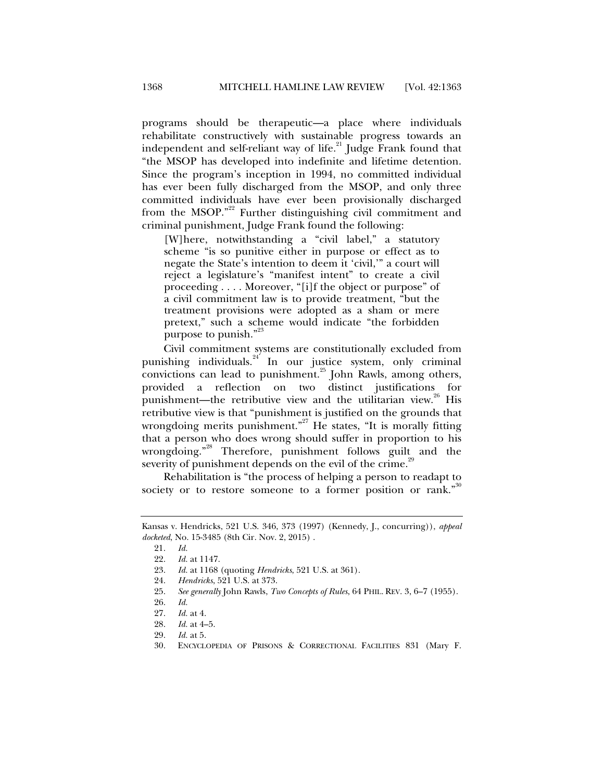programs should be therapeutic—a place where individuals rehabilitate constructively with sustainable progress towards an independent and self-reliant way of life.<sup>21</sup> Judge Frank found that "the MSOP has developed into indefinite and lifetime detention. Since the program's inception in 1994, no committed individual has ever been fully discharged from the MSOP, and only three committed individuals have ever been provisionally discharged from the MSOP."<sup>22</sup> Further distinguishing civil commitment and criminal punishment, Judge Frank found the following:

[W]here, notwithstanding a "civil label," a statutory scheme "is so punitive either in purpose or effect as to negate the State's intention to deem it 'civil,'" a court will reject a legislature's "manifest intent" to create a civil proceeding . . . . Moreover, "[i]f the object or purpose" of a civil commitment law is to provide treatment, "but the treatment provisions were adopted as a sham or mere pretext," such a scheme would indicate "the forbidden purpose to punish."<sup>23</sup>

Civil commitment systems are constitutionally excluded from punishing individuals. $24$  In our justice system, only criminal convictions can lead to punishment.<sup>25</sup> John Rawls, among others, provided a reflection on two distinct justifications for punishment—the retributive view and the utilitarian view.<sup>26</sup> His retributive view is that "punishment is justified on the grounds that wrongdoing merits punishment."<sup>27</sup> He states, "It is morally fitting that a person who does wrong should suffer in proportion to his wrongdoing."<sup>28</sup> Therefore, punishment follows guilt and the severity of punishment depends on the evil of the crime.<sup>29</sup>

Rehabilitation is "the process of helping a person to readapt to society or to restore someone to a former position or rank."

Kansas v. Hendricks, 521 U.S. 346, 373 (1997) (Kennedy, J., concurring)), *appeal docketed*, No. 15-3485 (8th Cir. Nov. 2, 2015) .

 <sup>21.</sup> *Id.*

 <sup>22.</sup> *Id.* at 1147.

 <sup>23.</sup> *Id.* at 1168 (quoting *Hendricks*, 521 U.S. at 361).

 <sup>24.</sup> *Hendricks*, 521 U.S. at 373.

 <sup>25.</sup> *See generally* John Rawls, *Two Concepts of Rules*, 64 PHIL. REV. 3, 6–7 (1955).

 <sup>26.</sup> *Id.* 

 <sup>27.</sup> *Id.* at 4.

 <sup>28.</sup> *Id.* at 4–5.

 <sup>29.</sup> *Id.* at 5.

 <sup>30.</sup> ENCYCLOPEDIA OF PRISONS & CORRECTIONAL FACILITIES 831 (Mary F.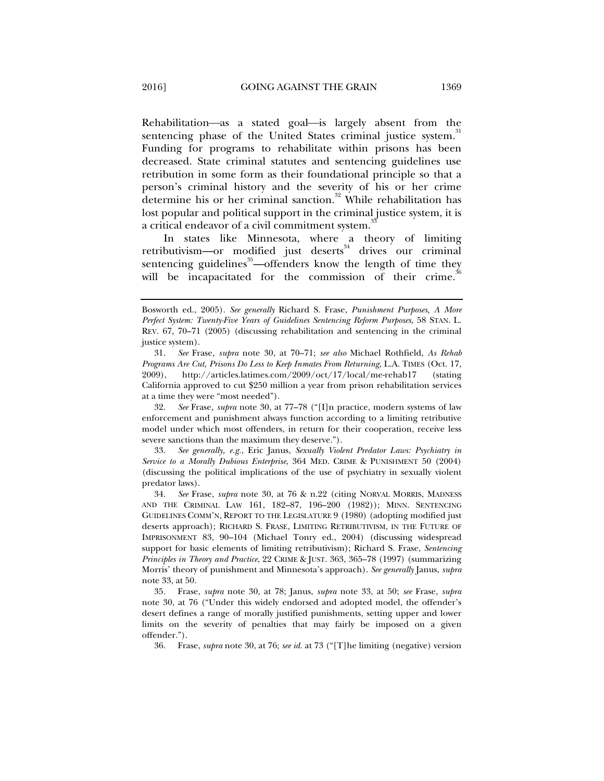Rehabilitation—as a stated goal—is largely absent from the sentencing phase of the United States criminal justice system.<sup>3</sup> Funding for programs to rehabilitate within prisons has been decreased. State criminal statutes and sentencing guidelines use retribution in some form as their foundational principle so that a person's criminal history and the severity of his or her crime determine his or her criminal sanction.<sup>32</sup> While rehabilitation has lost popular and political support in the criminal justice system, it is a critical endeavor of a civil commitment system.<sup>3</sup>

In states like Minnesota, where a theory of limiting retributivism—or modified just deserts $34$  drives our criminal sentencing guidelines<sup>35</sup>—offenders know the length of time they will be incapacitated for the commission of their crime.<sup>3</sup>

 32. *See* Frase*, supra* note 30, at 77–78 ("[I]n practice, modern systems of law enforcement and punishment always function according to a limiting retributive model under which most offenders, in return for their cooperation, receive less severe sanctions than the maximum they deserve.").

 33. *See generally, e.g.*, Eric Janus, *Sexually Violent Predator Laws: Psychiatry in Service to a Morally Dubious Enterprise*, 364 MED. CRIME & PUNISHMENT 50 (2004) (discussing the political implications of the use of psychiatry in sexually violent predator laws).

36. Frase, *supra* note 30, at 76; *see id.* at 73 ("[T]he limiting (negative) version

Bosworth ed., 2005). *See generally* Richard S. Frase, *Punishment Purposes, A More Perfect System: Twenty-Five Years of Guidelines Sentencing Reform Purposes*, 58 STAN. L. REV. 67, 70–71 (2005) (discussing rehabilitation and sentencing in the criminal justice system).

 <sup>31.</sup> *See* Frase*, supra* note 30, at 70–71; *see also* Michael Rothfield, *As Rehab Programs Are Cut, Prisons Do Less to Keep Inmates From Returning*, L.A. TIMES (Oct. 17, 2009), http://articles.latimes.com/2009/oct/17/local/me-rehab17 (stating California approved to cut \$250 million a year from prison rehabilitation services at a time they were "most needed").

 <sup>34.</sup> *See* Frase, *supra* note 30, at 76 & n.22 (citing NORVAL MORRIS, MADNESS AND THE CRIMINAL LAW 161, 182–87, 196–200 (1982)); MINN. SENTENCING GUIDELINES COMM'N, REPORT TO THE LEGISLATURE 9 (1980) (adopting modified just deserts approach); RICHARD S. FRASE, LIMITING RETRIBUTIVISM, IN THE FUTURE OF IMPRISONMENT 83, 90–104 (Michael Tonry ed., 2004) (discussing widespread support for basic elements of limiting retributivism); Richard S. Frase, *Sentencing Principles in Theory and Practice*, 22 CRIME & JUST. 363, 365–78 (1997) (summarizing Morris' theory of punishment and Minnesota's approach). *See generally* Janus, *supra* note 33, at 50.

 <sup>35.</sup> Frase, *supra* note 30, at 78; Janus, *supra* note 33, at 50; *see* Frase, *supra*  note 30, at 76 ("Under this widely endorsed and adopted model, the offender's desert defines a range of morally justified punishments, setting upper and lower limits on the severity of penalties that may fairly be imposed on a given offender.").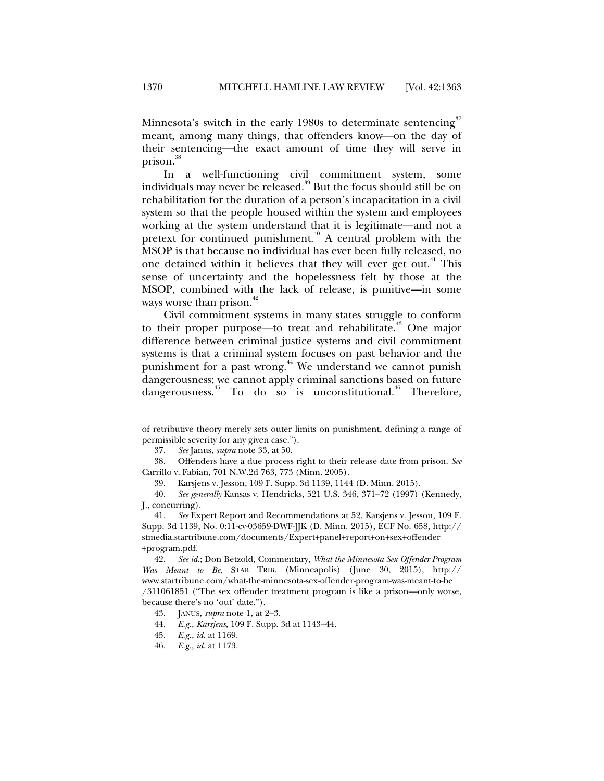Minnesota's switch in the early 1980s to determinate sentencing<sup>37</sup> meant, among many things, that offenders know-on the day of their sentencing—the exact amount of time they will serve in prison.<sup>38</sup>

In a well-functioning civil commitment system, some individuals may never be released.<sup>39</sup> But the focus should still be on rehabilitation for the duration of a person's incapacitation in a civil system so that the people housed within the system and employees working at the system understand that it is legitimate—and not a pretext for continued punishment.<sup> $40$ </sup> A central problem with the MSOP is that because no individual has ever been fully released, no one detained within it believes that they will ever get out.<sup>41</sup> This sense of uncertainty and the hopelessness felt by those at the MSOP, combined with the lack of release, is punitive—in some ways worse than prison.<sup>42</sup>

Civil commitment systems in many states struggle to conform to their proper purpose—to treat and rehabilitate.<sup>43</sup> One major difference between criminal justice systems and civil commitment systems is that a criminal system focuses on past behavior and the punishment for a past wrong.<sup>44</sup> We understand we cannot punish dangerousness; we cannot apply criminal sanctions based on future dangerousness.<sup>45</sup> To do so is unconstitutional.<sup>46</sup> Therefore,

- 45. *E.g.*, *id.* at 1169.
- 46. *E.g.*, *id.* at 1173.

of retributive theory merely sets outer limits on punishment, defining a range of permissible severity for any given case.").

 <sup>37.</sup> *See* Janus, *supra* note 33, at 50.

 <sup>38.</sup> Offenders have a due process right to their release date from prison. *See* Carrillo v. Fabian, 701 N.W.2d 763, 773 (Minn. 2005).

 <sup>39.</sup> Karsjens v. Jesson, 109 F. Supp. 3d 1139, 1144 (D. Minn. 2015).

 <sup>40.</sup> *See generally* Kansas v. Hendricks, 521 U.S. 346, 371–72 (1997) (Kennedy, J., concurring).

 <sup>41.</sup> *See* Expert Report and Recommendations at 52, Karsjens v. Jesson, 109 F. Supp. 3d 1139, No. 0:11-cv-03659-DWF-JJK (D. Minn. 2015), ECF No. 658, http:// stmedia.startribune.com/documents/Expert+panel+report+on+sex+offender +program.pdf.

 <sup>42.</sup> *See id.*; Don Betzold, Commentary, *What the Minnesota Sex Offender Program Was Meant to Be*, STAR TRIB. (Minneapolis) (June 30, 2015), http:// www.startribune.com/what-the-minnesota-sex-offender-program-was-meant-to-be /311061851 ("The sex offender treatment program is like a prison—only worse, because there's no 'out' date.").

 <sup>43.</sup> JANUS, *supra* note 1, at 2–3.

 <sup>44.</sup> *E.g.*, *Karsjens*, 109 F. Supp. 3d at 1143–44.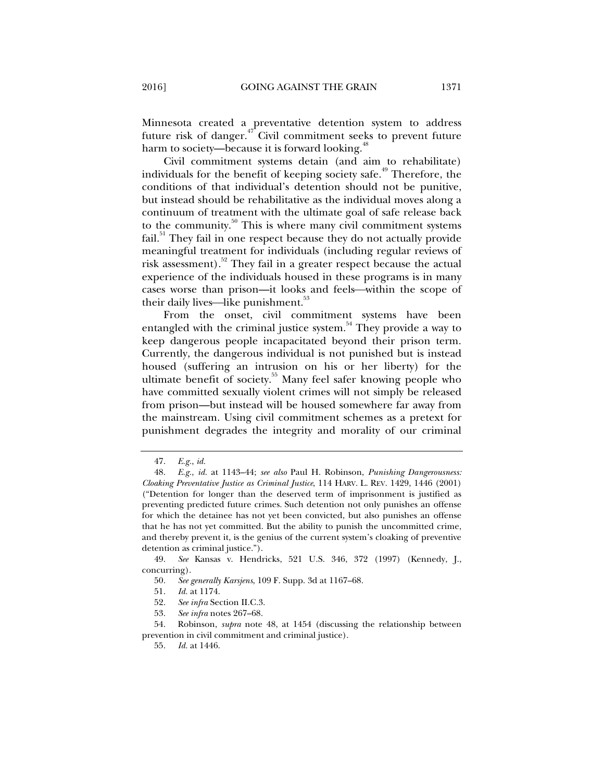Minnesota created a preventative detention system to address future risk of danger.<sup> $47$ </sup> Civil commitment seeks to prevent future harm to society—because it is forward looking.<sup>48</sup>

Civil commitment systems detain (and aim to rehabilitate) individuals for the benefit of keeping society safe.<sup>49</sup> Therefore, the conditions of that individual's detention should not be punitive, but instead should be rehabilitative as the individual moves along a continuum of treatment with the ultimate goal of safe release back to the community. $50^{\circ}$  This is where many civil commitment systems fail.<sup>51</sup> They fail in one respect because they do not actually provide meaningful treatment for individuals (including regular reviews of risk assessment).<sup>52</sup> They fail in a greater respect because the actual experience of the individuals housed in these programs is in many cases worse than prison—it looks and feels—within the scope of their daily lives—like punishment.<sup>53</sup>

From the onset, civil commitment systems have been entangled with the criminal justice system.<sup>54</sup> They provide a way to keep dangerous people incapacitated beyond their prison term. Currently, the dangerous individual is not punished but is instead housed (suffering an intrusion on his or her liberty) for the ultimate benefit of society.<sup>55</sup> Many feel safer knowing people who have committed sexually violent crimes will not simply be released from prison—but instead will be housed somewhere far away from the mainstream. Using civil commitment schemes as a pretext for punishment degrades the integrity and morality of our criminal

 <sup>47.</sup> *E.g.*, *id.*

 <sup>48.</sup> *E.g.*, *id.* at 1143–44; *see also* Paul H. Robinson, *Punishing Dangerousness: Cloaking Preventative Justice as Criminal Justice*, 114 HARV. L. REV. 1429, 1446 (2001) ("Detention for longer than the deserved term of imprisonment is justified as preventing predicted future crimes. Such detention not only punishes an offense for which the detainee has not yet been convicted, but also punishes an offense that he has not yet committed. But the ability to punish the uncommitted crime, and thereby prevent it, is the genius of the current system's cloaking of preventive detention as criminal justice.").

 <sup>49.</sup> *See* Kansas v. Hendricks, 521 U.S. 346, 372 (1997) (Kennedy, J., concurring).

 <sup>50.</sup> *See generally Karsjens*, 109 F. Supp. 3d at 1167–68.

 <sup>51.</sup> *Id.* at 1174.

 <sup>52.</sup> *See infra* Section II.C*.*3.

 <sup>53.</sup> *See infra* notes 267–68.

 <sup>54.</sup> Robinson, *supra* note 48, at 1454 (discussing the relationship between prevention in civil commitment and criminal justice).

 <sup>55.</sup> *Id.* at 1446.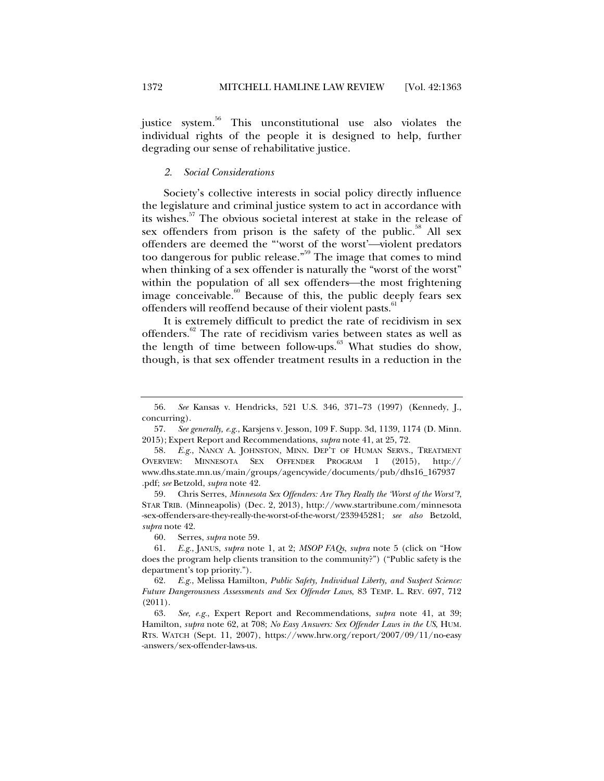justice system.<sup>56</sup> This unconstitutional use also violates the individual rights of the people it is designed to help, further degrading our sense of rehabilitative justice.

#### *2. Social Considerations*

Society's collective interests in social policy directly influence the legislature and criminal justice system to act in accordance with its wishes.57 The obvious societal interest at stake in the release of sex offenders from prison is the safety of the public.<sup>58</sup> All sex offenders are deemed the "'worst of the worst'-violent predators too dangerous for public release.<sup>559</sup> The image that comes to mind when thinking of a sex offender is naturally the "worst of the worst" within the population of all sex offenders—the most frightening image conceivable.<sup>60</sup> Because of this, the public deeply fears sex offenders will reoffend because of their violent pasts.<sup>61</sup>

It is extremely difficult to predict the rate of recidivism in sex offenders.<sup>62</sup> The rate of recidivism varies between states as well as the length of time between follow-ups. $63$  What studies do show, though, is that sex offender treatment results in a reduction in the

 59. Chris Serres, *Minnesota Sex Offenders: Are They Really the 'Worst of the Worst'?*, STAR TRIB. (Minneapolis) (Dec. 2, 2013), http://www.startribune.com/minnesota -sex-offenders-are-they-really-the-worst-of-the-worst/233945281; *see also* Betzold, *supra* note 42.

60. Serres, *supra* note 59.

 61. *E.g.*, JANUS, *supra* note 1, at 2; *MSOP FAQs*, *supra* note 5 (click on "How does the program help clients transition to the community?") ("Public safety is the department's top priority.").

 <sup>56.</sup> *See* Kansas v. Hendricks, 521 U.S. 346, 371–73 (1997) (Kennedy, J., concurring).

 <sup>57.</sup> *See generally, e.g.*, Karsjens v. Jesson, 109 F. Supp. 3d, 1139, 1174 (D. Minn. 2015); Expert Report and Recommendations, *supra* note 41, at 25, 72.

 <sup>58.</sup> *E.g.*, NANCY A. JOHNSTON, MINN. DEP'T OF HUMAN SERVS., TREATMENT OVERVIEW: MINNESOTA SEX OFFENDER PROGRAM 1 (2015), http:// www.dhs.state.mn.us/main/groups/agencywide/documents/pub/dhs16\_167937 .pdf; *see* Betzold, *supra* note 42.

 <sup>62.</sup> *E.g.*, Melissa Hamilton, *Public Safety, Individual Liberty, and Suspect Science: Future Dangerousness Assessments and Sex Offender Laws*, 83 TEMP. L. REV. 697, 712 (2011).

 <sup>63.</sup> *See, e.g.*, Expert Report and Recommendations, *supra* note 41, at 39; Hamilton, *supra* note 62, at 708; *No Easy Answers: Sex Offender Laws in the US*, HUM. RTS. WATCH (Sept. 11, 2007), https://www.hrw.org/report/2007/09/11/no-easy -answers/sex-offender-laws-us.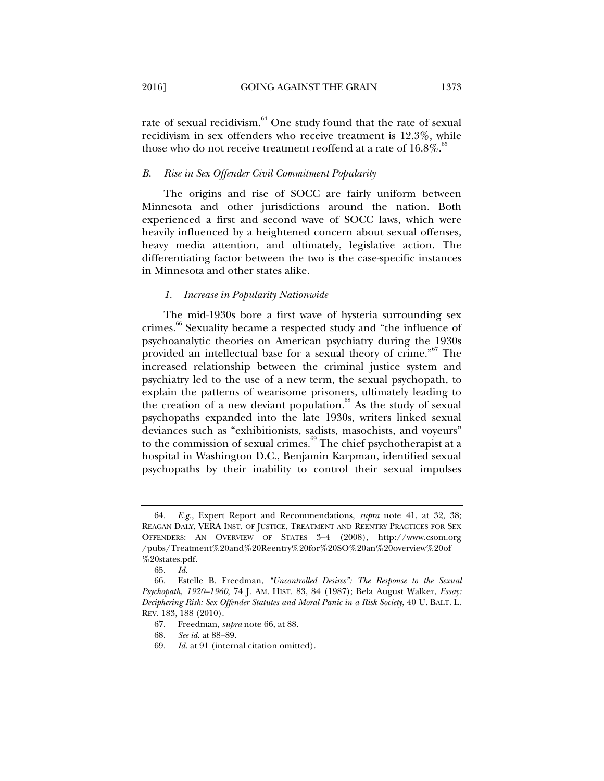rate of sexual recidivism.<sup>64</sup> One study found that the rate of sexual recidivism in sex offenders who receive treatment is 12.3%, while those who do not receive treatment reoffend at a rate of  $16.8\%$ .<sup>85</sup>

#### *B. Rise in Sex Offender Civil Commitment Popularity*

The origins and rise of SOCC are fairly uniform between Minnesota and other jurisdictions around the nation. Both experienced a first and second wave of SOCC laws, which were heavily influenced by a heightened concern about sexual offenses, heavy media attention, and ultimately, legislative action. The differentiating factor between the two is the case-specific instances in Minnesota and other states alike.

#### *1. Increase in Popularity Nationwide*

The mid-1930s bore a first wave of hysteria surrounding sex crimes.<sup>66</sup> Sexuality became a respected study and "the influence of psychoanalytic theories on American psychiatry during the 1930s provided an intellectual base for a sexual theory of crime."<sup>67</sup> The increased relationship between the criminal justice system and psychiatry led to the use of a new term, the sexual psychopath, to explain the patterns of wearisome prisoners, ultimately leading to the creation of a new deviant population. $\frac{68}{6}$  As the study of sexual psychopaths expanded into the late 1930s, writers linked sexual deviances such as "exhibitionists, sadists, masochists, and voyeurs" to the commission of sexual crimes. $69$  The chief psychotherapist at a hospital in Washington D.C., Benjamin Karpman, identified sexual psychopaths by their inability to control their sexual impulses

 <sup>64.</sup> *E.g.*, Expert Report and Recommendations, *supra* note 41, at 32, 38; REAGAN DALY, VERA INST. OF JUSTICE, TREATMENT AND REENTRY PRACTICES FOR SEX OFFENDERS: AN OVERVIEW OF STATES 3–4 (2008), http://www.csom.org /pubs/Treatment%20and%20Reentry%20for%20SO%20an%20overview%20of %20states.pdf.

 <sup>65.</sup> *Id.* 

 <sup>66.</sup> Estelle B. Freedman, *"Uncontrolled Desires": The Response to the Sexual Psychopath, 1920–1960*, 74 J. AM. HIST. 83, 84 (1987); Bela August Walker, *Essay: Deciphering Risk: Sex Offender Statutes and Moral Panic in a Risk Society*, 40 U. BALT. L. REV. 183, 188 (2010).

 <sup>67.</sup> Freedman, *supra* note 66, at 88.

 <sup>68.</sup> *See id.* at 88–89.

 <sup>69.</sup> *Id.* at 91 (internal citation omitted).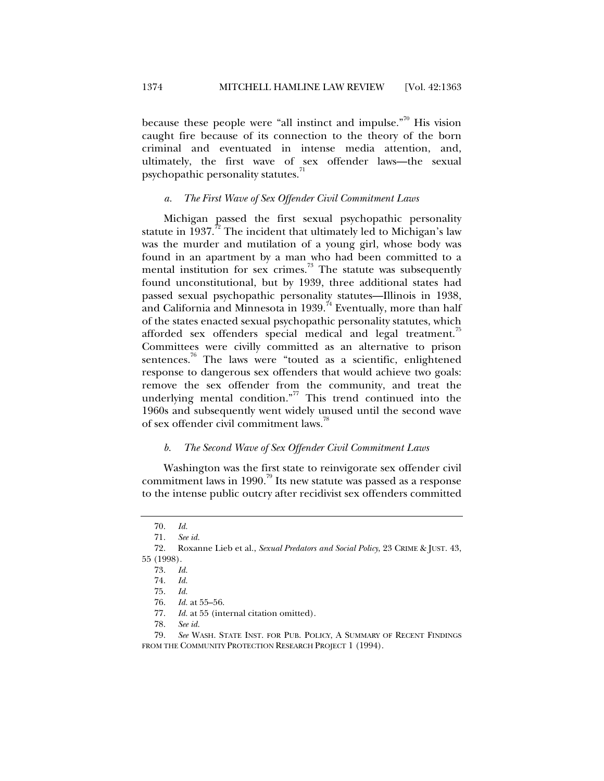because these people were "all instinct and impulse."<sup>70</sup> His vision caught fire because of its connection to the theory of the born criminal and eventuated in intense media attention, and, ultimately, the first wave of sex offender laws—the sexual psychopathic personality statutes.

#### *a. The First Wave of Sex Offender Civil Commitment Laws*

Michigan passed the first sexual psychopathic personality statute in  $1937.^{\prime\prime}$ . The incident that ultimately led to Michigan's law was the murder and mutilation of a young girl, whose body was found in an apartment by a man who had been committed to a mental institution for sex crimes.<sup>73</sup> The statute was subsequently found unconstitutional, but by 1939, three additional states had passed sexual psychopathic personality statutes—Illinois in 1938, and California and Minnesota in 1939.<sup>74</sup> Eventually, more than half of the states enacted sexual psychopathic personality statutes, which afforded sex offenders special medical and legal treatment.<sup>15</sup> Committees were civilly committed as an alternative to prison sentences.<sup>76</sup> The laws were "touted as a scientific, enlightened response to dangerous sex offenders that would achieve two goals: remove the sex offender from the community, and treat the underlying mental condition. $n^{77}$  This trend continued into the 1960s and subsequently went widely unused until the second wave of sex offender civil commitment laws.<sup>78</sup>

#### *b. The Second Wave of Sex Offender Civil Commitment Laws*

Washington was the first state to reinvigorate sex offender civil commitment laws in 1990.<sup>79</sup> Its new statute was passed as a response to the intense public outcry after recidivist sex offenders committed

 <sup>70.</sup> *Id.* 

See id.

 <sup>72.</sup> Roxanne Lieb et al., *Sexual Predators and Social Policy*, 23 CRIME & JUST. 43, 55 (1998).

 <sup>73.</sup> *Id.*

 <sup>74.</sup> *Id.* 

 <sup>75.</sup> *Id.* 

 <sup>76.</sup> *Id.* at 55–56.

 <sup>77.</sup> *Id.* at 55 (internal citation omitted).

 <sup>78.</sup> *See id.*

 <sup>79.</sup> *See* WASH. STATE INST. FOR PUB. POLICY, A SUMMARY OF RECENT FINDINGS FROM THE COMMUNITY PROTECTION RESEARCH PROJECT 1 (1994).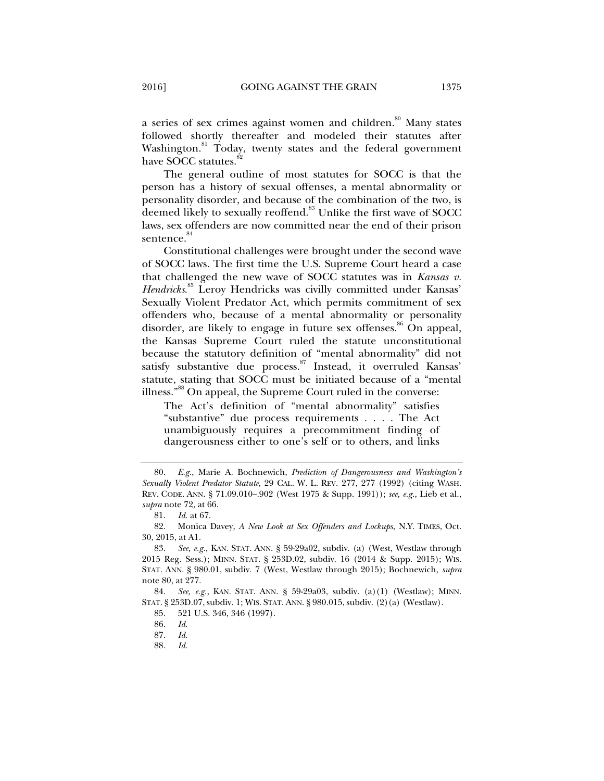a series of sex crimes against women and children.<sup>80</sup> Many states followed shortly thereafter and modeled their statutes after Washington.<sup>81</sup> Today, twenty states and the federal government have SOCC statutes.<sup>8</sup>

The general outline of most statutes for SOCC is that the person has a history of sexual offenses, a mental abnormality or personality disorder, and because of the combination of the two, is deemed likely to sexually reoffend.<sup>83</sup> Unlike the first wave of SOCC laws, sex offenders are now committed near the end of their prison sentence.<sup>84</sup>

Constitutional challenges were brought under the second wave of SOCC laws. The first time the U.S. Supreme Court heard a case that challenged the new wave of SOCC statutes was in *Kansas v. Hendricks*. 85 Leroy Hendricks was civilly committed under Kansas' Sexually Violent Predator Act, which permits commitment of sex offenders who, because of a mental abnormality or personality disorder, are likely to engage in future sex offenses.<sup>86</sup> On appeal, the Kansas Supreme Court ruled the statute unconstitutional because the statutory definition of "mental abnormality" did not satisfy substantive due process.<sup>87</sup> Instead, it overruled Kansas' statute, stating that SOCC must be initiated because of a "mental illness."<sup>88</sup> On appeal, the Supreme Court ruled in the converse:

The Act's definition of "mental abnormality" satisfies "substantive" due process requirements . . . . The Act unambiguously requires a precommitment finding of dangerousness either to one's self or to others, and links

 <sup>80.</sup> *E.g.*, Marie A. Bochnewich, *Prediction of Dangerousness and Washington's Sexually Violent Predator Statute*, 29 CAL. W. L. REV. 277, 277 (1992) (citing WASH. REV. CODE. ANN. § 71.09.010–.902 (West 1975 & Supp. 1991)); *see, e.g.*, Lieb et al., *supra* note 72, at 66.

 <sup>81.</sup> *Id.* at 67.

 <sup>82.</sup> Monica Davey, *A New Look at Sex Offenders and Lockups*, N.Y. TIMES, Oct. 30, 2015, at A1.

 <sup>83.</sup> *See, e.g.*, KAN. STAT. ANN. § 59-29a02, subdiv. (a) (West, Westlaw through 2015 Reg. Sess.); MINN. STAT. § 253D.02, subdiv. 16 (2014 & Supp. 2015); WIS. STAT. ANN. § 980.01, subdiv. 7 (West, Westlaw through 2015); Bochnewich, *supra*  note 80, at 277.

 <sup>84.</sup> *See, e.g.*, KAN. STAT. ANN. § 59-29a03, subdiv. (a)(1) (Westlaw); MINN. STAT. § 253D.07, subdiv. 1; WIS. STAT. ANN. § 980.015, subdiv. (2)(a) (Westlaw).

 <sup>85. 521</sup> U.S. 346, 346 (1997).

 <sup>86.</sup> *Id.*

 <sup>87.</sup> *Id.* 

 <sup>88.</sup> *Id.*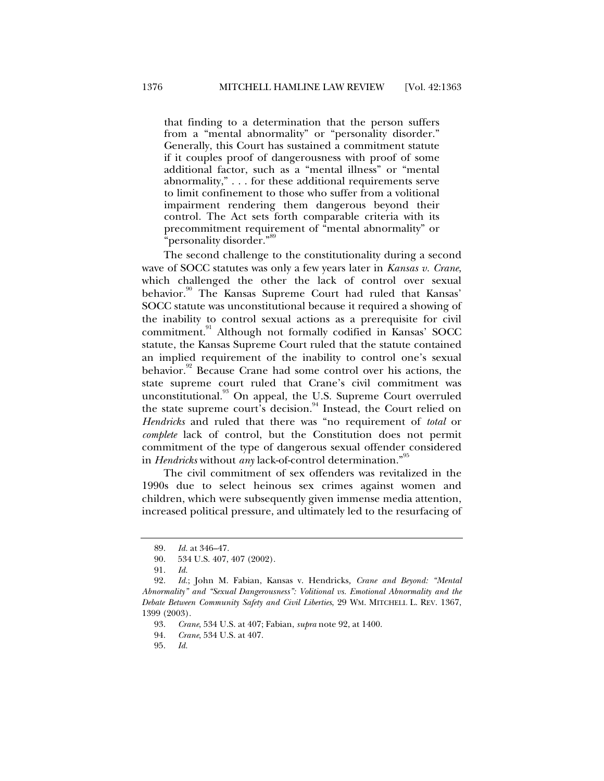that finding to a determination that the person suffers from a "mental abnormality" or "personality disorder." Generally, this Court has sustained a commitment statute if it couples proof of dangerousness with proof of some additional factor, such as a "mental illness" or "mental abnormality," . . . for these additional requirements serve to limit confinement to those who suffer from a volitional impairment rendering them dangerous beyond their control. The Act sets forth comparable criteria with its precommitment requirement of "mental abnormality" or "personality disorder."<sup>89</sup>

The second challenge to the constitutionality during a second wave of SOCC statutes was only a few years later in *Kansas v. Crane*, which challenged the other the lack of control over sexual behavior.<sup>90</sup> The Kansas Supreme Court had ruled that Kansas' SOCC statute was unconstitutional because it required a showing of the inability to control sexual actions as a prerequisite for civil commitment.91 Although not formally codified in Kansas' SOCC statute, the Kansas Supreme Court ruled that the statute contained an implied requirement of the inability to control one's sexual behavior.<sup>92</sup> Because Crane had some control over his actions, the state supreme court ruled that Crane's civil commitment was unconstitutional.<sup>93</sup> On appeal, the U.S. Supreme Court overruled the state supreme court's decision.<sup>94</sup> Instead, the Court relied on *Hendricks* and ruled that there was "no requirement of *total* or *complete* lack of control, but the Constitution does not permit commitment of the type of dangerous sexual offender considered in *Hendricks* without *any* lack-of-control determination."<sup>95</sup>

The civil commitment of sex offenders was revitalized in the 1990s due to select heinous sex crimes against women and children, which were subsequently given immense media attention, increased political pressure, and ultimately led to the resurfacing of

 <sup>89.</sup> *Id.* at 346–47.

 <sup>90. 534</sup> U.S. 407, 407 (2002).

 <sup>91.</sup> *Id.* 

 <sup>92.</sup> *Id.*; John M. Fabian, Kansas v. Hendricks*, Crane and Beyond: "Mental Abnormality" and "Sexual Dangerousness": Volitional vs. Emotional Abnormality and the Debate Between Community Safety and Civil Liberties*, 29 WM. MITCHELL L. REV. 1367, 1399 (2003).

 <sup>93.</sup> *Crane*, 534 U.S. at 407; Fabian, *supra* note 92, at 1400.

 <sup>94.</sup> *Crane*, 534 U.S. at 407.

 <sup>95.</sup> *Id.*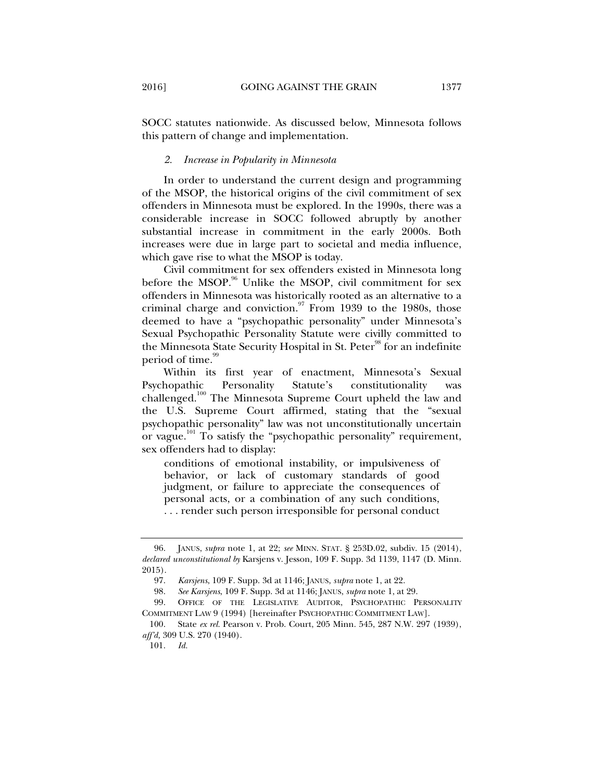#### *2. Increase in Popularity in Minnesota*

In order to understand the current design and programming of the MSOP, the historical origins of the civil commitment of sex offenders in Minnesota must be explored. In the 1990s, there was a considerable increase in SOCC followed abruptly by another substantial increase in commitment in the early 2000s. Both increases were due in large part to societal and media influence, which gave rise to what the MSOP is today.

Civil commitment for sex offenders existed in Minnesota long before the MSOP. $96$  Unlike the MSOP, civil commitment for sex offenders in Minnesota was historically rooted as an alternative to a criminal charge and conviction. $\frac{97}{12}$  From 1939 to the 1980s, those deemed to have a "psychopathic personality" under Minnesota's Sexual Psychopathic Personality Statute were civilly committed to the Minnesota State Security Hospital in St. Peter<sup>98</sup> for an indefinite period of time.<sup>99</sup>

Within its first year of enactment, Minnesota's Sexual Psychopathic Personality Statute's constitutionality was challenged.<sup>100</sup> The Minnesota Supreme Court upheld the law and the U.S. Supreme Court affirmed, stating that the "sexual psychopathic personality" law was not unconstitutionally uncertain or vague.101 To satisfy the "psychopathic personality" requirement, sex offenders had to display:

conditions of emotional instability, or impulsiveness of behavior, or lack of customary standards of good judgment, or failure to appreciate the consequences of personal acts, or a combination of any such conditions, . . . render such person irresponsible for personal conduct

 <sup>96.</sup> JANUS, *supra* note 1, at 22; *see* MINN. STAT. § 253D.02, subdiv. 15 (2014), *declared unconstitutional by* Karsjens v. Jesson, 109 F. Supp. 3d 1139, 1147 (D. Minn. 2015).

 <sup>97.</sup> *Karsjens*, 109 F. Supp. 3d at 1146; JANUS, *supra* note 1, at 22.

 <sup>98.</sup> *See Karsjens*, 109 F. Supp. 3d at 1146; JANUS, *supra* note 1, at 29.

 <sup>99.</sup> OFFICE OF THE LEGISLATIVE AUDITOR, PSYCHOPATHIC PERSONALITY COMMITMENT LAW 9 (1994) [hereinafter PSYCHOPATHIC COMMITMENT LAW].

 <sup>100.</sup> State *ex rel.* Pearson v. Prob. Court, 205 Minn. 545, 287 N.W. 297 (1939), *aff'd,* 309 U.S. 270 (1940).

 <sup>101.</sup> *Id.*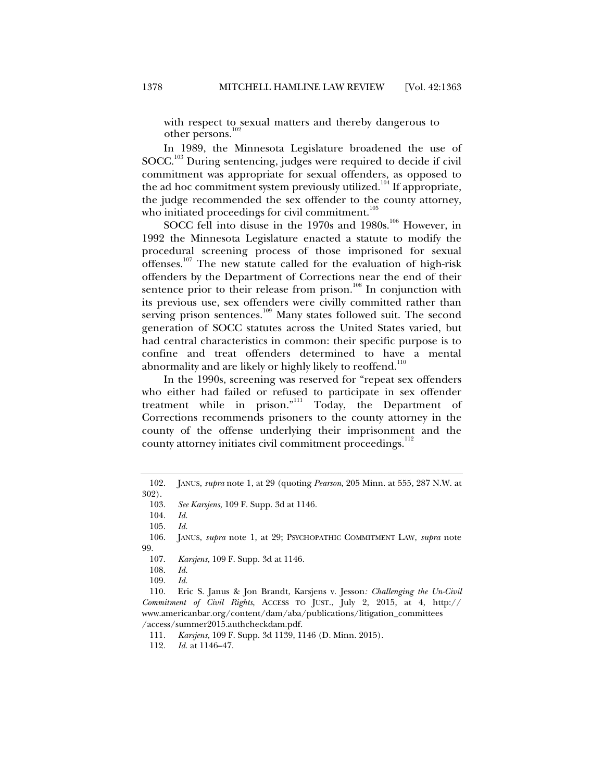with respect to sexual matters and thereby dangerous to other persons. $102$ 

In 1989, the Minnesota Legislature broadened the use of SOCC.103 During sentencing, judges were required to decide if civil commitment was appropriate for sexual offenders, as opposed to the ad hoc commitment system previously utilized.<sup>104</sup> If appropriate, the judge recommended the sex offender to the county attorney, who initiated proceedings for civil commitment.<sup>105</sup>

SOCC fell into disuse in the 1970s and 1980s.<sup>106</sup> However, in 1992 the Minnesota Legislature enacted a statute to modify the procedural screening process of those imprisoned for sexual offenses.<sup>107</sup> The new statute called for the evaluation of high-risk offenders by the Department of Corrections near the end of their sentence prior to their release from prison.<sup>108</sup> In conjunction with its previous use, sex offenders were civilly committed rather than serving prison sentences.<sup>109</sup> Many states followed suit. The second generation of SOCC statutes across the United States varied, but had central characteristics in common: their specific purpose is to confine and treat offenders determined to have a mental abnormality and are likely or highly likely to reoffend.<sup>110</sup>

In the 1990s, screening was reserved for "repeat sex offenders who either had failed or refused to participate in sex offender treatment while in prison."<sup>111</sup> Today, the Department of Corrections recommends prisoners to the county attorney in the county of the offense underlying their imprisonment and the county attorney initiates civil commitment proceedings.<sup>112</sup>

104. *Id.* 

 <sup>102.</sup> JANUS, *supra* note 1, at 29 (quoting *Pearson*, 205 Minn. at 555, 287 N.W. at 302).

 <sup>103.</sup> *See Karsjens*, 109 F. Supp. 3d at 1146.

 <sup>105.</sup> *Id.* 

 <sup>106.</sup> JANUS, *supra* note 1, at 29; PSYCHOPATHIC COMMITMENT LAW, *supra* note 99.

 <sup>107.</sup> *Karsjens*, 109 F. Supp. 3d at 1146.

 <sup>108.</sup> *Id.* 

 <sup>109.</sup> *Id.* 

 <sup>110.</sup> Eric S. Janus & Jon Brandt, Karsjens v. Jesson*: Challenging the Un-Civil Commitment of Civil Rights*, ACCESS TO JUST., July 2, 2015, at 4, http:// www.americanbar.org/content/dam/aba/publications/litigation\_committees /access/summer2015.authcheckdam.pdf.

 <sup>111.</sup> *Karsjens*, 109 F. Supp. 3d 1139, 1146 (D. Minn. 2015).

 <sup>112.</sup> *Id.* at 1146–47.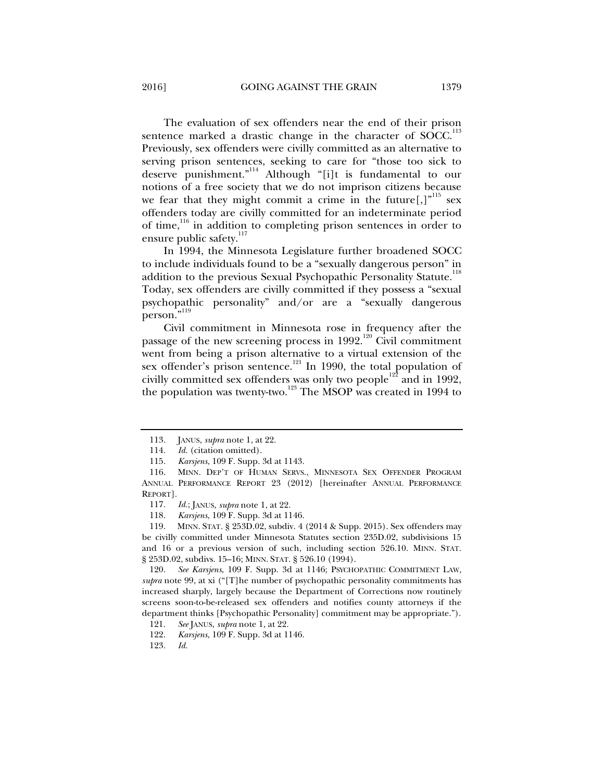The evaluation of sex offenders near the end of their prison sentence marked a drastic change in the character of SOCC.<sup>113</sup> Previously, sex offenders were civilly committed as an alternative to serving prison sentences, seeking to care for "those too sick to deserve punishment."114 Although "[i]t is fundamental to our notions of a free society that we do not imprison citizens because we fear that they might commit a crime in the future[,] $v^{115}$  sex offenders today are civilly committed for an indeterminate period of time,<sup>116</sup> in addition to completing prison sentences in order to ensure public safety.<sup>117</sup>

In 1994, the Minnesota Legislature further broadened SOCC to include individuals found to be a "sexually dangerous person" in addition to the previous Sexual Psychopathic Personality Statute.<sup>118</sup> Today, sex offenders are civilly committed if they possess a "sexual psychopathic personality" and/or are a "sexually dangerous person."<sup>119</sup>

Civil commitment in Minnesota rose in frequency after the passage of the new screening process in 1992.<sup>120</sup> Civil commitment went from being a prison alternative to a virtual extension of the sex offender's prison sentence.<sup>121</sup> In 1990, the total population of civilly committed sex offenders was only two people<sup>122</sup> and in 1992, the population was twenty-two.<sup>123</sup> The MSOP was created in 1994 to

118. *Karsjens*, 109 F. Supp. 3d at 1146.

 119. MINN. STAT. § 253D.02, subdiv. 4 (2014 & Supp. 2015). Sex offenders may be civilly committed under Minnesota Statutes section 235D.02, subdivisions 15 and 16 or a previous version of such, including section 526.10. MINN. STAT. § 253D.02, subdivs. 15–16; MINN. STAT. § 526.10 (1994).

 120. *See Karsjens*, 109 F. Supp. 3d at 1146; PSYCHOPATHIC COMMITMENT LAW, *supra* note 99, at xi ("[T]he number of psychopathic personality commitments has increased sharply, largely because the Department of Corrections now routinely screens soon-to-be-released sex offenders and notifies county attorneys if the department thinks [Psychopathic Personality] commitment may be appropriate.").

121. *See* JANUS, *supra* note 1, at 22.

122. *Karsjens*, 109 F. Supp. 3d at 1146.

123. *Id.* 

 <sup>113.</sup> JANUS, *supra* note 1, at 22.

 <sup>114.</sup> *Id.* (citation omitted).

 <sup>115.</sup> *Karsjens*, 109 F. Supp. 3d at 1143.

 <sup>116.</sup> MINN. DEP'T OF HUMAN SERVS., MINNESOTA SEX OFFENDER PROGRAM ANNUAL PERFORMANCE REPORT 23 (2012) [hereinafter ANNUAL PERFORMANCE REPORT].

 <sup>117.</sup> *Id.*; JANUS, *supra* note 1, at 22.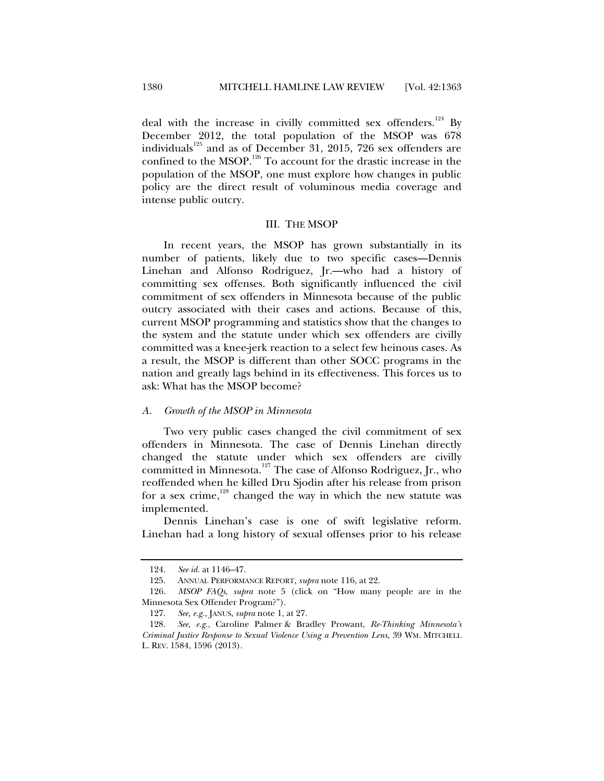deal with the increase in civilly committed sex offenders.<sup>124</sup> By December 2012, the total population of the MSOP was 678 individuals<sup>125</sup> and as of December 31, 2015, 726 sex offenders are confined to the MSOP.<sup>126</sup> To account for the drastic increase in the population of the MSOP, one must explore how changes in public policy are the direct result of voluminous media coverage and intense public outcry.

#### III. THE MSOP

In recent years, the MSOP has grown substantially in its number of patients, likely due to two specific cases—Dennis Linehan and Alfonso Rodriguez, Jr.—who had a history of committing sex offenses. Both significantly influenced the civil commitment of sex offenders in Minnesota because of the public outcry associated with their cases and actions. Because of this, current MSOP programming and statistics show that the changes to the system and the statute under which sex offenders are civilly committed was a knee-jerk reaction to a select few heinous cases. As a result, the MSOP is different than other SOCC programs in the nation and greatly lags behind in its effectiveness. This forces us to ask: What has the MSOP become?

#### *A. Growth of the MSOP in Minnesota*

Two very public cases changed the civil commitment of sex offenders in Minnesota. The case of Dennis Linehan directly changed the statute under which sex offenders are civilly committed in Minnesota.<sup>127</sup> The case of Alfonso Rodriguez, Jr., who reoffended when he killed Dru Sjodin after his release from prison for a sex crime, $128$  changed the way in which the new statute was implemented.

Dennis Linehan's case is one of swift legislative reform. Linehan had a long history of sexual offenses prior to his release

 <sup>124.</sup> *See id.* at 1146–47.

 <sup>125.</sup> ANNUAL PERFORMANCE REPORT, *supra* note 116, at 22.

 <sup>126.</sup> *MSOP FAQs*, *supra* note 5 (click on "How many people are in the Minnesota Sex Offender Program?").

 <sup>127.</sup> *See, e.g.*, JANUS, *supra* note 1, at 27.

 <sup>128.</sup> *See, e.g.*, Caroline Palmer & Bradley Prowant, *Re-Thinking Minnesota's Criminal Justice Response to Sexual Violence Using a Prevention Lens*, 39 WM. MITCHELL L. REV. 1584, 1596 (2013).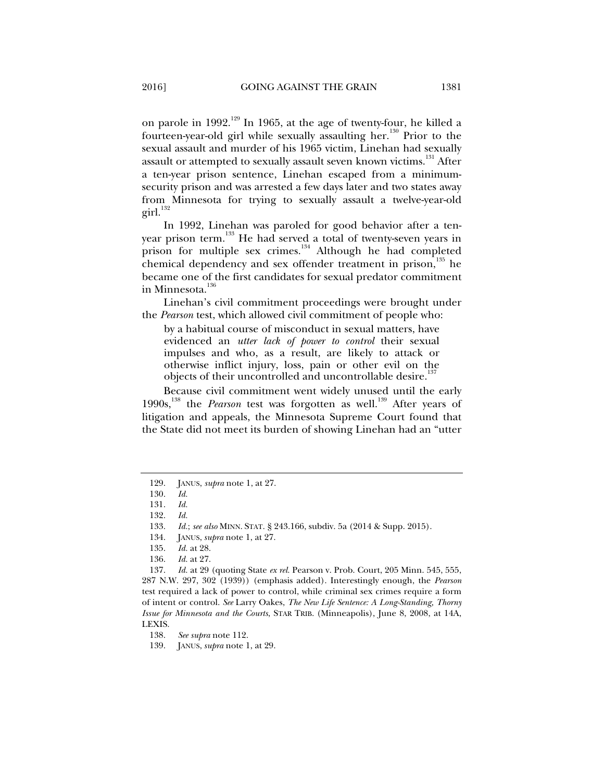on parole in 1992.<sup>129</sup> In 1965, at the age of twenty-four, he killed a fourteen-year-old girl while sexually assaulting her.<sup>130</sup> Prior to the sexual assault and murder of his 1965 victim, Linehan had sexually assault or attempted to sexually assault seven known victims.<sup>131</sup> After a ten-year prison sentence, Linehan escaped from a minimumsecurity prison and was arrested a few days later and two states away from Minnesota for trying to sexually assault a twelve-year-old  $\left. \text{girl.} \right.$ <sup>132</sup>

In 1992, Linehan was paroled for good behavior after a tenyear prison term.<sup>133</sup> He had served a total of twenty-seven years in prison for multiple sex crimes.<sup>134</sup> Although he had completed chemical dependency and sex offender treatment in prison, $135$  he became one of the first candidates for sexual predator commitment in Minnesota.<sup>136</sup>

Linehan's civil commitment proceedings were brought under the *Pearson* test, which allowed civil commitment of people who:

by a habitual course of misconduct in sexual matters, have evidenced an *utter lack of power to control* their sexual impulses and who, as a result, are likely to attack or otherwise inflict injury, loss, pain or other evil on the objects of their uncontrolled and uncontrollable desire.<sup>13</sup>

Because civil commitment went widely unused until the early 1990s,<sup>138</sup> the *Pearson* test was forgotten as well.<sup>139</sup> After years of litigation and appeals, the Minnesota Supreme Court found that the State did not meet its burden of showing Linehan had an "utter

134. JANUS, *supra* note 1, at 27.

138. *See supra* note 112.

 <sup>129.</sup> JANUS, *supra* note 1, at 27.

 <sup>130.</sup> *Id.* 

 <sup>131.</sup> *Id.* 

 <sup>132.</sup> *Id.* 

 <sup>133.</sup> *Id.*; *see also* MINN. STAT. § 243.166, subdiv. 5a (2014 & Supp. 2015).

 <sup>135.</sup> *Id.* at 28.

 <sup>136.</sup> *Id.* at 27.

 <sup>137.</sup> *Id.* at 29 (quoting State *ex rel.* Pearson v. Prob. Court, 205 Minn. 545, 555, 287 N.W. 297, 302 (1939)) (emphasis added). Interestingly enough, the *Pearson*  test required a lack of power to control, while criminal sex crimes require a form of intent or control. *See* Larry Oakes, *The New Life Sentence: A Long-Standing, Thorny Issue for Minnesota and the Courts*, STAR TRIB. (Minneapolis), June 8, 2008, at 14A, LEXIS.

 <sup>139.</sup> JANUS, *supra* note 1, at 29.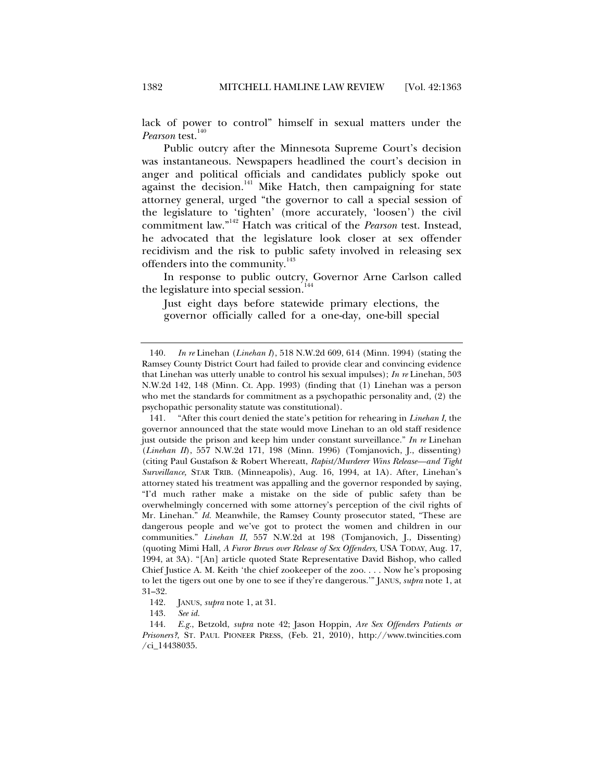lack of power to control" himself in sexual matters under the *Pearson* test.<sup>140</sup>

Public outcry after the Minnesota Supreme Court's decision was instantaneous. Newspapers headlined the court's decision in anger and political officials and candidates publicly spoke out against the decision.<sup>141</sup> Mike Hatch, then campaigning for state attorney general, urged "the governor to call a special session of the legislature to 'tighten' (more accurately, 'loosen') the civil commitment law."142 Hatch was critical of the *Pearson* test. Instead, he advocated that the legislature look closer at sex offender recidivism and the risk to public safety involved in releasing sex offenders into the community.<sup>143</sup>

In response to public outcry, Governor Arne Carlson called the legislature into special session.<sup>1</sup>

Just eight days before statewide primary elections, the governor officially called for a one-day, one-bill special

 <sup>140.</sup> *In re* Linehan (*Linehan I*), 518 N.W.2d 609, 614 (Minn. 1994) (stating the Ramsey County District Court had failed to provide clear and convincing evidence that Linehan was utterly unable to control his sexual impulses); *In re* Linehan, 503 N.W.2d 142, 148 (Minn. Ct. App. 1993) (finding that (1) Linehan was a person who met the standards for commitment as a psychopathic personality and, (2) the psychopathic personality statute was constitutional).

 <sup>141. &</sup>quot;After this court denied the state's petition for rehearing in *Linehan I,* the governor announced that the state would move Linehan to an old staff residence just outside the prison and keep him under constant surveillance." *In re* Linehan (*Linehan II*), 557 N.W.2d 171, 198 (Minn. 1996) (Tomjanovich, J., dissenting) (citing Paul Gustafson & Robert Whereatt, *Rapist/Murderer Wins Release—and Tight Surveillance,* STAR TRIB. (Minneapolis), Aug. 16, 1994, at 1A). After, Linehan's attorney stated his treatment was appalling and the governor responded by saying, "I'd much rather make a mistake on the side of public safety than be overwhelmingly concerned with some attorney's perception of the civil rights of Mr. Linehan." *Id.* Meanwhile, the Ramsey County prosecutor stated, "These are dangerous people and we've got to protect the women and children in our communities." *Linehan II*, 557 N.W.2d at 198 (Tomjanovich, J., Dissenting) (quoting Mimi Hall, *A Furor Brews over Release of Sex Offenders,* USA TODAY, Aug. 17, 1994, at 3A). "[An] article quoted State Representative David Bishop, who called Chief Justice A. M. Keith 'the chief zookeeper of the zoo. . . . Now he's proposing to let the tigers out one by one to see if they're dangerous.'" JANUS, *supra* note 1, at 31–32.

 <sup>142.</sup> JANUS, *supra* note 1, at 31.

 <sup>143.</sup> *See id.*

 <sup>144.</sup> *E.g.*, Betzold, *supra* note 42; Jason Hoppin, *Are Sex Offenders Patients or Prisoners?*, ST. PAUL PIONEER PRESS, (Feb. 21, 2010), http://www.twincities.com /ci\_14438035.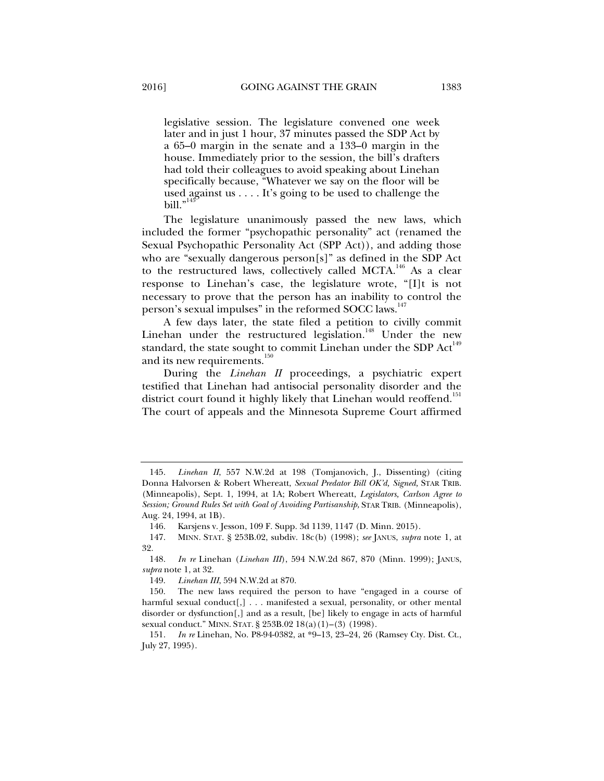legislative session. The legislature convened one week later and in just 1 hour, 37 minutes passed the SDP Act by a 65–0 margin in the senate and a 133–0 margin in the house. Immediately prior to the session, the bill's drafters had told their colleagues to avoid speaking about Linehan specifically because, "Whatever we say on the floor will be used against us . . . . It's going to be used to challenge the bill."

The legislature unanimously passed the new laws, which included the former "psychopathic personality" act (renamed the Sexual Psychopathic Personality Act (SPP Act)), and adding those who are "sexually dangerous person[s]" as defined in the SDP Act to the restructured laws, collectively called MCTA.<sup>146</sup> As a clear response to Linehan's case, the legislature wrote, "[I]t is not necessary to prove that the person has an inability to control the person's sexual impulses" in the reformed SOCC laws.<sup>147</sup>

A few days later, the state filed a petition to civilly commit Linehan under the restructured legislation.<sup>148</sup> Under the new standard, the state sought to commit Linehan under the SDP  $Act^{149}$ and its new requirements.<sup>150</sup>

During the *Linehan II* proceedings, a psychiatric expert testified that Linehan had antisocial personality disorder and the district court found it highly likely that Linehan would reoffend.<sup>151</sup> The court of appeals and the Minnesota Supreme Court affirmed

 <sup>145.</sup> *Linehan II*, 557 N.W.2d at 198 (Tomjanovich, J., Dissenting) (citing Donna Halvorsen & Robert Whereatt, *Sexual Predator Bill OK'd, Signed,* STAR TRIB. (Minneapolis), Sept. 1, 1994, at 1A; Robert Whereatt, *Legislators, Carlson Agree to Session; Ground Rules Set with Goal of Avoiding Partisanship,* STAR TRIB. (Minneapolis), Aug. 24, 1994, at 1B).

 <sup>146.</sup> Karsjens v. Jesson, 109 F. Supp. 3d 1139, 1147 (D. Minn. 2015).

 <sup>147.</sup> MINN. STAT. § 253B.02, subdiv. 18c(b) (1998); *see* JANUS, *supra* note 1, at 32.

 <sup>148.</sup> *In re* Linehan (*Linehan III*), 594 N.W.2d 867, 870 (Minn. 1999); JANUS, *supra* note 1, at 32.

 <sup>149.</sup> *Linehan III*, 594 N.W.2d at 870.

 <sup>150.</sup> The new laws required the person to have "engaged in a course of harmful sexual conduct[,] . . . manifested a sexual, personality, or other mental disorder or dysfunction[,] and as a result, [be] likely to engage in acts of harmful sexual conduct." MINN. STAT. § 253B.02 18(a)(1)–(3) (1998).

 <sup>151.</sup> *In re* Linehan, No. P8-94-0382, at \*9–13, 23–24, 26 (Ramsey Cty. Dist. Ct., July 27, 1995).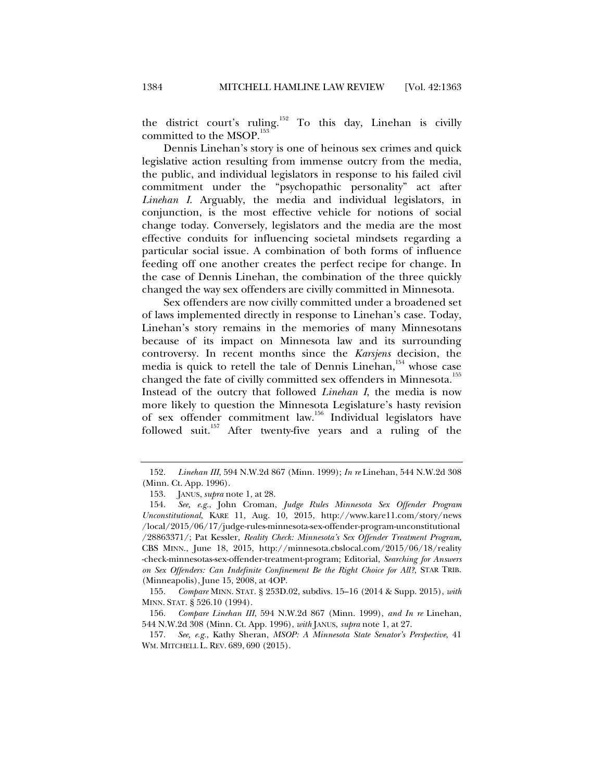the district court's ruling.<sup>152</sup> To this day, Linehan is civilly committed to the MSOP.<sup>153</sup>

Dennis Linehan's story is one of heinous sex crimes and quick legislative action resulting from immense outcry from the media, the public, and individual legislators in response to his failed civil commitment under the "psychopathic personality" act after *Linehan I*. Arguably, the media and individual legislators, in conjunction, is the most effective vehicle for notions of social change today. Conversely, legislators and the media are the most effective conduits for influencing societal mindsets regarding a particular social issue. A combination of both forms of influence feeding off one another creates the perfect recipe for change. In the case of Dennis Linehan, the combination of the three quickly changed the way sex offenders are civilly committed in Minnesota.

Sex offenders are now civilly committed under a broadened set of laws implemented directly in response to Linehan's case. Today, Linehan's story remains in the memories of many Minnesotans because of its impact on Minnesota law and its surrounding controversy. In recent months since the *Karsjens* decision, the media is quick to retell the tale of Dennis Linehan,<sup>154</sup> whose case changed the fate of civilly committed sex offenders in Minnesota.<sup>155</sup> Instead of the outcry that followed *Linehan I*, the media is now more likely to question the Minnesota Legislature's hasty revision of sex offender commitment law.<sup>156</sup> Individual legislators have followed suit. $157$  After twenty-five years and a ruling of the

 <sup>152.</sup> *Linehan III*, 594 N.W.2d 867 (Minn. 1999); *In re* Linehan, 544 N.W.2d 308 (Minn. Ct. App. 1996).

 <sup>153.</sup> JANUS, *supra* note 1, at 28.

 <sup>154.</sup> *See, e.g.*, John Croman, *Judge Rules Minnesota Sex Offender Program Unconstitutional*, KARE 11, Aug. 10, 2015, http://www.kare11.com/story/news /local/2015/06/17/judge-rules-minnesota-sex-offender-program-unconstitutional /28863371/; Pat Kessler, *Reality Check: Minnesota's Sex Offender Treatment Program*, CBS MINN., June 18, 2015, http://minnesota.cbslocal.com/2015/06/18/reality -check-minnesotas-sex-offender-treatment-program; Editorial, *Searching for Answers on Sex Offenders: Can Indefinite Confinement Be the Right Choice for All?*, STAR TRIB. (Minneapolis), June 15, 2008, at 4OP.

 <sup>155.</sup> *Compare* MINN. STAT. § 253D.02, subdivs. 15–16 (2014 & Supp. 2015), *with*  MINN. STAT. § 526.10 (1994).

 <sup>156.</sup> *Compare Linehan III*, 594 N.W.2d 867 (Minn. 1999), *and In re* Linehan, 544 N.W.2d 308 (Minn. Ct. App. 1996), *with* JANUS, *supra* note 1, at 27.

 <sup>157.</sup> *See, e.g.*, Kathy Sheran, *MSOP: A Minnesota State Senator's Perspective*, 41 WM. MITCHELL L. REV. 689, 690 (2015).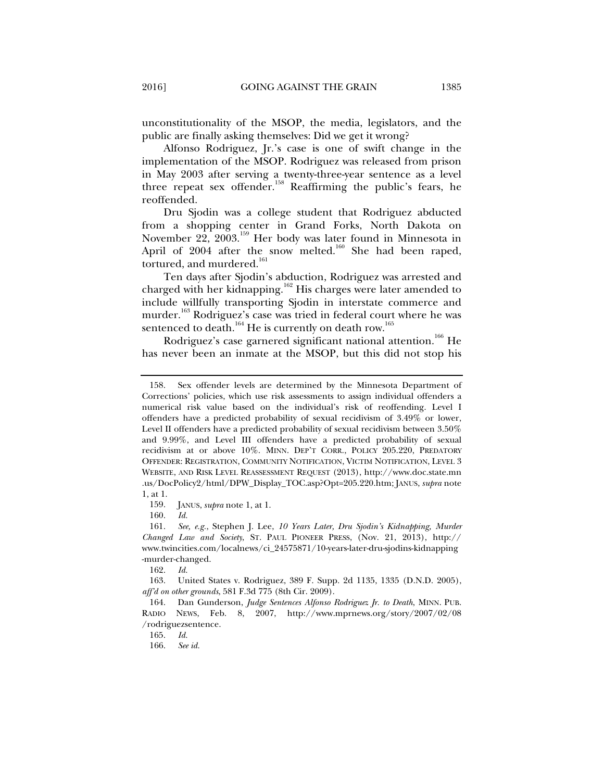unconstitutionality of the MSOP, the media, legislators, and the public are finally asking themselves: Did we get it wrong?

Alfonso Rodriguez, Jr.'s case is one of swift change in the implementation of the MSOP. Rodriguez was released from prison in May 2003 after serving a twenty-three-year sentence as a level three repeat sex offender.<sup>158</sup> Reaffirming the public's fears, he reoffended.

Dru Sjodin was a college student that Rodriguez abducted from a shopping center in Grand Forks, North Dakota on November 22, 2003.159 Her body was later found in Minnesota in April of  $2004$  after the snow melted.<sup>160</sup> She had been raped, tortured, and murdered.<sup>161</sup>

Ten days after Sjodin's abduction, Rodriguez was arrested and charged with her kidnapping.<sup>162</sup> His charges were later amended to include willfully transporting Sjodin in interstate commerce and murder.<sup>163</sup> Rodriguez's case was tried in federal court where he was sentenced to death.<sup>164</sup> He is currently on death row.<sup>165</sup>

Rodriguez's case garnered significant national attention.<sup>166</sup> He has never been an inmate at the MSOP, but this did not stop his

159. JANUS, *supra* note 1, at 1.

160. *Id.* 

162. *Id.* 

 163. United States v. Rodriguez, 389 F. Supp. 2d 1135, 1335 (D.N.D. 2005), *aff'd on other grounds*, 581 F.3d 775 (8th Cir. 2009).

165. *Id.*

166. *See id.*

 <sup>158.</sup> Sex offender levels are determined by the Minnesota Department of Corrections' policies, which use risk assessments to assign individual offenders a numerical risk value based on the individual's risk of reoffending. Level I offenders have a predicted probability of sexual recidivism of 3.49% or lower, Level II offenders have a predicted probability of sexual recidivism between 3.50% and 9.99%, and Level III offenders have a predicted probability of sexual recidivism at or above 10%. MINN. DEP'T CORR., POLICY 205.220, PREDATORY OFFENDER: REGISTRATION, COMMUNITY NOTIFICATION, VICTIM NOTIFICATION, LEVEL 3 WEBSITE, AND RISK LEVEL REASSESSMENT REQUEST (2013), http://www.doc.state.mn .us/DocPolicy2/html/DPW\_Display\_TOC.asp?Opt=205.220.htm; JANUS, *supra* note 1, at 1.

 <sup>161.</sup> *See, e.g.*, Stephen J. Lee, *10 Years Later, Dru Sjodin's Kidnapping, Murder Changed Law and Society*, ST. PAUL PIONEER PRESS, (Nov. 21, 2013), http:// www.twincities.com/localnews/ci\_24575871/10-years-later-dru-sjodins-kidnapping -murder-changed.

 <sup>164.</sup> Dan Gunderson, *Judge Sentences Alfonso Rodriguez Jr. to Death*, MINN. PUB. RADIO NEWS, Feb. 8, 2007, http://www.mprnews.org/story/2007/02/08 /rodriguezsentence.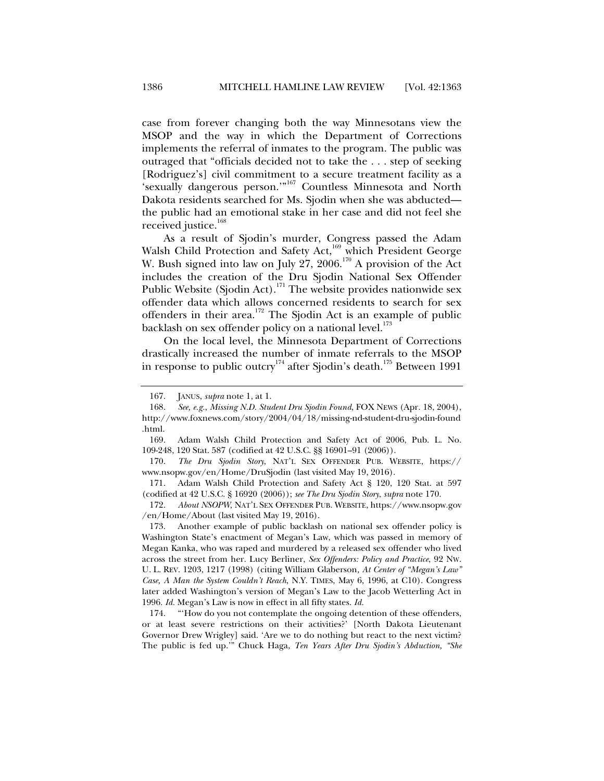case from forever changing both the way Minnesotans view the MSOP and the way in which the Department of Corrections implements the referral of inmates to the program. The public was outraged that "officials decided not to take the . . . step of seeking [Rodriguez's] civil commitment to a secure treatment facility as a 'sexually dangerous person."<sup>167</sup> Countless Minnesota and North Dakota residents searched for Ms. Sjodin when she was abducted the public had an emotional stake in her case and did not feel she received justice.<sup>168</sup>

As a result of Sjodin's murder, Congress passed the Adam Walsh Child Protection and Safety Act,<sup>169</sup> which President George W. Bush signed into law on July 27, 2006.<sup>170</sup> A provision of the Act includes the creation of the Dru Sjodin National Sex Offender Public Website (Sjodin Act).<sup>171</sup> The website provides nationwide sex offender data which allows concerned residents to search for sex offenders in their area.<sup>172</sup> The Sjodin Act is an example of public backlash on sex offender policy on a national level.<sup>173</sup>

On the local level, the Minnesota Department of Corrections drastically increased the number of inmate referrals to the MSOP in response to public outcry<sup>174</sup> after Sjodin's death.<sup>175</sup> Between 1991

 <sup>167.</sup> JANUS, *supra* note 1, at 1.

 <sup>168.</sup> *See, e.g.*, *Missing N.D. Student Dru Sjodin Found*, FOX NEWS (Apr. 18, 2004), http://www.foxnews.com/story/2004/04/18/missing-nd-student-dru-sjodin-found .html.

 <sup>169.</sup> Adam Walsh Child Protection and Safety Act of 2006, Pub. L. No. 109-248, 120 Stat. 587 (codified at 42 U.S.C. §§ 16901–91 (2006)).

 <sup>170.</sup> *The Dru Sjodin Story*, NAT'L SEX OFFENDER PUB. WEBSITE, https:// www.nsopw.gov/en/Home/DruSjodin (last visited May 19, 2016).

 <sup>171.</sup> Adam Walsh Child Protection and Safety Act § 120, 120 Stat. at 597 (codified at 42 U.S.C. § 16920 (2006)); *see The Dru Sjodin Story*, *supra* note 170.

 <sup>172.</sup> *About NSOPW*, NAT'L SEX OFFENDER PUB. WEBSITE, https://www.nsopw.gov /en/Home/About (last visited May 19, 2016).

 <sup>173.</sup> Another example of public backlash on national sex offender policy is Washington State's enactment of Megan's Law, which was passed in memory of Megan Kanka, who was raped and murdered by a released sex offender who lived across the street from her. Lucy Berliner, *Sex Offenders: Policy and Practice*, 92 NW. U. L. REV. 1203, 1217 (1998) (citing William Glaberson*, At Center of "Megan's Law" Case, A Man the System Couldn't Reach*, N.Y. TIMES, May 6, 1996, at C10). Congress later added Washington's version of Megan's Law to the Jacob Wetterling Act in 1996. *Id.* Megan's Law is now in effect in all fifty states. *Id.*

 <sup>174. &</sup>quot;'How do you not contemplate the ongoing detention of these offenders, or at least severe restrictions on their activities?' [North Dakota Lieutenant Governor Drew Wrigley] said. 'Are we to do nothing but react to the next victim? The public is fed up.'" Chuck Haga, *Ten Years After Dru Sjodin's Abduction, "She*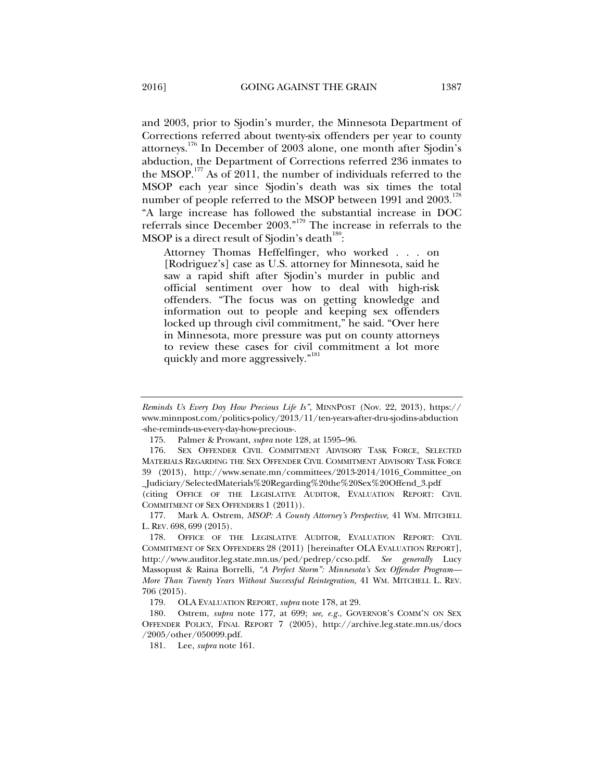and 2003, prior to Sjodin's murder, the Minnesota Department of Corrections referred about twenty-six offenders per year to county attorneys.176 In December of 2003 alone, one month after Sjodin's abduction, the Department of Corrections referred 236 inmates to the MSOP. $177$  As of 2011, the number of individuals referred to the MSOP each year since Sjodin's death was six times the total number of people referred to the MSOP between 1991 and 2003.<sup>178</sup> "A large increase has followed the substantial increase in DOC referrals since December 2003."179 The increase in referrals to the MSOP is a direct result of Sjodin's death $^{180}$ :

Attorney Thomas Heffelfinger, who worked . . . on [Rodriguez's] case as U.S. attorney for Minnesota, said he saw a rapid shift after Sjodin's murder in public and official sentiment over how to deal with high-risk offenders. "The focus was on getting knowledge and information out to people and keeping sex offenders locked up through civil commitment," he said. "Over here in Minnesota, more pressure was put on county attorneys to review these cases for civil commitment a lot more quickly and more aggressively."<sup>181</sup>

*Reminds Us Every Day How Precious Life Is"*, MINNPOST (Nov. 22, 2013), https:// www.minnpost.com/politics-policy/2013/11/ten-years-after-dru-sjodins-abduction -she-reminds-us-every-day-how-precious-.

 <sup>175.</sup> Palmer & Prowant, *supra* note 128, at 1595–96.

 <sup>176.</sup> SEX OFFENDER CIVIL COMMITMENT ADVISORY TASK FORCE, SELECTED MATERIALS REGARDING THE SEX OFFENDER CIVIL COMMITMENT ADVISORY TASK FORCE 39 (2013), http://www.senate.mn/committees/2013-2014/1016\_Committee\_on \_Judiciary/SelectedMaterials%20Regarding%20the%20Sex%20Offend\_3.pdf

<sup>(</sup>citing OFFICE OF THE LEGISLATIVE AUDITOR, EVALUATION REPORT: CIVIL COMMITMENT OF SEX OFFENDERS 1 (2011)).

 <sup>177.</sup> Mark A. Ostrem, *MSOP: A County Attorney's Perspective*, 41 WM. MITCHELL L. REV. 698, 699 (2015).

 <sup>178.</sup> OFFICE OF THE LEGISLATIVE AUDITOR, EVALUATION REPORT: CIVIL COMMITMENT OF SEX OFFENDERS 28 (2011) [hereinafter OLA EVALUATION REPORT], http://www.auditor.leg.state.mn.us/ped/pedrep/ccso.pdf. *See generally* Lucy Massopust & Raina Borrelli, *"A Perfect Storm": Minnesota's Sex Offender Program— More Than Twenty Years Without Successful Reintegration*, 41 WM. MITCHELL L. REV. 706 (2015).

 <sup>179.</sup> OLA EVALUATION REPORT, *supra* note 178, at 29.

 <sup>180.</sup> Ostrem, *supra* note 177, at 699; *see, e.g.*, GOVERNOR'S COMM'N ON SEX OFFENDER POLICY, FINAL REPORT 7 (2005), http://archive.leg.state.mn.us/docs /2005/other/050099.pdf.

 <sup>181.</sup> Lee, *supra* note 161.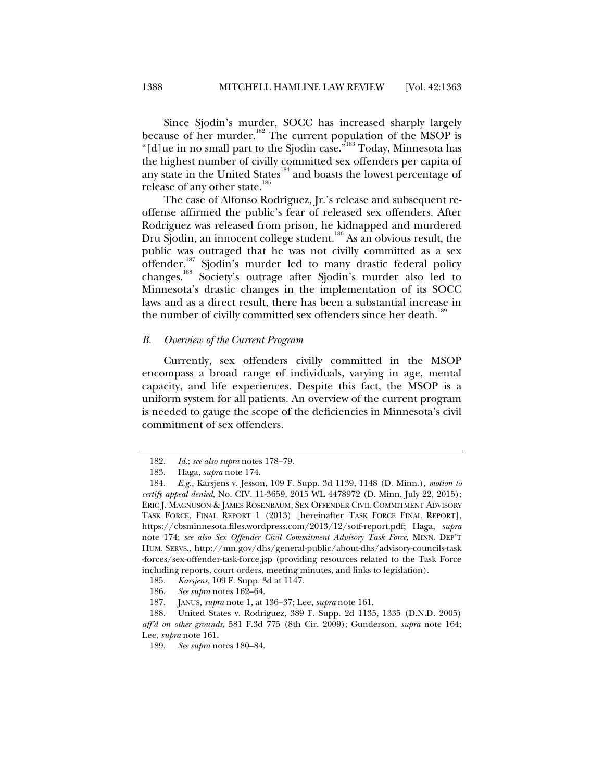Since Sjodin's murder, SOCC has increased sharply largely because of her murder.<sup>182</sup> The current population of the MSOP is "[d]ue in no small part to the Sjodin case."183 Today, Minnesota has the highest number of civilly committed sex offenders per capita of any state in the United States<sup>184</sup> and boasts the lowest percentage of release of any other state.<sup>185</sup>

The case of Alfonso Rodriguez, Jr.'s release and subsequent reoffense affirmed the public's fear of released sex offenders. After Rodriguez was released from prison, he kidnapped and murdered Dru Sjodin, an innocent college student.<sup>186</sup> As an obvious result, the public was outraged that he was not civilly committed as a sex offender.<sup>187</sup> Sjodin's murder led to many drastic federal policy changes.188 Society's outrage after Sjodin's murder also led to Minnesota's drastic changes in the implementation of its SOCC laws and as a direct result, there has been a substantial increase in the number of civilly committed sex offenders since her death.<sup>189</sup>

#### *B. Overview of the Current Program*

Currently, sex offenders civilly committed in the MSOP encompass a broad range of individuals, varying in age, mental capacity, and life experiences. Despite this fact, the MSOP is a uniform system for all patients. An overview of the current program is needed to gauge the scope of the deficiencies in Minnesota's civil commitment of sex offenders.

 <sup>182.</sup> *Id.*; *see also supra* notes 178–79.

 <sup>183.</sup> Haga, *supra* note 174.

 <sup>184.</sup> *E.g.*, Karsjens v. Jesson, 109 F. Supp. 3d 1139, 1148 (D. Minn.), *motion to certify appeal denied*, No. CIV. 11-3659, 2015 WL 4478972 (D. Minn. July 22, 2015); ERIC J. MAGNUSON & JAMES ROSENBAUM, SEX OFFENDER CIVIL COMMITMENT ADVISORY TASK FORCE, FINAL REPORT 1 (2013) [hereinafter TASK FORCE FINAL REPORT], https://cbsminnesota.files.wordpress.com/2013/12/sotf-report.pdf; Haga, *supra*  note 174; *see also Sex Offender Civil Commitment Advisory Task Force,* MINN. DEP'T HUM. SERVS., http://mn.gov/dhs/general-public/about-dhs/advisory-councils-task -forces/sex-offender-task-force.jsp (providing resources related to the Task Force including reports, court orders, meeting minutes, and links to legislation).

 <sup>185.</sup> *Karsjens*, 109 F. Supp. 3d at 1147.

 <sup>186.</sup> *See supra* notes 162–64.

 <sup>187.</sup> JANUS, *supra* note 1, at 136–37; Lee, *supra* note 161.

 <sup>188.</sup> United States v. Rodriguez, 389 F. Supp. 2d 1135, 1335 (D.N.D. 2005) *aff'd on other grounds*, 581 F.3d 775 (8th Cir. 2009); Gunderson, *supra* note 164; Lee, *supra* note 161.

 <sup>189.</sup> *See supra* notes 180–84.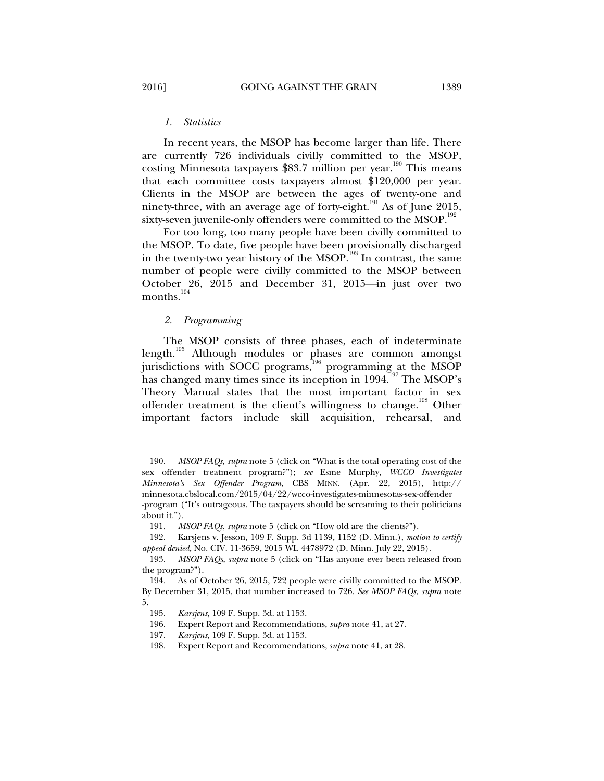#### *1. Statistics*

In recent years, the MSOP has become larger than life. There are currently 726 individuals civilly committed to the MSOP, costing Minnesota taxpayers  $$83.7$  million per year.<sup>190</sup> This means that each committee costs taxpayers almost \$120,000 per year. Clients in the MSOP are between the ages of twenty-one and ninety-three, with an average age of forty-eight. $191$  As of June 2015, sixty-seven juvenile-only offenders were committed to the MSOP.<sup>192</sup>

For too long, too many people have been civilly committed to the MSOP. To date, five people have been provisionally discharged in the twenty-two year history of the  $MSOP$ .<sup>193</sup> In contrast, the same number of people were civilly committed to the MSOP between October 26, 2015 and December 31, 2015 $\rightarrow$ in just over two months.<sup>194</sup>

#### *2. Programming*

The MSOP consists of three phases, each of indeterminate length.<sup>195</sup> Although modules or phases are common amongst jurisdictions with SOCC programs,<sup>196</sup> programming at the MSOP has changed many times since its inception in 1994.<sup>197</sup> The MSOP's Theory Manual states that the most important factor in sex offender treatment is the client's willingness to change.<sup>198</sup> Other important factors include skill acquisition, rehearsal, and

 192. Karsjens v. Jesson, 109 F. Supp. 3d 1139, 1152 (D. Minn.), *motion to certify appeal denied*, No. CIV. 11-3659, 2015 WL 4478972 (D. Minn. July 22, 2015).

 <sup>190.</sup> *MSOP FAQs*, *supra* note 5 (click on "What is the total operating cost of the sex offender treatment program?"); *see* Esme Murphy, *WCCO Investigates Minnesota's Sex Offender Program*, CBS MINN. (Apr. 22, 2015), http:// minnesota.cbslocal.com/2015/04/22/wcco-investigates-minnesotas-sex-offender -program ("It's outrageous. The taxpayers should be screaming to their politicians about it.").

 <sup>191.</sup> *MSOP FAQs*, *supra* note 5 (click on "How old are the clients?").

 <sup>193.</sup> *MSOP FAQs*, *supra* note 5 (click on "Has anyone ever been released from the program?").

 <sup>194.</sup> As of October 26, 2015, 722 people were civilly committed to the MSOP. By December 31, 2015, that number increased to 726. *See MSOP FAQs*, *supra* note 5.

 <sup>195.</sup> *Karsjens*, 109 F. Supp. 3d. at 1153.

 <sup>196.</sup> Expert Report and Recommendations, *supra* note 41, at 27.

 <sup>197.</sup> *Karsjens*, 109 F. Supp. 3d. at 1153.

 <sup>198.</sup> Expert Report and Recommendations, *supra* note 41, at 28.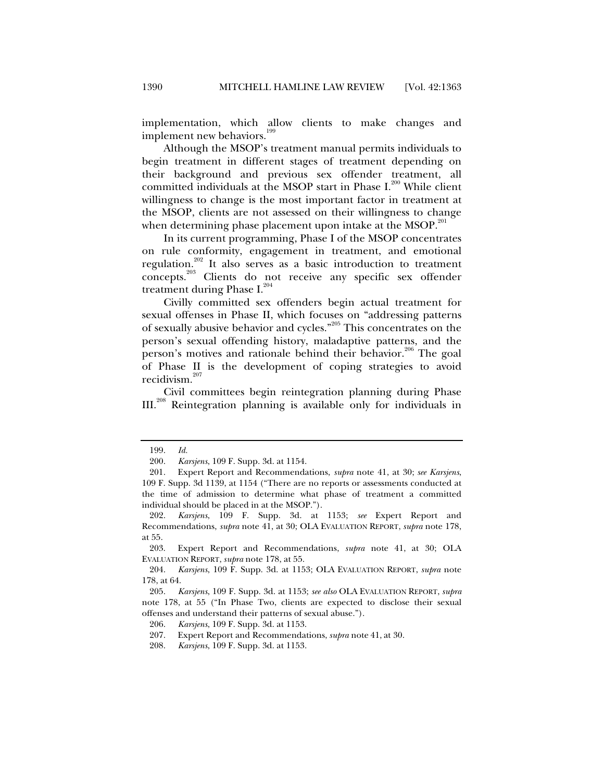implementation, which allow clients to make changes and implement new behaviors.<sup>199</sup>

Although the MSOP's treatment manual permits individuals to begin treatment in different stages of treatment depending on their background and previous sex offender treatment, all committed individuals at the MSOP start in Phase  $I^{200}$  While client willingness to change is the most important factor in treatment at the MSOP, clients are not assessed on their willingness to change when determining phase placement upon intake at the MSOP.<sup>201</sup>

In its current programming, Phase I of the MSOP concentrates on rule conformity, engagement in treatment, and emotional regulation.<sup>202</sup> It also serves as a basic introduction to treatment concepts.<sup>203</sup> Clients do not receive any specific sex offender treatment during Phase  $I^{204}$ 

Civilly committed sex offenders begin actual treatment for sexual offenses in Phase II, which focuses on "addressing patterns of sexually abusive behavior and cycles."205 This concentrates on the person's sexual offending history, maladaptive patterns, and the person's motives and rationale behind their behavior.<sup>206</sup> The goal of Phase II is the development of coping strategies to avoid recidivism.<sup>207</sup>

Civil committees begin reintegration planning during Phase III.208 Reintegration planning is available only for individuals in

 <sup>199.</sup> *Id.*

 <sup>200.</sup> *Karsjens*, 109 F. Supp. 3d. at 1154.

 <sup>201.</sup> Expert Report and Recommendations, *supra* note 41, at 30; *see Karsjens*, 109 F. Supp. 3d 1139, at 1154 ("There are no reports or assessments conducted at the time of admission to determine what phase of treatment a committed individual should be placed in at the MSOP.").

 <sup>202.</sup> *Karsjens*, 109 F. Supp. 3d. at 1153; *see* Expert Report and Recommendations, *supra* note 41, at 30; OLA EVALUATION REPORT, *supra* note 178, at 55.

 <sup>203.</sup> Expert Report and Recommendations, *supra* note 41, at 30; OLA EVALUATION REPORT, *supra* note 178, at 55.

 <sup>204.</sup> *Karsjens*, 109 F. Supp. 3d. at 1153; OLA EVALUATION REPORT, *supra* note 178, at 64.

 <sup>205.</sup> *Karsjens*, 109 F. Supp. 3d. at 1153; *see also* OLA EVALUATION REPORT, *supra*  note 178, at 55 ("In Phase Two, clients are expected to disclose their sexual offenses and understand their patterns of sexual abuse.").

 <sup>206.</sup> *Karsjens*, 109 F. Supp. 3d. at 1153.

 <sup>207.</sup> Expert Report and Recommendations, *supra* note 41, at 30.

 <sup>208.</sup> *Karsjens*, 109 F. Supp. 3d. at 1153.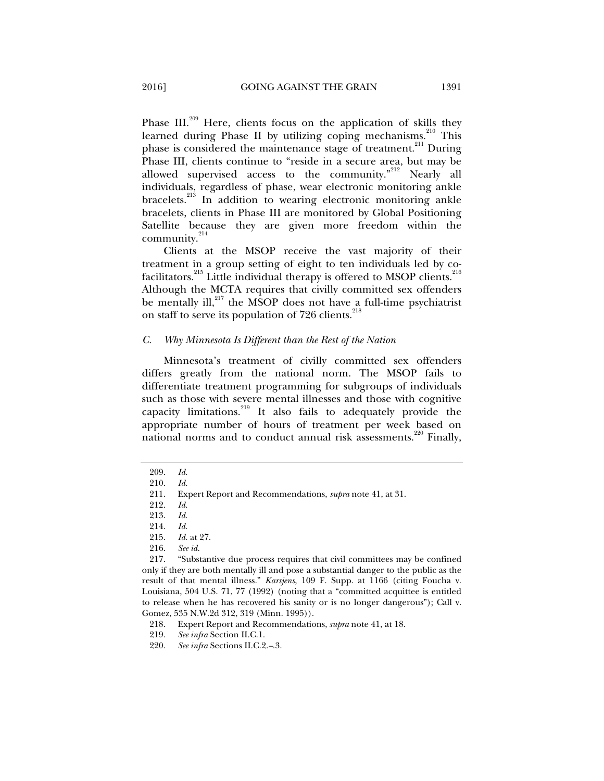Phase III.<sup>209</sup> Here, clients focus on the application of skills they learned during Phase II by utilizing coping mechanisms.<sup>210</sup> This phase is considered the maintenance stage of treatment.<sup>211</sup> During Phase III, clients continue to "reside in a secure area, but may be allowed supervised access to the community."<sup>212</sup> Nearly all individuals, regardless of phase, wear electronic monitoring ankle bracelets.<sup>213</sup> In addition to wearing electronic monitoring ankle bracelets, clients in Phase III are monitored by Global Positioning Satellite because they are given more freedom within the community. $^{214}$ 

Clients at the MSOP receive the vast majority of their treatment in a group setting of eight to ten individuals led by cofacilitators.<sup>215</sup> Little individual therapy is offered to MSOP clients.<sup>216</sup> Although the MCTA requires that civilly committed sex offenders be mentally ill, $^{217}$  the MSOP does not have a full-time psychiatrist on staff to serve its population of  $726$  clients.<sup>218</sup>

#### *C. Why Minnesota Is Different than the Rest of the Nation*

Minnesota's treatment of civilly committed sex offenders differs greatly from the national norm. The MSOP fails to differentiate treatment programming for subgroups of individuals such as those with severe mental illnesses and those with cognitive capacity limitations.219 It also fails to adequately provide the appropriate number of hours of treatment per week based on national norms and to conduct annual risk assessments.<sup>220</sup> Finally,

 <sup>209.</sup> *Id.*

 <sup>210.</sup> *Id.* 

 <sup>211.</sup> Expert Report and Recommendations, *supra* note 41, at 31.

 <sup>212.</sup> *Id.*

 <sup>213.</sup> *Id.* 

 <sup>214.</sup> *Id.* 

*Id.* at 27.

 <sup>216.</sup> *See id.*

 <sup>217. &</sup>quot;Substantive due process requires that civil committees may be confined only if they are both mentally ill and pose a substantial danger to the public as the result of that mental illness." *Karsjens*, 109 F. Supp. at 1166 (citing Foucha v. Louisiana, 504 U.S. 71, 77 (1992) (noting that a "committed acquittee is entitled to release when he has recovered his sanity or is no longer dangerous"); Call v. Gomez, 535 N.W.2d 312, 319 (Minn. 1995)).

 <sup>218.</sup> Expert Report and Recommendations, *supra* note 41, at 18.

 <sup>219.</sup> *See infra* Section II.C.1.

 <sup>220.</sup> *See infra* Sections II.C.2.*–*.3.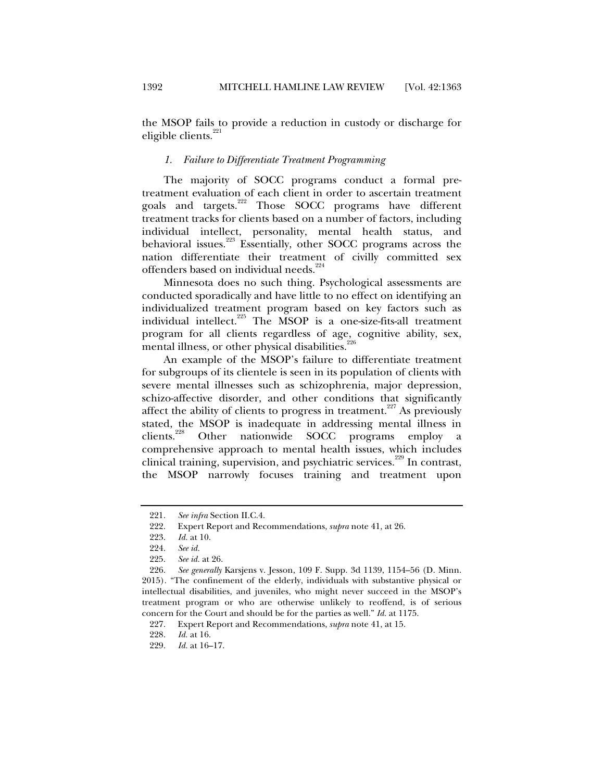the MSOP fails to provide a reduction in custody or discharge for eligible clients.<sup>221</sup>

#### *1. Failure to Differentiate Treatment Programming*

The majority of SOCC programs conduct a formal pretreatment evaluation of each client in order to ascertain treatment goals and targets.<sup>222</sup> Those SOCC programs have different treatment tracks for clients based on a number of factors, including individual intellect, personality, mental health status, and behavioral issues.<sup>223</sup> Essentially, other SOCC programs across the nation differentiate their treatment of civilly committed sex offenders based on individual needs.<sup>224</sup>

Minnesota does no such thing. Psychological assessments are conducted sporadically and have little to no effect on identifying an individualized treatment program based on key factors such as individual intellect.<sup>225</sup> The MSOP is a one-size-fits-all treatment program for all clients regardless of age, cognitive ability, sex, mental illness, or other physical disabilities.<sup>226</sup>

An example of the MSOP's failure to differentiate treatment for subgroups of its clientele is seen in its population of clients with severe mental illnesses such as schizophrenia, major depression, schizo-affective disorder, and other conditions that significantly affect the ability of clients to progress in treatment.<sup>227</sup> As previously stated, the MSOP is inadequate in addressing mental illness in clients.<sup>228</sup> Other nationwide SOCC programs employ a comprehensive approach to mental health issues, which includes clinical training, supervision, and psychiatric services.<sup>229</sup> In contrast, the MSOP narrowly focuses training and treatment upon

 <sup>221.</sup> *See infra* Section II.C.4.

 <sup>222.</sup> Expert Report and Recommendations, *supra* note 41, at 26.

*Id.* at 10.

 <sup>224.</sup> *See id.*

 <sup>225.</sup> *See id.* at 26.

 <sup>226.</sup> *See generally* Karsjens v. Jesson, 109 F. Supp. 3d 1139, 1154–56 (D. Minn. 2015). "The confinement of the elderly, individuals with substantive physical or intellectual disabilities, and juveniles, who might never succeed in the MSOP's treatment program or who are otherwise unlikely to reoffend, is of serious concern for the Court and should be for the parties as well." *Id.* at 1175.

 <sup>227.</sup> Expert Report and Recommendations, *supra* note 41, at 15.

 <sup>228.</sup> *Id.* at 16.

 <sup>229.</sup> *Id.* at 16–17.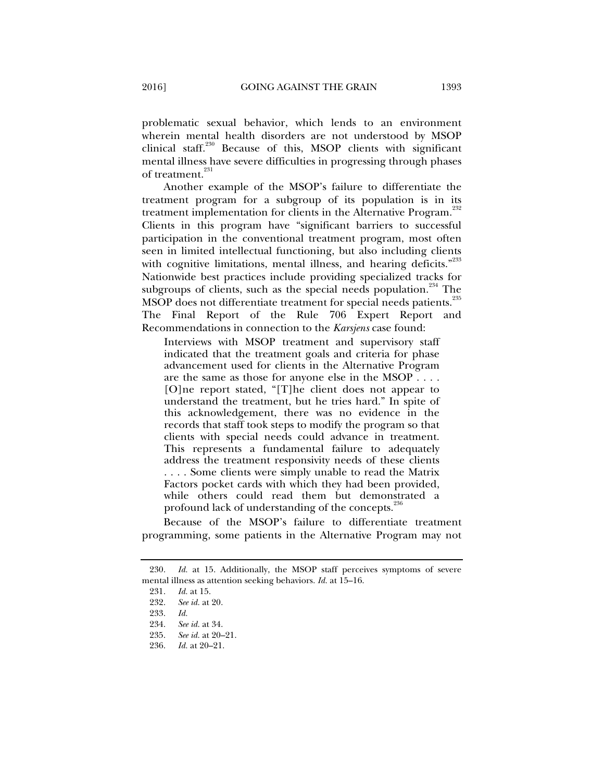problematic sexual behavior, which lends to an environment wherein mental health disorders are not understood by MSOP clinical staff.<sup>230</sup> Because of this, MSOP clients with significant mental illness have severe difficulties in progressing through phases of treatment.<sup>231</sup>

Another example of the MSOP's failure to differentiate the treatment program for a subgroup of its population is in its treatment implementation for clients in the Alternative Program.<sup>232</sup> Clients in this program have "significant barriers to successful participation in the conventional treatment program, most often seen in limited intellectual functioning, but also including clients with cognitive limitations, mental illness, and hearing deficits."<sup>233</sup> Nationwide best practices include providing specialized tracks for subgroups of clients, such as the special needs population.<sup>234</sup> The MSOP does not differentiate treatment for special needs patients.<sup>235</sup> The Final Report of the Rule 706 Expert Report and Recommendations in connection to the *Karsjens* case found:

Interviews with MSOP treatment and supervisory staff indicated that the treatment goals and criteria for phase advancement used for clients in the Alternative Program are the same as those for anyone else in the MSOP . . . . [O]ne report stated, "[T]he client does not appear to understand the treatment, but he tries hard." In spite of this acknowledgement, there was no evidence in the records that staff took steps to modify the program so that clients with special needs could advance in treatment. This represents a fundamental failure to adequately address the treatment responsivity needs of these clients . . . . Some clients were simply unable to read the Matrix Factors pocket cards with which they had been provided, while others could read them but demonstrated a profound lack of understanding of the concepts.<sup>23</sup>

Because of the MSOP's failure to differentiate treatment programming, some patients in the Alternative Program may not

<sup>230.</sup> *Id.* at 15. Additionally, the MSOP staff perceives symptoms of severe mental illness as attention seeking behaviors. *Id.* at 15–16.

<sup>231.</sup> *Id.* at 15.<br>232. *See id.* at

 <sup>232.</sup> *See id.* at 20.

 <sup>233.</sup> *Id.* 

 <sup>234.</sup> *See id.* at 34.

 <sup>235.</sup> *See id.* at 20–21.

 <sup>236.</sup> *Id.* at 20–21.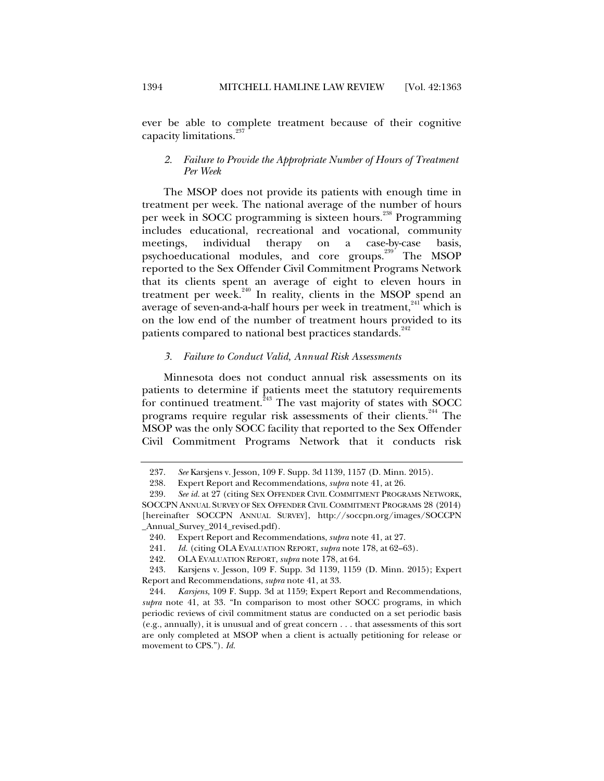ever be able to complete treatment because of their cognitive capacity limitations. $^{237}$ 

#### *2. Failure to Provide the Appropriate Number of Hours of Treatment Per Week*

The MSOP does not provide its patients with enough time in treatment per week. The national average of the number of hours per week in SOCC programming is sixteen hours.<sup>238</sup> Programming includes educational, recreational and vocational, community meetings, individual therapy on a case-by-case basis, psychoeducational modules, and core groups.<sup>239</sup> The MSOP reported to the Sex Offender Civil Commitment Programs Network that its clients spent an average of eight to eleven hours in treatment per week. $240$  In reality, clients in the MSOP spend an average of seven-and-a-half hours per week in treatment,<sup>241</sup> which is on the low end of the number of treatment hours provided to its patients compared to national best practices standards.<sup>242</sup>

#### *3. Failure to Conduct Valid, Annual Risk Assessments*

Minnesota does not conduct annual risk assessments on its patients to determine if patients meet the statutory requirements for continued treatment.<sup>243</sup> The vast majority of states with SOCC programs require regular risk assessments of their clients.<sup>244</sup> The MSOP was the only SOCC facility that reported to the Sex Offender Civil Commitment Programs Network that it conducts risk

 <sup>237.</sup> *See* Karsjens v. Jesson, 109 F. Supp. 3d 1139, 1157 (D. Minn. 2015).

 <sup>238.</sup> Expert Report and Recommendations, *supra* note 41, at 26.

 <sup>239.</sup> *See id.* at 27 (citing SEX OFFENDER CIVIL COMMITMENT PROGRAMS NETWORK, SOCCPN ANNUAL SURVEY OF SEX OFFENDER CIVIL COMMITMENT PROGRAMS 28 (2014) [hereinafter SOCCPN ANNUAL SURVEY], http://soccpn.org/images/SOCCPN \_Annual\_Survey\_2014\_revised.pdf).

 <sup>240.</sup> Expert Report and Recommendations, *supra* note 41, at 27.

 <sup>241.</sup> *Id.* (citing OLA EVALUATION REPORT, *supra* note 178, at 62–63).

 <sup>242.</sup> OLA EVALUATION REPORT, *supra* note 178, at 64.

 <sup>243.</sup> Karsjens v. Jesson, 109 F. Supp. 3d 1139, 1159 (D. Minn. 2015); Expert Report and Recommendations, *supra* note 41, at 33.

 <sup>244.</sup> *Karsjens*, 109 F. Supp. 3d at 1159; Expert Report and Recommendations, *supra* note 41, at 33. "In comparison to most other SOCC programs, in which periodic reviews of civil commitment status are conducted on a set periodic basis (e.g., annually), it is unusual and of great concern . . . that assessments of this sort are only completed at MSOP when a client is actually petitioning for release or movement to CPS."). *Id.*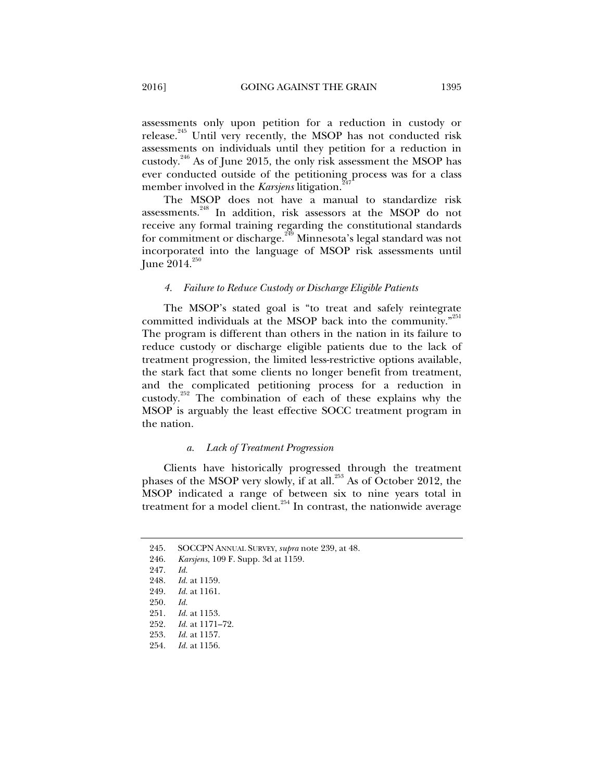assessments only upon petition for a reduction in custody or release.<sup>245</sup> Until very recently, the MSOP has not conducted risk assessments on individuals until they petition for a reduction in custody.246 As of June 2015, the only risk assessment the MSOP has ever conducted outside of the petitioning process was for a class member involved in the *Karsjens* litigation.

The MSOP does not have a manual to standardize risk assessments.<sup>248</sup> In addition, risk assessors at the MSOP do not receive any formal training regarding the constitutional standards for commitment or discharge.<sup>249</sup> Minnesota's legal standard was not incorporated into the language of MSOP risk assessments until June  $2014.^{250}$ 

#### *4. Failure to Reduce Custody or Discharge Eligible Patients*

The MSOP's stated goal is "to treat and safely reintegrate committed individuals at the MSOP back into the community.<sup>"251</sup> The program is different than others in the nation in its failure to reduce custody or discharge eligible patients due to the lack of treatment progression, the limited less-restrictive options available, the stark fact that some clients no longer benefit from treatment, and the complicated petitioning process for a reduction in custody. $252$  The combination of each of these explains why the MSOP is arguably the least effective SOCC treatment program in the nation.

#### *a. Lack of Treatment Progression*

Clients have historically progressed through the treatment phases of the MSOP very slowly, if at all.<sup>253</sup> As of October 2012, the MSOP indicated a range of between six to nine years total in treatment for a model client.<sup>254</sup> In contrast, the nationwide average

 <sup>245.</sup> SOCCPN ANNUAL SURVEY, *supra* note 239, at 48.

 <sup>246.</sup> *Karsjens*, 109 F. Supp. 3d at 1159.

 <sup>247.</sup> *Id.* 

 <sup>248.</sup> *Id.* at 1159.

 <sup>249.</sup> *Id.* at 1161.

 <sup>250.</sup> *Id.* 

 <sup>251.</sup> *Id.* at 1153.

<sup>252.</sup> *Id.* at 1171-72.<br>253. *Id.* at 1157.

*Id.* at 1157.

 <sup>254.</sup> *Id.* at 1156.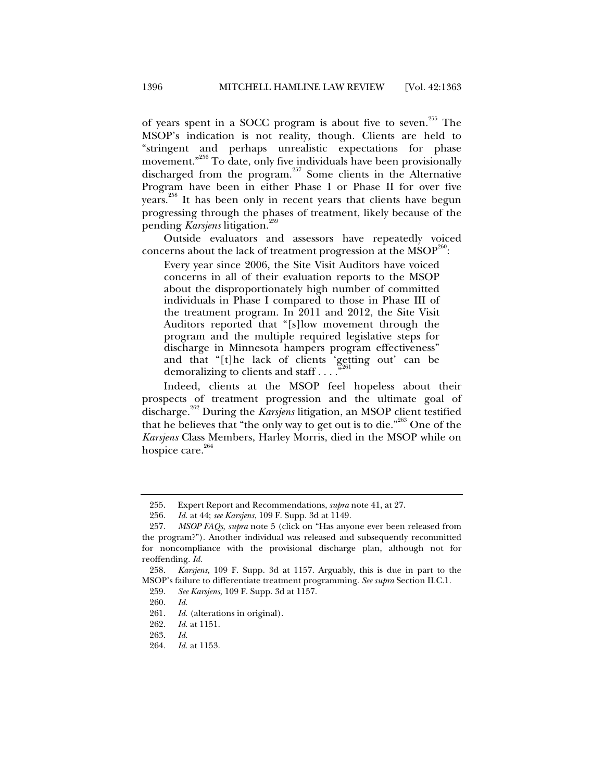of years spent in a SOCC program is about five to seven.<sup>255</sup> The MSOP's indication is not reality, though. Clients are held to "stringent and perhaps unrealistic expectations for phase movement."<sup>256</sup> To date, only five individuals have been provisionally discharged from the program.<sup>257</sup> Some clients in the Alternative Program have been in either Phase I or Phase II for over five years.<sup>258</sup> It has been only in recent years that clients have begun progressing through the phases of treatment, likely because of the pending *Karsjens* litigation.<sup>259</sup>

Outside evaluators and assessors have repeatedly voiced concerns about the lack of treatment progression at the  $\mathrm{MSOP}^{\mathrm{260}}$ :

Every year since 2006, the Site Visit Auditors have voiced concerns in all of their evaluation reports to the MSOP about the disproportionately high number of committed individuals in Phase I compared to those in Phase III of the treatment program. In 2011 and 2012, the Site Visit Auditors reported that "[s]low movement through the program and the multiple required legislative steps for discharge in Minnesota hampers program effectiveness" and that "[t]he lack of clients 'getting out' can be demoralizing to clients and staff  $\dots$ .

Indeed, clients at the MSOP feel hopeless about their prospects of treatment progression and the ultimate goal of discharge.262 During the *Karsjens* litigation, an MSOP client testified that he believes that "the only way to get out is to die."<sup>263</sup> One of the *Karsjens* Class Members, Harley Morris, died in the MSOP while on hospice care.<sup>264</sup>

 <sup>255.</sup> Expert Report and Recommendations, *supra* note 41, at 27.

 <sup>256.</sup> *Id.* at 44; *see Karsjens*, 109 F. Supp. 3d at 1149.

 <sup>257.</sup> *MSOP FAQs*, *supra* note 5 (click on "Has anyone ever been released from the program?"). Another individual was released and subsequently recommitted for noncompliance with the provisional discharge plan, although not for reoffending. *Id.*

 <sup>258.</sup> *Karsjens*, 109 F. Supp. 3d at 1157. Arguably, this is due in part to the MSOP's failure to differentiate treatment programming. *See supra* Section II.C.1.

 <sup>259.</sup> *See Karsjens*, 109 F. Supp. 3d at 1157.

 <sup>260.</sup> *Id.*

 <sup>261.</sup> *Id.* (alterations in original).

 <sup>262.</sup> *Id.* at 1151.

 <sup>263.</sup> *Id.*

 <sup>264.</sup> *Id.* at 1153.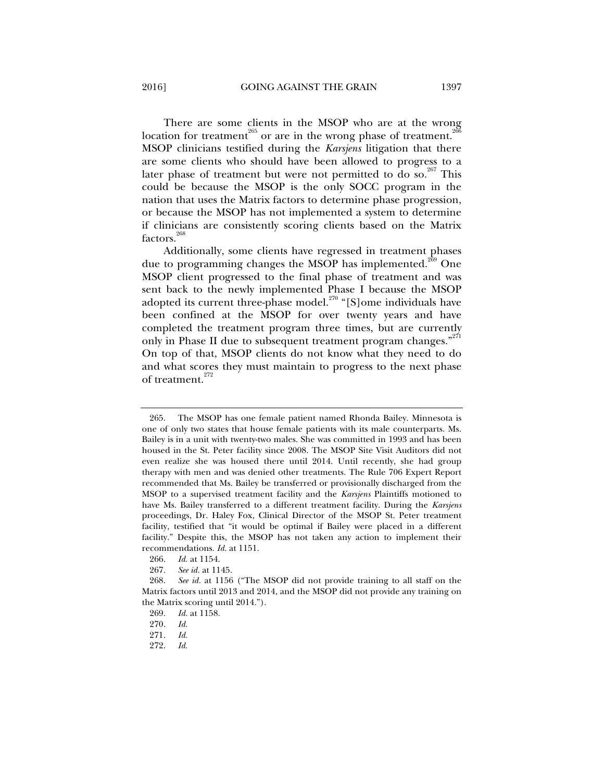There are some clients in the MSOP who are at the wrong location for treatment<sup>265</sup> or are in the wrong phase of treatment.<sup>26</sup> MSOP clinicians testified during the *Karsjens* litigation that there are some clients who should have been allowed to progress to a later phase of treatment but were not permitted to do so.<sup>267</sup> This

could be because the MSOP is the only SOCC program in the nation that uses the Matrix factors to determine phase progression, or because the MSOP has not implemented a system to determine if clinicians are consistently scoring clients based on the Matrix factors.<sup>268</sup>

Additionally, some clients have regressed in treatment phases due to programming changes the MSOP has implemented.<sup>269</sup> One MSOP client progressed to the final phase of treatment and was sent back to the newly implemented Phase I because the MSOP adopted its current three-phase model.<sup>270</sup> "[S]ome individuals have been confined at the MSOP for over twenty years and have completed the treatment program three times, but are currently only in Phase II due to subsequent treatment program changes."<sup>271</sup> On top of that, MSOP clients do not know what they need to do and what scores they must maintain to progress to the next phase of treatment.<sup>272</sup>

 <sup>265.</sup> The MSOP has one female patient named Rhonda Bailey. Minnesota is one of only two states that house female patients with its male counterparts. Ms. Bailey is in a unit with twenty-two males. She was committed in 1993 and has been housed in the St. Peter facility since 2008. The MSOP Site Visit Auditors did not even realize she was housed there until 2014. Until recently, she had group therapy with men and was denied other treatments. The Rule 706 Expert Report recommended that Ms. Bailey be transferred or provisionally discharged from the MSOP to a supervised treatment facility and the *Karsjens* Plaintiffs motioned to have Ms. Bailey transferred to a different treatment facility. During the *Karsjens*  proceedings, Dr. Haley Fox, Clinical Director of the MSOP St. Peter treatment facility, testified that "it would be optimal if Bailey were placed in a different facility." Despite this, the MSOP has not taken any action to implement their recommendations. *Id.* at 1151.

 <sup>266.</sup> *Id.* at 1154.

 <sup>267.</sup> *See id.* at 1145.

 <sup>268.</sup> *See id.* at 1156 ("The MSOP did not provide training to all staff on the Matrix factors until 2013 and 2014, and the MSOP did not provide any training on the Matrix scoring until 2014.").

 <sup>269.</sup> *Id.* at 1158.

 <sup>270.</sup> *Id.* 

 <sup>271.</sup> *Id.*

 <sup>272.</sup> *Id.*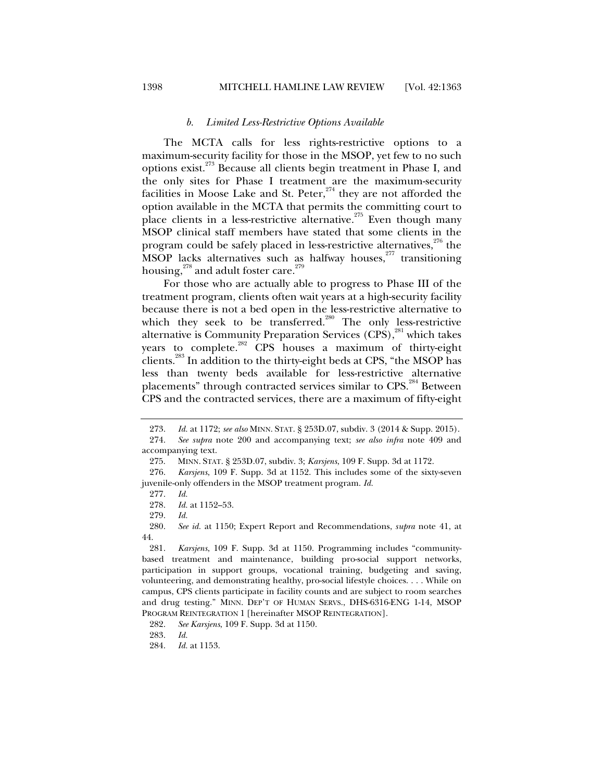# *b. Limited Less-Restrictive Options Available*

The MCTA calls for less rights-restrictive options to a maximum-security facility for those in the MSOP, yet few to no such options exist.273 Because all clients begin treatment in Phase I, and the only sites for Phase I treatment are the maximum-security facilities in Moose Lake and St. Peter, $274$  they are not afforded the option available in the MCTA that permits the committing court to place clients in a less-restrictive alternative.<sup>275</sup> Even though many MSOP clinical staff members have stated that some clients in the program could be safely placed in less-restrictive alternatives, $276$  the MSOP lacks alternatives such as halfway houses, $277$  transitioning housing, $^{278}$  and adult foster care. $^{279}$ 

For those who are actually able to progress to Phase III of the treatment program, clients often wait years at a high-security facility because there is not a bed open in the less-restrictive alternative to which they seek to be transferred.<sup>280</sup> The only less-restrictive alternative is Community Preparation Services (CPS),<sup>281</sup> which takes years to complete.<sup>282</sup> CPS houses a maximum of thirty-eight clients.<sup>283</sup> In addition to the thirty-eight beds at CPS, "the MSOP has less than twenty beds available for less-restrictive alternative placements" through contracted services similar to CPS.<sup>284</sup> Between CPS and the contracted services, there are a maximum of fifty-eight

 276. *Karsjens*, 109 F. Supp. 3d at 1152. This includes some of the sixty-seven juvenile-only offenders in the MSOP treatment program. *Id.*

 <sup>273.</sup> *Id.* at 1172; *see also* MINN. STAT. § 253D.07, subdiv. 3 (2014 & Supp. 2015). 274. *See supra* note 200 and accompanying text; *see also infra* note 409 and

accompanying text.

 <sup>275.</sup> MINN. STAT. § 253D.07, subdiv. 3; *Karsjens*, 109 F. Supp. 3d at 1172.

 <sup>277.</sup> *Id.*

 <sup>278.</sup> *Id.* at 1152–53.

 <sup>279.</sup> *Id.* 

 <sup>280.</sup> *See id.* at 1150; Expert Report and Recommendations, *supra* note 41, at 44.

 <sup>281.</sup> *Karsjens*, 109 F. Supp. 3d at 1150. Programming includes "communitybased treatment and maintenance, building pro-social support networks, participation in support groups, vocational training, budgeting and saving, volunteering, and demonstrating healthy, pro-social lifestyle choices. . . . While on campus, CPS clients participate in facility counts and are subject to room searches and drug testing." MINN. DEP'T OF HUMAN SERVS., DHS-6316-ENG 1-14, MSOP PROGRAM REINTEGRATION 1 [hereinafter MSOP REINTEGRATION].

 <sup>282.</sup> *See Karsjens*, 109 F. Supp. 3d at 1150.

 <sup>283.</sup> *Id.*

 <sup>284.</sup> *Id.* at 1153.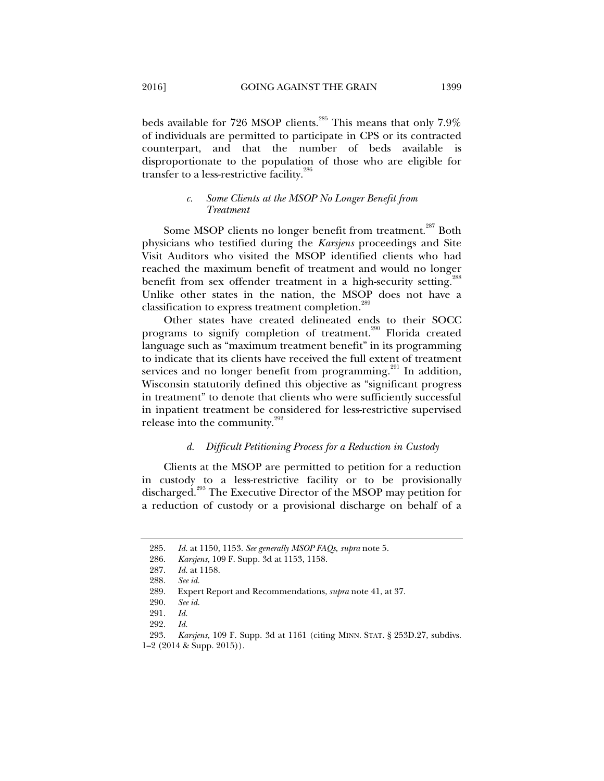beds available for 726 MSOP clients.<sup>285</sup> This means that only 7.9% of individuals are permitted to participate in CPS or its contracted counterpart, and that the number of beds available is disproportionate to the population of those who are eligible for transfer to a less-restrictive facility.<sup>286</sup>

# *c. Some Clients at the MSOP No Longer Benefit from Treatment*

Some MSOP clients no longer benefit from treatment.<sup>287</sup> Both physicians who testified during the *Karsjens* proceedings and Site Visit Auditors who visited the MSOP identified clients who had reached the maximum benefit of treatment and would no longer benefit from sex offender treatment in a high-security setting.<sup>288</sup> Unlike other states in the nation, the MSOP does not have a classification to express treatment completion.<sup>289</sup>

Other states have created delineated ends to their SOCC programs to signify completion of treatment.<sup>290</sup> Florida created language such as "maximum treatment benefit" in its programming to indicate that its clients have received the full extent of treatment services and no longer benefit from programming.<sup>291</sup> In addition, Wisconsin statutorily defined this objective as "significant progress in treatment" to denote that clients who were sufficiently successful in inpatient treatment be considered for less-restrictive supervised release into the community. $292$ 

## *d. Difficult Petitioning Process for a Reduction in Custody*

Clients at the MSOP are permitted to petition for a reduction in custody to a less-restrictive facility or to be provisionally discharged.<sup>293</sup> The Executive Director of the MSOP may petition for a reduction of custody or a provisional discharge on behalf of a

 <sup>285.</sup> *Id.* at 1150, 1153. *See generally MSOP FAQs*, *supra* note 5.

 <sup>286.</sup> *Karsjens*, 109 F. Supp. 3d at 1153, 1158.

 <sup>287.</sup> *Id.* at 1158.

 <sup>288.</sup> *See id.* 

 <sup>289.</sup> Expert Report and Recommendations, *supra* note 41, at 37.

 <sup>290.</sup> *See id.*

 <sup>291.</sup> *Id.*

 <sup>292.</sup> *Id.* 

 <sup>293.</sup> *Karsjens*, 109 F. Supp. 3d at 1161 (citing MINN. STAT. § 253D.27, subdivs. 1–2 (2014 & Supp. 2015)).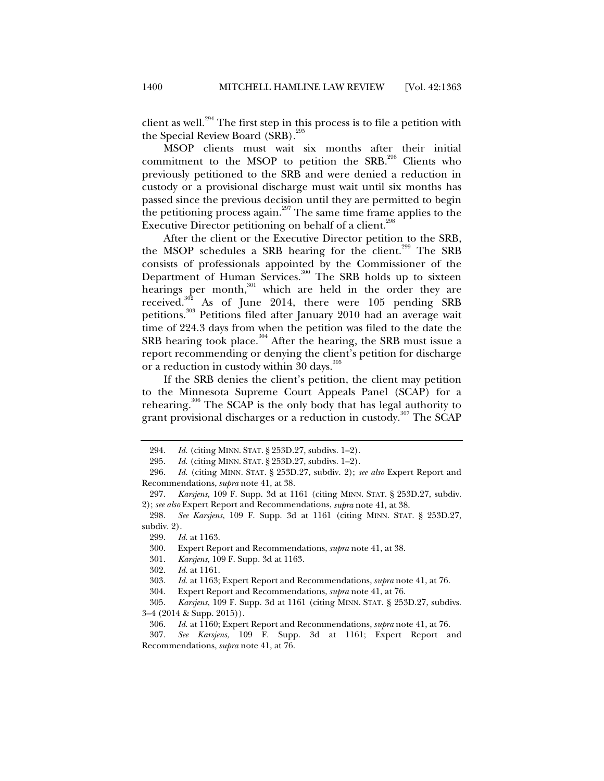client as well.<sup>294</sup> The first step in this process is to file a petition with the Special Review Board  $(SRB)<sup>2</sup>$ 

MSOP clients must wait six months after their initial commitment to the MSOP to petition the  $SRB$ <sup>296</sup> Clients who previously petitioned to the SRB and were denied a reduction in custody or a provisional discharge must wait until six months has passed since the previous decision until they are permitted to begin the petitioning process again.<sup>297</sup> The same time frame applies to the Executive Director petitioning on behalf of a client.<sup>298</sup>

After the client or the Executive Director petition to the SRB, the MSOP schedules a SRB hearing for the client.<sup>299</sup> The SRB consists of professionals appointed by the Commissioner of the Department of Human Services.<sup>300</sup> The SRB holds up to sixteen hearings per month, $301$  which are held in the order they are received. $302$  As of June 2014, there were 105 pending SRB petitions.303 Petitions filed after January 2010 had an average wait time of 224.3 days from when the petition was filed to the date the SRB hearing took place.<sup>304</sup> After the hearing, the SRB must issue a report recommending or denying the client's petition for discharge or a reduction in custody within 30 days.<sup>305</sup>

If the SRB denies the client's petition, the client may petition to the Minnesota Supreme Court Appeals Panel (SCAP) for a rehearing.<sup>306</sup> The SCAP is the only body that has legal authority to grant provisional discharges or a reduction in custody.<sup>307</sup> The SCAP

 307. *See Karsjens*, 109 F. Supp. 3d at 1161; Expert Report and Recommendations, *supra* note 41, at 76.

 <sup>294.</sup> *Id.* (citing MINN. STAT. § 253D.27, subdivs. 1–2).

<sup>295.</sup> *Id.* (citing MINN. STAT. § 253D.27, subdivs. 1–2).<br>296. *Id.* (citing MINN. STAT. § 253D.27, subdiv. 2); *s* 

 <sup>296.</sup> *Id.* (citing MINN. STAT. § 253D.27, subdiv. 2); *see also* Expert Report and Recommendations, *supra* note 41, at 38.

 <sup>297.</sup> *Karsjens*, 109 F. Supp. 3d at 1161 (citing MINN. STAT. § 253D.27, subdiv. 2); *see also* Expert Report and Recommendations, *supra* note 41, at 38.

 <sup>298.</sup> *See Karsjens*, 109 F. Supp. 3d at 1161 (citing MINN. STAT. § 253D.27, subdiv. 2).

 <sup>299.</sup> *Id.* at 1163.

 <sup>300.</sup> Expert Report and Recommendations, *supra* note 41, at 38.

 <sup>301.</sup> *Karsjens*, 109 F. Supp. 3d at 1163.

 <sup>302.</sup> *Id.* at 1161.

 <sup>303.</sup> *Id.* at 1163; Expert Report and Recommendations, *supra* note 41, at 76.

 <sup>304.</sup> Expert Report and Recommendations, *supra* note 41, at 76.

 <sup>305.</sup> *Karsjens*, 109 F. Supp. 3d at 1161 (citing MINN. STAT. § 253D.27, subdivs. 3–4 (2014 & Supp. 2015)).

 <sup>306.</sup> *Id.* at 1160; Expert Report and Recommendations, *supra* note 41, at 76.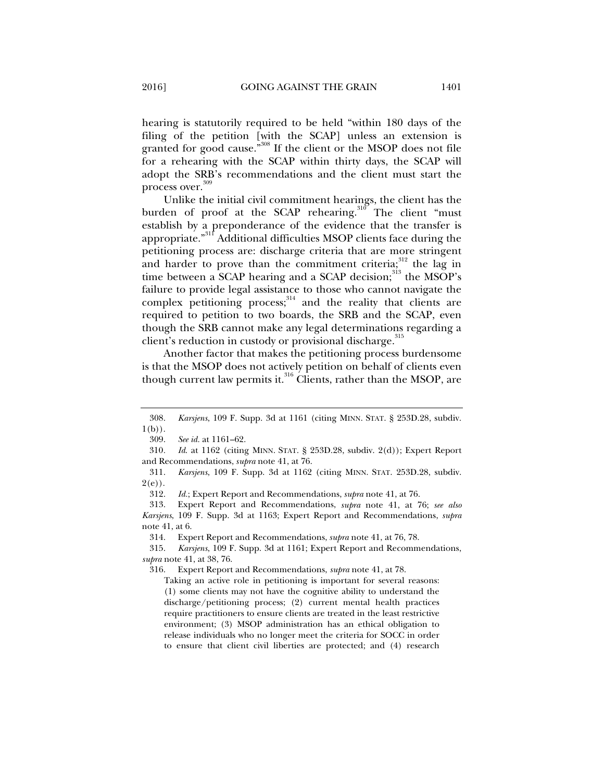hearing is statutorily required to be held "within 180 days of the filing of the petition [with the SCAP] unless an extension is granted for good cause."<sup>308</sup> If the client or the MSOP does not file for a rehearing with the SCAP within thirty days, the SCAP will adopt the SRB's recommendations and the client must start the process over.<sup>309</sup>

Unlike the initial civil commitment hearings, the client has the burden of proof at the SCAP rehearing.<sup>310</sup> The client "must" establish by a preponderance of the evidence that the transfer is appropriate."311 Additional difficulties MSOP clients face during the petitioning process are: discharge criteria that are more stringent and harder to prove than the commitment criteria; $312$  the lag in time between a SCAP hearing and a SCAP decision;<sup>313</sup> the MSOP's failure to provide legal assistance to those who cannot navigate the complex petitioning process; $314$  and the reality that clients are required to petition to two boards, the SRB and the SCAP, even though the SRB cannot make any legal determinations regarding a client's reduction in custody or provisional discharge.<sup>315</sup>

Another factor that makes the petitioning process burdensome is that the MSOP does not actively petition on behalf of clients even though current law permits it. $316$  Clients, rather than the MSOP, are

316. Expert Report and Recommendations, *supra* note 41, at 78.

 <sup>308.</sup> *Karsjens*, 109 F. Supp. 3d at 1161 (citing MINN. STAT. § 253D.28, subdiv.  $1(b)$ ).

 <sup>309.</sup> *See id.* at 1161–62.

<sup>310</sup>*. Id*. at 1162 (citing MINN. STAT. § 253D.28, subdiv. 2(d)); Expert Report and Recommendations, *supra* note 41, at 76.

 <sup>311.</sup> *Karsjens*, 109 F. Supp. 3d at 1162 (citing MINN. STAT. 253D.28, subdiv.  $2(e)$ ).

 <sup>312.</sup> *Id.*; Expert Report and Recommendations, *supra* note 41, at 76.

 <sup>313.</sup> Expert Report and Recommendations, *supra* note 41, at 76; *see also Karsjens*, 109 F. Supp. 3d at 1163; Expert Report and Recommendations, *supra*  note 41, at 6.

 <sup>314.</sup> Expert Report and Recommendations, *supra* note 41, at 76, 78.

 <sup>315.</sup> *Karsjens*, 109 F. Supp. 3d at 1161; Expert Report and Recommendations, *supra* note 41, at 38, 76.

Taking an active role in petitioning is important for several reasons: (1) some clients may not have the cognitive ability to understand the discharge/petitioning process; (2) current mental health practices require practitioners to ensure clients are treated in the least restrictive environment; (3) MSOP administration has an ethical obligation to release individuals who no longer meet the criteria for SOCC in order to ensure that client civil liberties are protected; and (4) research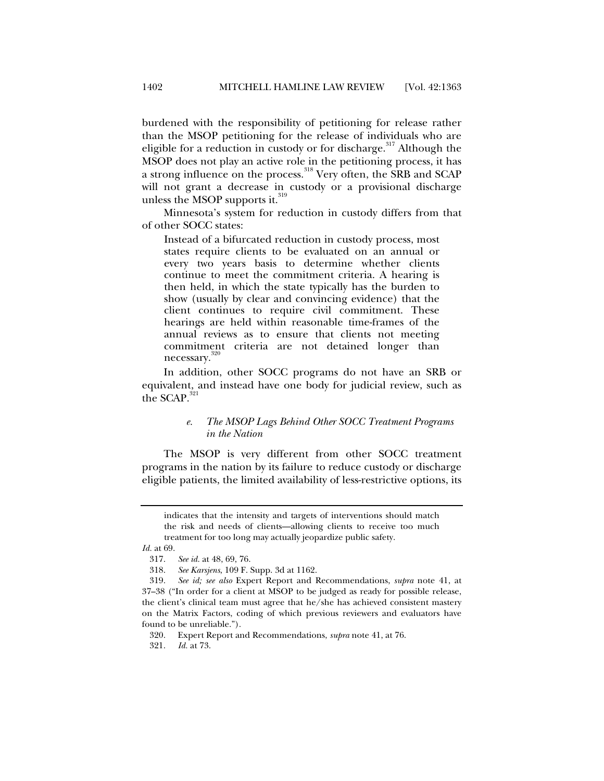burdened with the responsibility of petitioning for release rather than the MSOP petitioning for the release of individuals who are eligible for a reduction in custody or for discharge.<sup>317</sup> Although the MSOP does not play an active role in the petitioning process, it has a strong influence on the process.<sup>318</sup> Very often, the SRB and SCAP will not grant a decrease in custody or a provisional discharge unless the MSOP supports it. $319$ 

Minnesota's system for reduction in custody differs from that of other SOCC states:

Instead of a bifurcated reduction in custody process, most states require clients to be evaluated on an annual or every two years basis to determine whether clients continue to meet the commitment criteria. A hearing is then held, in which the state typically has the burden to show (usually by clear and convincing evidence) that the client continues to require civil commitment. These hearings are held within reasonable time-frames of the annual reviews as to ensure that clients not meeting commitment criteria are not detained longer than necessary.<sup>320</sup>

In addition, other SOCC programs do not have an SRB or equivalent, and instead have one body for judicial review, such as the SCAP. $^{321}$ 

# *e. The MSOP Lags Behind Other SOCC Treatment Programs in the Nation*

The MSOP is very different from other SOCC treatment programs in the nation by its failure to reduce custody or discharge eligible patients, the limited availability of less-restrictive options, its

321. *Id.* at 73.

indicates that the intensity and targets of interventions should match the risk and needs of clients—allowing clients to receive too much treatment for too long may actually jeopardize public safety.

*Id.* at 69.

 <sup>317.</sup> *See id.* at 48, 69, 76.

 <sup>318.</sup> *See Karsjens*, 109 F. Supp. 3d at 1162.

 <sup>319.</sup> *See id; see also* Expert Report and Recommendations, *supra* note 41, at 37–38 ("In order for a client at MSOP to be judged as ready for possible release, the client's clinical team must agree that he/she has achieved consistent mastery on the Matrix Factors, coding of which previous reviewers and evaluators have found to be unreliable.").

 <sup>320.</sup> Expert Report and Recommendations, *supra* note 41, at 76.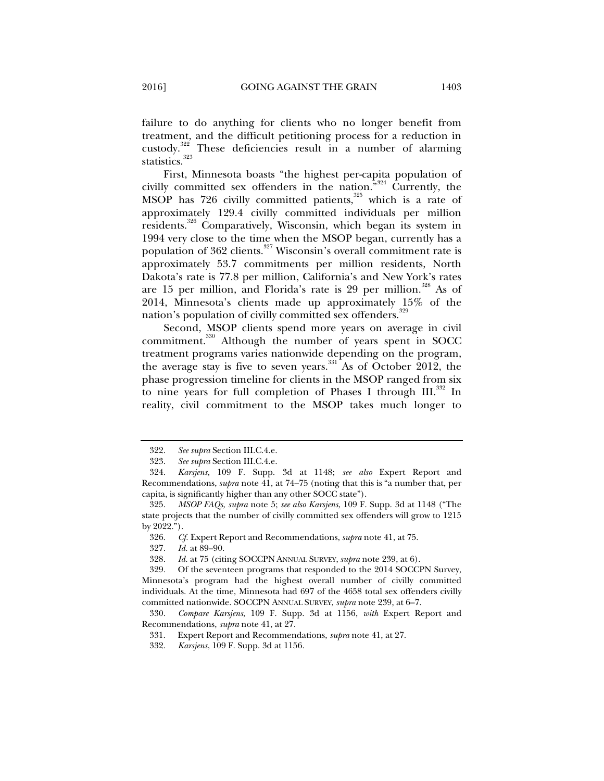failure to do anything for clients who no longer benefit from treatment, and the difficult petitioning process for a reduction in custody.322 These deficiencies result in a number of alarming statistics.<sup>323</sup>

First, Minnesota boasts "the highest per-capita population of civilly committed sex offenders in the nation."324 Currently, the MSOP has  $726$  civilly committed patients,  $325$  which is a rate of approximately 129.4 civilly committed individuals per million residents.326 Comparatively, Wisconsin, which began its system in 1994 very close to the time when the MSOP began, currently has a population of 362 clients.<sup>327</sup> Wisconsin's overall commitment rate is approximately 53.7 commitments per million residents, North Dakota's rate is 77.8 per million, California's and New York's rates are 15 per million, and Florida's rate is 29 per million.<sup>328</sup> As of 2014, Minnesota's clients made up approximately 15% of the nation's population of civilly committed sex offenders.<sup>329</sup>

Second, MSOP clients spend more years on average in civil commitment.<sup>330</sup> Although the number of years spent in SOCC treatment programs varies nationwide depending on the program, the average stay is five to seven years.<sup>331</sup> As of October 2012, the phase progression timeline for clients in the MSOP ranged from six to nine years for full completion of Phases I through  $III$ <sup>332</sup> In reality, civil commitment to the MSOP takes much longer to

326. *Cf.* Expert Report and Recommendations, *supra* note 41, at 75.

327. *Id.* at 89–90.

328. *Id.* at 75 (citing SOCCPN ANNUAL SURVEY, *supra* note 239, at 6).

- 331. Expert Report and Recommendations, *supra* note 41, at 27.
- 332. *Karsjens*, 109 F. Supp. 3d at 1156.

 <sup>322.</sup> *See supra* Section III.C.4.e.

 <sup>323.</sup> *See supra* Section III.C.4.e.

 <sup>324.</sup> *Karsjens*, 109 F. Supp. 3d at 1148; *see also* Expert Report and Recommendations, *supra* note 41, at 74–75 (noting that this is "a number that, per capita, is significantly higher than any other SOCC state").

 <sup>325.</sup> *MSOP FAQs*, *supra* note 5; *see also Karsjens*, 109 F. Supp. 3d at 1148 ("The state projects that the number of civilly committed sex offenders will grow to 1215 by 2022.").

 <sup>329.</sup> Of the seventeen programs that responded to the 2014 SOCCPN Survey, Minnesota's program had the highest overall number of civilly committed individuals. At the time, Minnesota had 697 of the 4658 total sex offenders civilly committed nationwide. SOCCPN ANNUAL SURVEY, *supra* note 239, at 6–7.

 <sup>330.</sup> *Compare Karsjens*, 109 F. Supp. 3d at 1156, *with* Expert Report and Recommendations, *supra* note 41, at 27.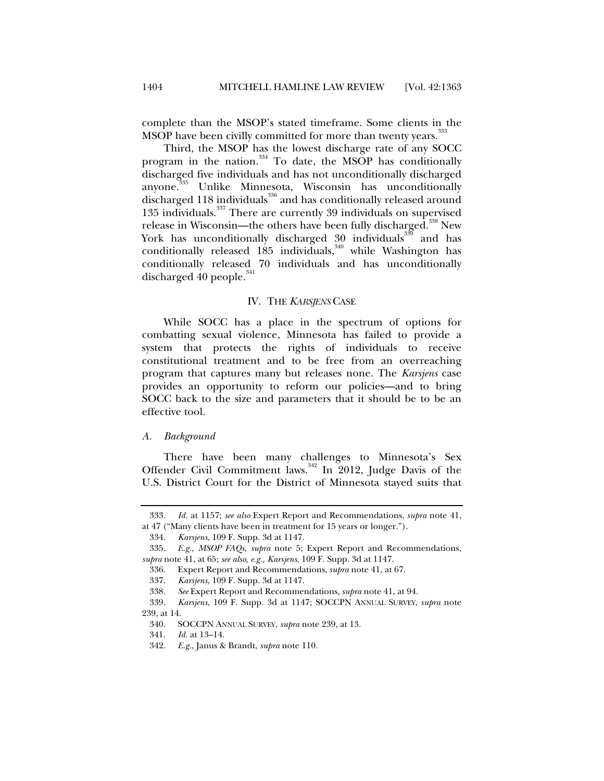complete than the MSOP's stated timeframe. Some clients in the MSOP have been civilly committed for more than twenty years.<sup>3</sup>

Third, the MSOP has the lowest discharge rate of any SOCC program in the nation.<sup>334</sup> To date, the MSOP has conditionally discharged five individuals and has not unconditionally discharged anyone.335 Unlike Minnesota, Wisconsin has unconditionally discharged 118 individuals<sup>336</sup> and has conditionally released around 135 individuals.<sup>337</sup> There are currently 39 individuals on supervised release in Wisconsin—the others have been fully discharged.<sup>338</sup> New York has unconditionally discharged 30 individuals<sup>339</sup> and has conditionally released  $185$  individuals,<sup>340</sup> while Washington has conditionally released 70 individuals and has unconditionally discharged  $40$  people. $341$ 

#### IV. THE *KARSJENS* CASE

While SOCC has a place in the spectrum of options for combatting sexual violence, Minnesota has failed to provide a system that protects the rights of individuals to receive constitutional treatment and to be free from an overreaching program that captures many but releases none. The *Karsjens* case provides an opportunity to reform our policies—and to bring SOCC back to the size and parameters that it should be to be an effective tool.

#### *A. Background*

There have been many challenges to Minnesota's Sex Offender Civil Commitment laws.<sup>342</sup> In 2012, Judge Davis of the U.S. District Court for the District of Minnesota stayed suits that

 <sup>333.</sup> *Id.* at 1157; *see also* Expert Report and Recommendations, *supra* note 41, at 47 ("Many clients have been in treatment for 15 years or longer.").

 <sup>334.</sup> *Karsjens*, 109 F. Supp. 3d at 1147.

 <sup>335.</sup> *E.g.*, *MSOP FAQs*, *supra* note 5; Expert Report and Recommendations, *supra* note 41, at 65; *see also, e.g., Karsjens*, 109 F. Supp. 3d at 1147.

 <sup>336.</sup> Expert Report and Recommendations, *supra* note 41, at 67.

 <sup>337.</sup> *Karsjens*, 109 F. Supp. 3d at 1147.

 <sup>338.</sup> *See* Expert Report and Recommendations, *supra* note 41, at 94.

 <sup>339.</sup> *Karsjens*, 109 F. Supp. 3d at 1147; SOCCPN ANNUAL SURVEY, *supra* note 239, at 14.

 <sup>340.</sup> SOCCPN ANNUAL SURVEY, *supra* note 239, at 13.

 <sup>341.</sup> *Id.* at 13–14.

 <sup>342.</sup> *E.g.*, Janus & Brandt, *supra* note 110.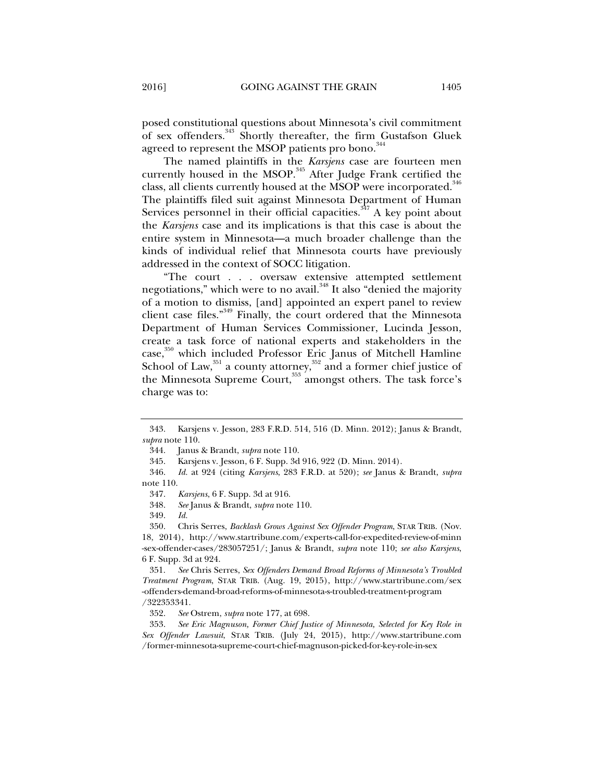posed constitutional questions about Minnesota's civil commitment of sex offenders.<sup>343</sup> Shortly thereafter, the firm Gustafson Gluek agreed to represent the MSOP patients pro bono.<sup>344</sup>

The named plaintiffs in the *Karsjens* case are fourteen men currently housed in the MSOP.<sup>345</sup> After Judge Frank certified the class, all clients currently housed at the MSOP were incorporated.<sup>346</sup> The plaintiffs filed suit against Minnesota Department of Human Services personnel in their official capacities. $347$  A key point about the *Karsjens* case and its implications is that this case is about the entire system in Minnesota—a much broader challenge than the kinds of individual relief that Minnesota courts have previously addressed in the context of SOCC litigation.

"The court . . . oversaw extensive attempted settlement negotiations," which were to no avail.<sup>348</sup> It also "denied the majority of a motion to dismiss, [and] appointed an expert panel to review client case files."349 Finally, the court ordered that the Minnesota Department of Human Services Commissioner, Lucinda Jesson, create a task force of national experts and stakeholders in the case,<sup>350</sup> which included Professor Eric Janus of Mitchell Hamline School of Law, $^{351}$  a county attorney, $^{352}$  and a former chief justice of the Minnesota Supreme Court,<sup>353</sup> amongst others. The task force's charge was to:

 <sup>343.</sup> Karsjens v. Jesson, 283 F.R.D. 514, 516 (D. Minn. 2012); Janus & Brandt, *supra* note 110.

 <sup>344.</sup> Janus & Brandt, *supra* note 110.

 <sup>345.</sup> Karsjens v. Jesson, 6 F. Supp. 3d 916, 922 (D. Minn. 2014).

 <sup>346.</sup> *Id.* at 924 (citing *Karsjens*, 283 F.R.D. at 520); *see* Janus & Brandt, *supra*  note 110.

 <sup>347.</sup> *Karsjens*, 6 F. Supp. 3d at 916.

 <sup>348.</sup> *See* Janus & Brandt, *supra* note 110.

 <sup>349.</sup> *Id.* 

 <sup>350.</sup> Chris Serres, *Backlash Grows Against Sex Offender Program*, STAR TRIB. (Nov. 18, 2014), http://www.startribune.com/experts-call-for-expedited-review-of-minn -sex-offender-cases/283057251/; Janus & Brandt, *supra* note 110; *see also Karsjens*, 6 F. Supp. 3d at 924.

 <sup>351.</sup> *See* Chris Serres, *Sex Offenders Demand Broad Reforms of Minnesota's Troubled Treatment Program*, STAR TRIB. (Aug. 19, 2015), http://www.startribune.com/sex -offenders-demand-broad-reforms-of-minnesota-s-troubled-treatment-program /322353341.

 <sup>352.</sup> *See* Ostrem, *supra* note 177, at 698.

 <sup>353.</sup> *See Eric Magnuson, Former Chief Justice of Minnesota, Selected for Key Role in Sex Offender Lawsuit*, STAR TRIB. (July 24, 2015), http://www.startribune.com /former-minnesota-supreme-court-chief-magnuson-picked-for-key-role-in-sex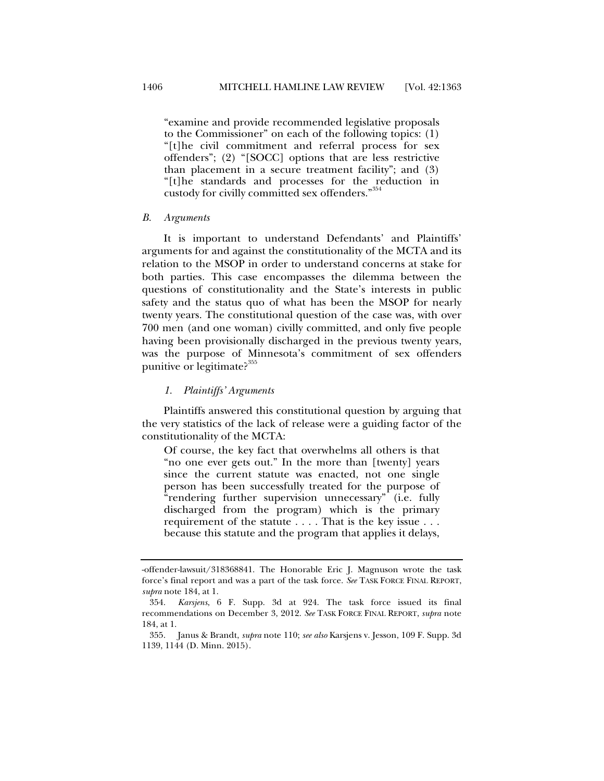"examine and provide recommended legislative proposals to the Commissioner" on each of the following topics: (1) "[t]he civil commitment and referral process for sex offenders"; (2) "[SOCC] options that are less restrictive than placement in a secure treatment facility"; and (3) "[t]he standards and processes for the reduction in custody for civilly committed sex offenders." 354

#### *B. Arguments*

It is important to understand Defendants' and Plaintiffs' arguments for and against the constitutionality of the MCTA and its relation to the MSOP in order to understand concerns at stake for both parties. This case encompasses the dilemma between the questions of constitutionality and the State's interests in public safety and the status quo of what has been the MSOP for nearly twenty years. The constitutional question of the case was, with over 700 men (and one woman) civilly committed, and only five people having been provisionally discharged in the previous twenty years, was the purpose of Minnesota's commitment of sex offenders punitive or legitimate?<sup>355</sup>

## *1. Plaintiffs' Arguments*

Plaintiffs answered this constitutional question by arguing that the very statistics of the lack of release were a guiding factor of the constitutionality of the MCTA:

Of course, the key fact that overwhelms all others is that "no one ever gets out." In the more than [twenty] years since the current statute was enacted, not one single person has been successfully treated for the purpose of "rendering further supervision unnecessary" (i.e. fully discharged from the program) which is the primary requirement of the statute . . . . That is the key issue . . . because this statute and the program that applies it delays,

<sup>-</sup>offender-lawsuit/318368841. The Honorable Eric J. Magnuson wrote the task force's final report and was a part of the task force. *See* TASK FORCE FINAL REPORT, *supra* note 184, at 1.

 <sup>354.</sup> *Karsjens*, 6 F. Supp. 3d at 924. The task force issued its final recommendations on December 3, 2012. *See* TASK FORCE FINAL REPORT, *supra* note 184, at 1.

 <sup>355.</sup> Janus & Brandt, *supra* note 110; *see also* Karsjens v. Jesson, 109 F. Supp. 3d 1139, 1144 (D. Minn. 2015).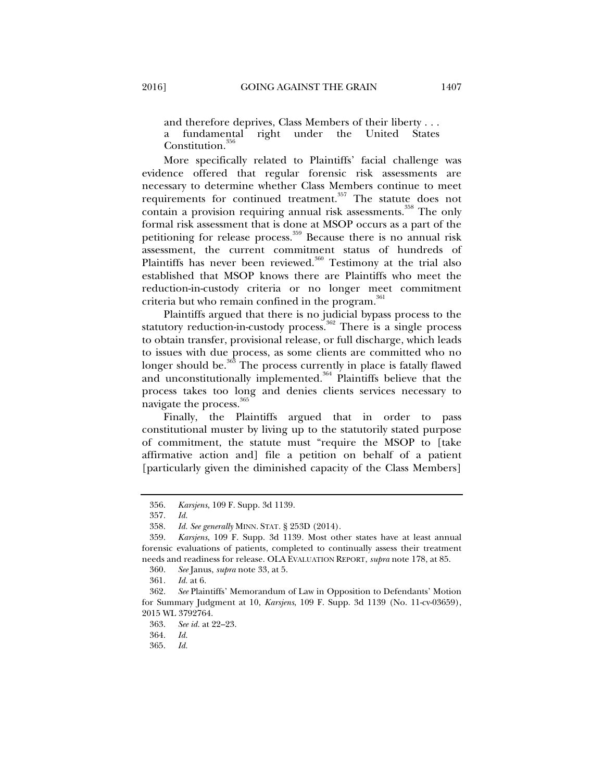and therefore deprives, Class Members of their liberty . . . a fundamental right under the United States Constitution.<sup>35</sup>

More specifically related to Plaintiffs' facial challenge was evidence offered that regular forensic risk assessments are necessary to determine whether Class Members continue to meet requirements for continued treatment.<sup>357</sup> The statute does not contain a provision requiring annual risk assessments.<sup>358</sup> The only formal risk assessment that is done at MSOP occurs as a part of the petitioning for release process.<sup>359</sup> Because there is no annual risk assessment, the current commitment status of hundreds of Plaintiffs has never been reviewed.<sup>360</sup> Testimony at the trial also established that MSOP knows there are Plaintiffs who meet the reduction-in-custody criteria or no longer meet commitment criteria but who remain confined in the program.<sup>361</sup>

Plaintiffs argued that there is no judicial bypass process to the statutory reduction-in-custody process.<sup>362</sup> There is a single process</sup> to obtain transfer, provisional release, or full discharge, which leads to issues with due process, as some clients are committed who no longer should be.<sup>363</sup> The process currently in place is fatally flawed and unconstitutionally implemented.<sup>364</sup> Plaintiffs believe that the process takes too long and denies clients services necessary to navigate the process.<sup>365</sup>

Finally, the Plaintiffs argued that in order to pass constitutional muster by living up to the statutorily stated purpose of commitment, the statute must "require the MSOP to [take affirmative action and] file a petition on behalf of a patient [particularly given the diminished capacity of the Class Members]

 <sup>356.</sup> *Karsjens*, 109 F. Supp. 3d 1139.

 <sup>357.</sup> *Id.*

 <sup>358.</sup> *Id. See generally* MINN. STAT. § 253D (2014).

 <sup>359.</sup> *Karsjens*, 109 F. Supp. 3d 1139*.* Most other states have at least annual forensic evaluations of patients, completed to continually assess their treatment needs and readiness for release. OLA EVALUATION REPORT, *supra* note 178, at 85.

 <sup>360.</sup> *See* Janus, *supra* note 33, at 5.

 <sup>361.</sup> *Id.* at 6.

 <sup>362.</sup> *See* Plaintiffs' Memorandum of Law in Opposition to Defendants' Motion for Summary Judgment at 10, *Karsjens*, 109 F. Supp. 3d 1139 (No. 11-cv-03659), 2015 WL 3792764.

 <sup>363.</sup> *See id.* at 22–23.

 <sup>364.</sup> *Id.* 

 <sup>365.</sup> *Id.*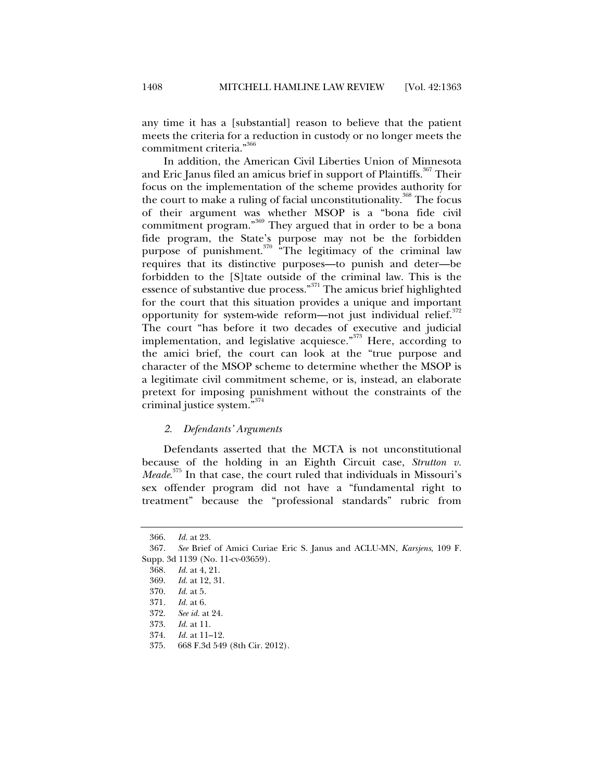any time it has a [substantial] reason to believe that the patient meets the criteria for a reduction in custody or no longer meets the commitment criteria." 366

In addition, the American Civil Liberties Union of Minnesota and Eric Janus filed an amicus brief in support of Plaintiffs.<sup>367</sup> Their focus on the implementation of the scheme provides authority for the court to make a ruling of facial unconstitutionality.<sup>368</sup> The focus of their argument was whether MSOP is a "bona fide civil commitment program."369 They argued that in order to be a bona fide program, the State's purpose may not be the forbidden purpose of punishment.<sup>370</sup> "The legitimacy of the criminal law requires that its distinctive purposes—to punish and deter—be forbidden to the [S]tate outside of the criminal law. This is the essence of substantive due process."371 The amicus brief highlighted for the court that this situation provides a unique and important opportunity for system-wide reform—not just individual relief. $372$ The court "has before it two decades of executive and judicial implementation, and legislative acquiesce."<sup>373</sup> Here, according to the amici brief, the court can look at the "true purpose and character of the MSOP scheme to determine whether the MSOP is a legitimate civil commitment scheme, or is, instead, an elaborate pretext for imposing punishment without the constraints of the criminal justice system."374

#### *2. Defendants' Arguments*

Defendants asserted that the MCTA is not unconstitutional because of the holding in an Eighth Circuit case, *Strutton v. Meade*. 375 In that case, the court ruled that individuals in Missouri's sex offender program did not have a "fundamental right to treatment" because the "professional standards" rubric from

 <sup>366.</sup> *Id.* at 23.

 <sup>367.</sup> *See* Brief of Amici Curiae Eric S. Janus and ACLU-MN, *Karsjens*, 109 F. Supp. 3d 1139 (No. 11-cv-03659).

 <sup>368.</sup> *Id.* at 4, 21.

 <sup>369.</sup> *Id.* at 12, 31.

 <sup>370.</sup> *Id.* at 5.

 <sup>371.</sup> *Id.* at 6.

 <sup>372.</sup> *See id.* at 24.

 <sup>373.</sup> *Id.* at 11.

 <sup>374.</sup> *Id.* at 11–12.

 <sup>375. 668</sup> F.3d 549 (8th Cir. 2012).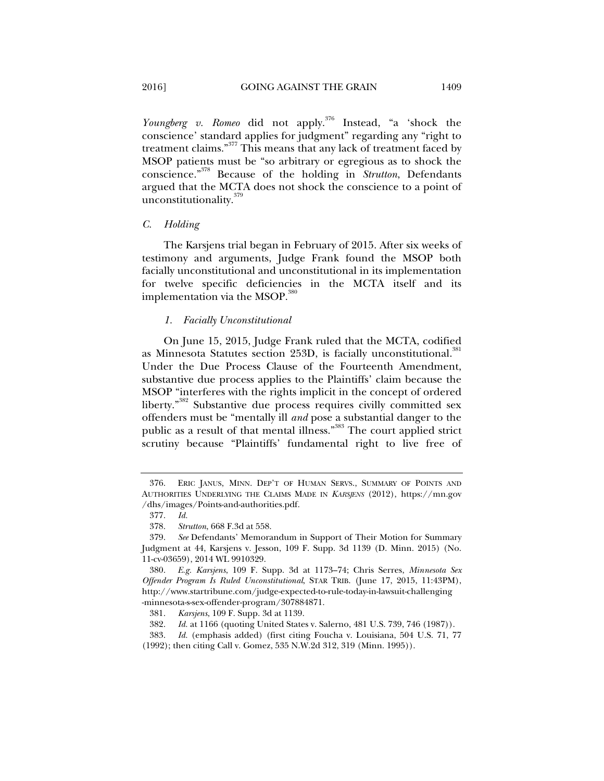*Youngberg v. Romeo* did not apply.376 Instead, "a 'shock the conscience' standard applies for judgment" regarding any "right to treatment claims."377 This means that any lack of treatment faced by MSOP patients must be "so arbitrary or egregious as to shock the conscience."378 Because of the holding in *Strutton*, Defendants argued that the MCTA does not shock the conscience to a point of unconstitutionality.<sup>379</sup>

## *C. Holding*

The Karsjens trial began in February of 2015. After six weeks of testimony and arguments, Judge Frank found the MSOP both facially unconstitutional and unconstitutional in its implementation for twelve specific deficiencies in the MCTA itself and its implementation via the MSOP.<sup>380</sup>

## *1. Facially Unconstitutional*

On June 15, 2015, Judge Frank ruled that the MCTA, codified as Minnesota Statutes section 253D, is facially unconstitutional.<sup>381</sup> Under the Due Process Clause of the Fourteenth Amendment, substantive due process applies to the Plaintiffs' claim because the MSOP "interferes with the rights implicit in the concept of ordered liberty."382 Substantive due process requires civilly committed sex offenders must be "mentally ill *and* pose a substantial danger to the public as a result of that mental illness."<sup>383</sup> The court applied strict scrutiny because "Plaintiffs' fundamental right to live free of

 <sup>376.</sup> ERIC JANUS, MINN. DEP'T OF HUMAN SERVS., SUMMARY OF POINTS AND AUTHORITIES UNDERLYING THE CLAIMS MADE IN *KARSJENS* (2012), https://mn.gov /dhs/images/Points-and-authorities.pdf.

 <sup>377.</sup> *Id.* 

 <sup>378.</sup> *Strutton*, 668 F.3d at 558.

 <sup>379.</sup> *See* Defendants' Memorandum in Support of Their Motion for Summary Judgment at 44, Karsjens v. Jesson, 109 F. Supp. 3d 1139 (D. Minn. 2015) (No. 11-cv-03659), 2014 WL 9910329.

 <sup>380.</sup> *E.g. Karsjens*, 109 F. Supp. 3d at 1173–74; Chris Serres, *Minnesota Sex Offender Program Is Ruled Unconstitutional*, STAR TRIB. (June 17, 2015, 11:43PM), http://www.startribune.com/judge-expected-to-rule-today-in-lawsuit-challenging -minnesota-s-sex-offender-program/307884871.

 <sup>381.</sup> *Karsjens*, 109 F. Supp. 3d at 1139.

 <sup>382.</sup> *Id.* at 1166 (quoting United States v. Salerno, 481 U.S. 739, 746 (1987)).

 <sup>383.</sup> *Id.* (emphasis added) (first citing Foucha v. Louisiana, 504 U.S. 71, 77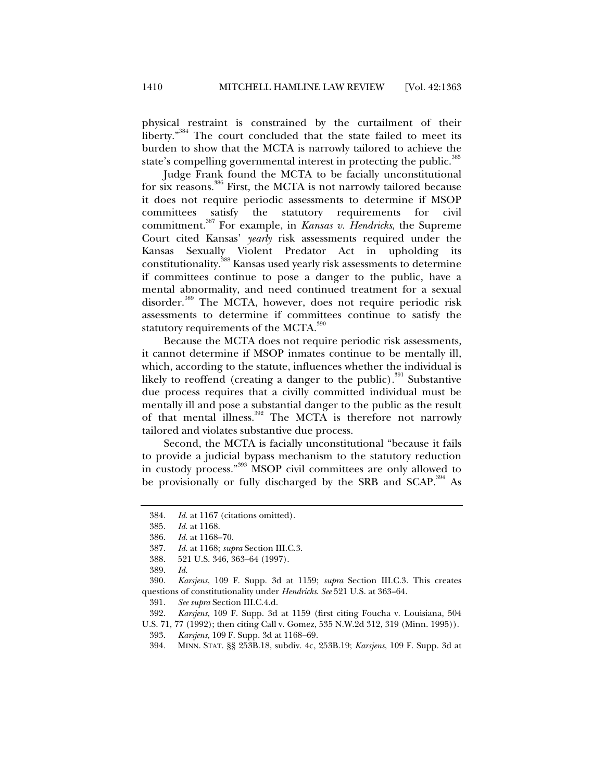physical restraint is constrained by the curtailment of their liberty."<sup>384</sup> The court concluded that the state failed to meet its burden to show that the MCTA is narrowly tailored to achieve the state's compelling governmental interest in protecting the public.<sup>385</sup>

Judge Frank found the MCTA to be facially unconstitutional for six reasons.<sup>386</sup> First, the MCTA is not narrowly tailored because it does not require periodic assessments to determine if MSOP committees satisfy the statutory requirements for civil commitment.387 For example, in *Kansas v. Hendricks*, the Supreme Court cited Kansas' *yearly* risk assessments required under the Kansas Sexually Violent Predator Act in upholding its constitutionality.388 Kansas used yearly risk assessments to determine if committees continue to pose a danger to the public, have a mental abnormality, and need continued treatment for a sexual disorder.<sup>389</sup> The MCTA, however, does not require periodic risk assessments to determine if committees continue to satisfy the statutory requirements of the MCTA.<sup>390</sup>

Because the MCTA does not require periodic risk assessments, it cannot determine if MSOP inmates continue to be mentally ill, which, according to the statute, influences whether the individual is likely to reoffend (creating a danger to the public).<sup>391</sup> Substantive due process requires that a civilly committed individual must be mentally ill and pose a substantial danger to the public as the result of that mental illness.<sup>392</sup> The MCTA is therefore not narrowly tailored and violates substantive due process.

Second, the MCTA is facially unconstitutional "because it fails to provide a judicial bypass mechanism to the statutory reduction in custody process."393 MSOP civil committees are only allowed to be provisionally or fully discharged by the SRB and SCAP.<sup>394</sup> As

 390. *Karsjens*, 109 F. Supp. 3d at 1159; *supra* Section III.C.3. This creates questions of constitutionality under *Hendricks*. *See* 521 U.S. at 363–64.

391. *See supra* Section III.C.4.d.

 392. *Karsjens*, 109 F. Supp. 3d at 1159 (first citing Foucha v. Louisiana, 504 U.S. 71, 77 (1992); then citing Call v. Gomez, 535 N.W.2d 312, 319 (Minn. 1995)).

 <sup>384.</sup> *Id.* at 1167 (citations omitted).

 <sup>385.</sup> *Id.* at 1168.

 <sup>386.</sup> *Id.* at 1168–70.

 <sup>387.</sup> *Id.* at 1168; *supra* Section III.C.3.

 <sup>388. 521</sup> U.S. 346, 363–64 (1997).

 <sup>389.</sup> *Id.*

 <sup>393.</sup> *Karsjens*, 109 F. Supp. 3d at 1168–69.

 <sup>394.</sup> MINN. STAT. §§ 253B.18, subdiv. 4c, 253B.19; *Karsjens*, 109 F. Supp. 3d at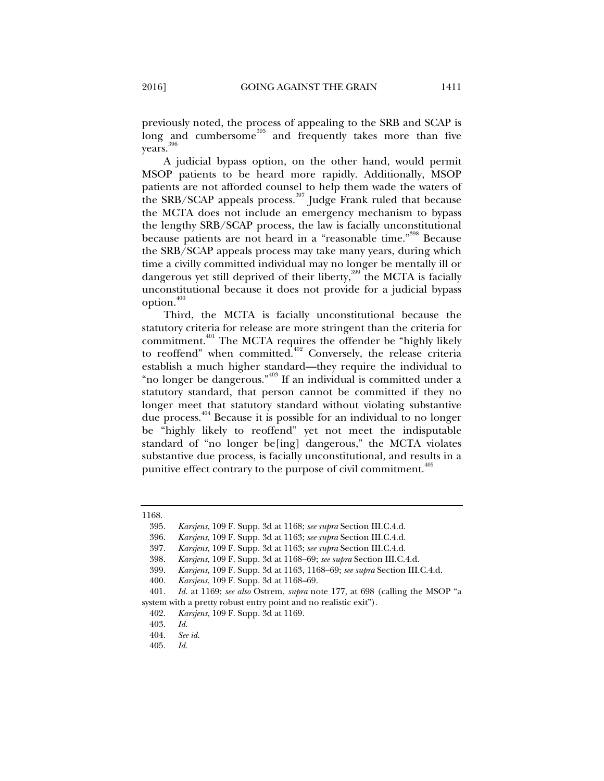previously noted, the process of appealing to the SRB and SCAP is long and cumbersome<sup>395</sup> and frequently takes more than five years.<sup>396</sup>

A judicial bypass option, on the other hand, would permit MSOP patients to be heard more rapidly. Additionally, MSOP patients are not afforded counsel to help them wade the waters of the SRB/SCAP appeals process.<sup>397</sup> Judge Frank ruled that because the MCTA does not include an emergency mechanism to bypass the lengthy SRB/SCAP process, the law is facially unconstitutional because patients are not heard in a "reasonable time."398 Because the SRB/SCAP appeals process may take many years, during which time a civilly committed individual may no longer be mentally ill or dangerous yet still deprived of their liberty,  $\frac{399}{30}$  the MCTA is facially unconstitutional because it does not provide for a judicial bypass option.<sup>400</sup>

Third, the MCTA is facially unconstitutional because the statutory criteria for release are more stringent than the criteria for commitment.<sup>401</sup> The MCTA requires the offender be "highly likely to reoffend" when committed.<sup>402</sup> Conversely, the release criteria establish a much higher standard—they require the individual to "no longer be dangerous."<sup>403</sup> If an individual is committed under a statutory standard, that person cannot be committed if they no longer meet that statutory standard without violating substantive due process.<sup>404</sup> Because it is possible for an individual to no longer be "highly likely to reoffend" yet not meet the indisputable standard of "no longer be[ing] dangerous," the MCTA violates substantive due process, is facially unconstitutional, and results in a punitive effect contrary to the purpose of civil commitment.<sup>405</sup>

<sup>1168.</sup> 

 <sup>395.</sup> *Karsjens*, 109 F. Supp. 3d at 1168; *see supra* Section III.C.4.d.

 <sup>396.</sup> *Karsjens*, 109 F. Supp. 3d at 1163; *see supra* Section III.C.4.d.

 <sup>397.</sup> *Karsjens*, 109 F. Supp. 3d at 1163; *see supra* Section III.C.4.d.

 <sup>398.</sup> *Karsjens*, 109 F. Supp. 3d at 1168–69; *see supra* Section III.C.4.d.

 <sup>399.</sup> *Karsjens*, 109 F. Supp. 3d at 1163, 1168–69; *see supra* Section III.C.4.d.

 <sup>400.</sup> *Karsjens*, 109 F. Supp. 3d at 1168–69.

 <sup>401.</sup> *Id.* at 1169; *see also* Ostrem, *supra* note 177, at 698 (calling the MSOP "a system with a pretty robust entry point and no realistic exit").

 <sup>402.</sup> *Karsjens*, 109 F. Supp. 3d at 1169.

 <sup>403.</sup> *Id.*

 <sup>404.</sup> *See id.*

 <sup>405.</sup> *Id.*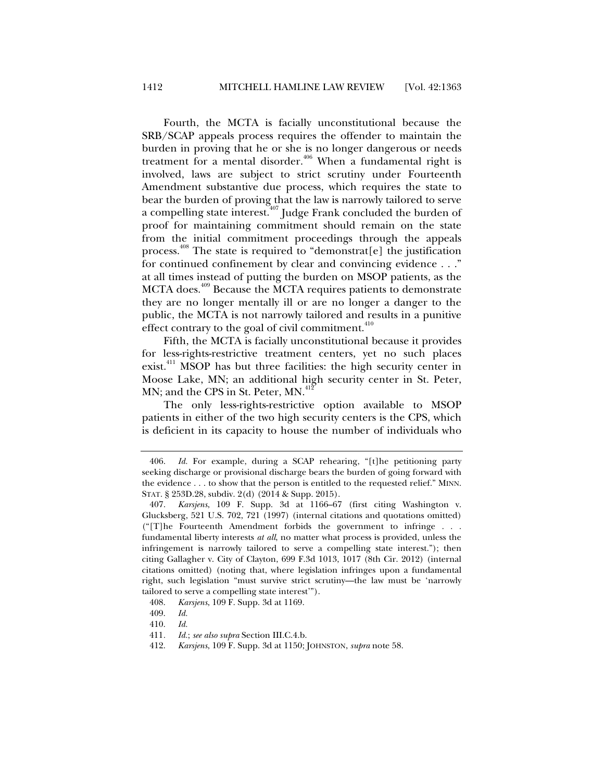Fourth, the MCTA is facially unconstitutional because the SRB/SCAP appeals process requires the offender to maintain the burden in proving that he or she is no longer dangerous or needs treatment for a mental disorder.<sup>406</sup> When a fundamental right is involved, laws are subject to strict scrutiny under Fourteenth Amendment substantive due process, which requires the state to bear the burden of proving that the law is narrowly tailored to serve a compelling state interest.<sup>407</sup> Judge Frank concluded the burden of proof for maintaining commitment should remain on the state from the initial commitment proceedings through the appeals process.<sup>408</sup> The state is required to "demonstrat[e] the justification for continued confinement by clear and convincing evidence . . ." at all times instead of putting the burden on MSOP patients, as the MCTA does.<sup>409</sup> Because the MCTA requires patients to demonstrate they are no longer mentally ill or are no longer a danger to the public, the MCTA is not narrowly tailored and results in a punitive effect contrary to the goal of civil commitment.<sup>410</sup>

Fifth, the MCTA is facially unconstitutional because it provides for less-rights-restrictive treatment centers, yet no such places exist.<sup>411</sup> MSOP has but three facilities: the high security center in Moose Lake, MN; an additional high security center in St. Peter, MN; and the CPS in St. Peter, MN.<sup>412</sup>

The only less-rights-restrictive option available to MSOP patients in either of the two high security centers is the CPS, which is deficient in its capacity to house the number of individuals who

 <sup>406.</sup> *Id.* For example, during a SCAP rehearing, "[t]he petitioning party seeking discharge or provisional discharge bears the burden of going forward with the evidence . . . to show that the person is entitled to the requested relief." MINN. STAT. § 253D.28, subdiv. 2(d) (2014 & Supp. 2015).

 <sup>407.</sup> *Karsjens*, 109 F. Supp. 3d at 1166–67 (first citing Washington v. Glucksberg, 521 U.S. 702, 721 (1997) (internal citations and quotations omitted) ("[T]he Fourteenth Amendment forbids the government to infringe . . . fundamental liberty interests *at all*, no matter what process is provided, unless the infringement is narrowly tailored to serve a compelling state interest."); then citing Gallagher v. City of Clayton, 699 F.3d 1013, 1017 (8th Cir. 2012) (internal citations omitted) (noting that, where legislation infringes upon a fundamental right, such legislation "must survive strict scrutiny—the law must be 'narrowly tailored to serve a compelling state interest'").

 <sup>408.</sup> *Karsjens*, 109 F. Supp. 3d at 1169.

 <sup>409.</sup> *Id.*

 <sup>410.</sup> *Id.*

<sup>411</sup>*. Id.*; *see also supra* Section III.C.4.b.

 <sup>412.</sup> *Karsjens*, 109 F. Supp. 3d at 1150; JOHNSTON, *supra* note 58.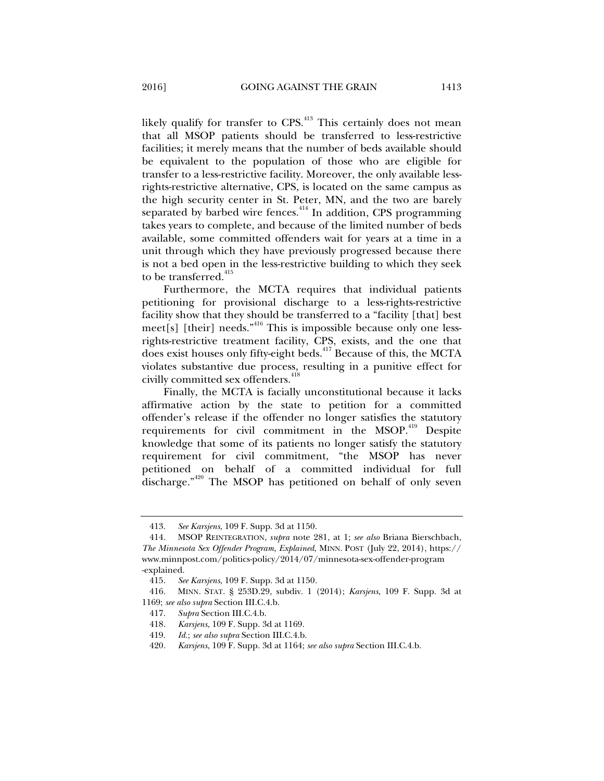likely qualify for transfer to CPS.<sup>413</sup> This certainly does not mean that all MSOP patients should be transferred to less-restrictive facilities; it merely means that the number of beds available should be equivalent to the population of those who are eligible for transfer to a less-restrictive facility. Moreover, the only available lessrights-restrictive alternative, CPS, is located on the same campus as the high security center in St. Peter, MN, and the two are barely separated by barbed wire fences.<sup>414</sup> In addition, CPS programming takes years to complete, and because of the limited number of beds available, some committed offenders wait for years at a time in a unit through which they have previously progressed because there is not a bed open in the less-restrictive building to which they seek to be transferred.<sup>415</sup>

Furthermore, the MCTA requires that individual patients petitioning for provisional discharge to a less-rights-restrictive facility show that they should be transferred to a "facility [that] best  $meet[s]$  [their] needs."<sup>416</sup> This is impossible because only one lessrights-restrictive treatment facility, CPS, exists, and the one that does exist houses only fifty-eight beds.<sup>417</sup> Because of this, the MCTA violates substantive due process, resulting in a punitive effect for civilly committed sex offenders.<sup>418</sup>

Finally, the MCTA is facially unconstitutional because it lacks affirmative action by the state to petition for a committed offender's release if the offender no longer satisfies the statutory requirements for civil commitment in the MSOP.<sup>419</sup> Despite knowledge that some of its patients no longer satisfy the statutory requirement for civil commitment, "the MSOP has never petitioned on behalf of a committed individual for full discharge."<sup>420</sup> The MSOP has petitioned on behalf of only seven

 <sup>413.</sup> *See Karsjens*, 109 F. Supp. 3d at 1150.

 <sup>414.</sup> MSOP REINTEGRATION, *supra* note 281, at 1; *see also* Briana Bierschbach, *The Minnesota Sex Offender Program, Explained*, MINN. POST (July 22, 2014), https:// www.minnpost.com/politics-policy/2014/07/minnesota-sex-offender-program -explained.

 <sup>415.</sup> *See Karsjens*, 109 F. Supp. 3d at 1150.

 <sup>416.</sup> MINN. STAT. § 253D.29, subdiv. 1 (2014); *Karsjens*, 109 F. Supp. 3d at 1169; *see also supra* Section III.C.4.b.

 <sup>417.</sup> *Supra* Section III.C.4.b.

 <sup>418.</sup> *Karsjens*, 109 F. Supp. 3d at 1169.

 <sup>419.</sup> *Id.*; *see also supra* Section III.C.4.b.

 <sup>420.</sup> *Karsjens*, 109 F. Supp. 3d at 1164; *see also supra* Section III.C.4.b.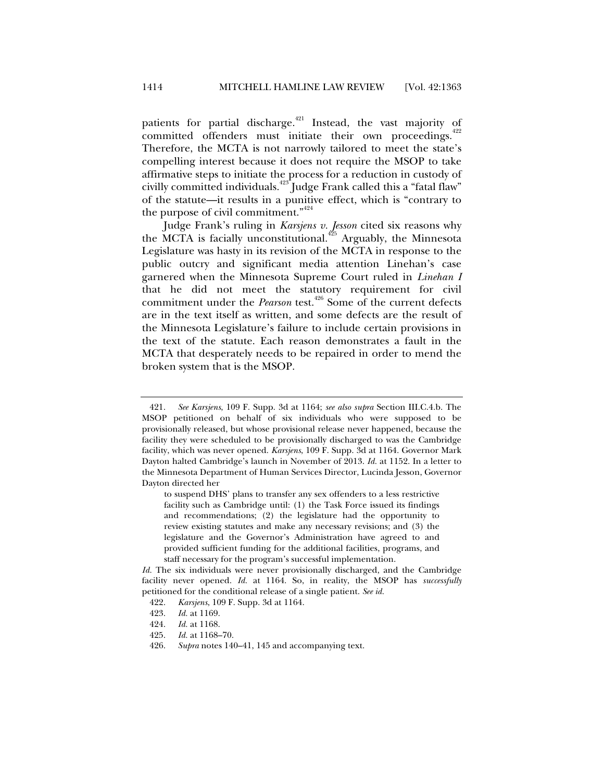patients for partial discharge.<sup>421</sup> Instead, the vast majority of committed offenders must initiate their own proceedings.<sup>422</sup> Therefore, the MCTA is not narrowly tailored to meet the state's compelling interest because it does not require the MSOP to take affirmative steps to initiate the process for a reduction in custody of civilly committed individuals.<sup>423</sup> Judge Frank called this a "fatal flaw" of the statute—it results in a punitive effect, which is "contrary to the purpose of civil commitment."<sup>424</sup>

Judge Frank's ruling in *Karsjens v. Jesson* cited six reasons why the MCTA is facially unconstitutional.<sup>425</sup> Arguably, the Minnesota Legislature was hasty in its revision of the MCTA in response to the public outcry and significant media attention Linehan's case garnered when the Minnesota Supreme Court ruled in *Linehan I*  that he did not meet the statutory requirement for civil commitment under the *Pearson* test.<sup>426</sup> Some of the current defects are in the text itself as written, and some defects are the result of the Minnesota Legislature's failure to include certain provisions in the text of the statute. Each reason demonstrates a fault in the MCTA that desperately needs to be repaired in order to mend the broken system that is the MSOP.

- 425. *Id.* at 1168–70.
- 426. *Supra* notes 140–41, 145 and accompanying text.

 <sup>421.</sup> *See Karsjens*, 109 F. Supp. 3d at 1164; *see also supra* Section III.C.4.b. The MSOP petitioned on behalf of six individuals who were supposed to be provisionally released, but whose provisional release never happened, because the facility they were scheduled to be provisionally discharged to was the Cambridge facility, which was never opened. *Karsjens*, 109 F. Supp. 3d at 1164. Governor Mark Dayton halted Cambridge's launch in November of 2013. *Id.* at 1152. In a letter to the Minnesota Department of Human Services Director, Lucinda Jesson, Governor Dayton directed her

to suspend DHS' plans to transfer any sex offenders to a less restrictive facility such as Cambridge until: (1) the Task Force issued its findings and recommendations; (2) the legislature had the opportunity to review existing statutes and make any necessary revisions; and (3) the legislature and the Governor's Administration have agreed to and provided sufficient funding for the additional facilities, programs, and staff necessary for the program's successful implementation.

*Id.* The six individuals were never provisionally discharged, and the Cambridge facility never opened. *Id.* at 1164. So, in reality, the MSOP has *successfully* petitioned for the conditional release of a single patient. *See id.*

 <sup>422.</sup> *Karsjens*, 109 F. Supp. 3d at 1164.

 <sup>423.</sup> *Id.* at 1169.

 <sup>424.</sup> *Id.* at 1168.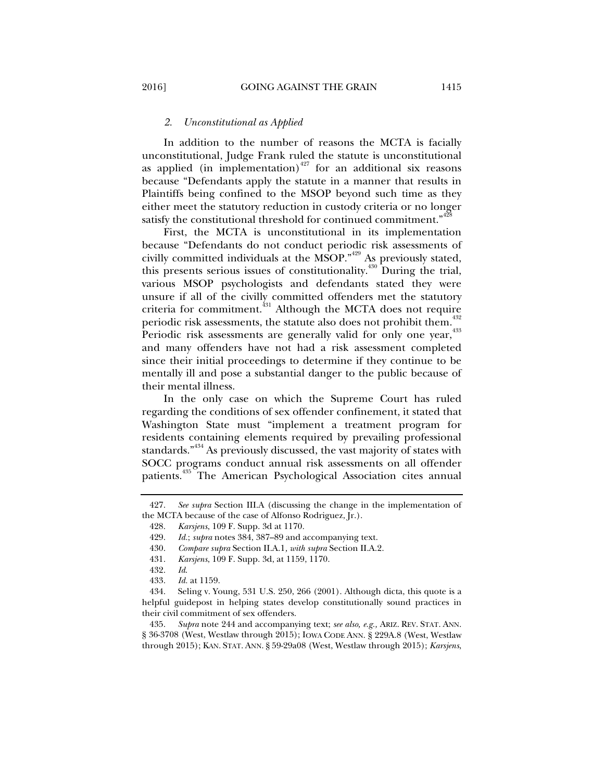# *2. Unconstitutional as Applied*

In addition to the number of reasons the MCTA is facially unconstitutional, Judge Frank ruled the statute is unconstitutional as applied (in implementation) $427$  for an additional six reasons because "Defendants apply the statute in a manner that results in Plaintiffs being confined to the MSOP beyond such time as they either meet the statutory reduction in custody criteria or no longer satisfy the constitutional threshold for continued commitment."<sup>428</sup>

First, the MCTA is unconstitutional in its implementation because "Defendants do not conduct periodic risk assessments of civilly committed individuals at the MSOP."<sup>429</sup> As previously stated, this presents serious issues of constitutionality.430 During the trial, various MSOP psychologists and defendants stated they were unsure if all of the civilly committed offenders met the statutory criteria for commitment.<sup>431</sup> Although the MCTA does not require periodic risk assessments, the statute also does not prohibit them.<sup>432</sup> Periodic risk assessments are generally valid for only one year,<sup>433</sup> and many offenders have not had a risk assessment completed since their initial proceedings to determine if they continue to be mentally ill and pose a substantial danger to the public because of their mental illness.

In the only case on which the Supreme Court has ruled regarding the conditions of sex offender confinement, it stated that Washington State must "implement a treatment program for residents containing elements required by prevailing professional standards."<sup>434</sup> As previously discussed, the vast majority of states with SOCC programs conduct annual risk assessments on all offender patients.<sup>435</sup> The American Psychological Association cites annual

 435. *Supra* note 244 and accompanying text; *see also, e.g.,* ARIZ. REV. STAT. ANN. § 36-3708 (West, Westlaw through 2015); IOWA CODE ANN. § 229A.8 (West, Westlaw through 2015); KAN. STAT. ANN. § 59-29a08 (West, Westlaw through 2015); *Karsjens*,

 <sup>427.</sup> *See supra* Section III.A (discussing the change in the implementation of the MCTA because of the case of Alfonso Rodriguez, Jr.).

 <sup>428.</sup> *Karsjens*, 109 F. Supp. 3d at 1170.

 <sup>429.</sup> *Id.*; *supra* notes 384, 387–89 and accompanying text.

 <sup>430.</sup> *Compare supra* Section II.A.1*, with supra* Section II.A.2.

 <sup>431.</sup> *Karsjens*, 109 F. Supp. 3d, at 1159, 1170.

 <sup>432.</sup> *Id*.

 <sup>433.</sup> *Id.* at 1159.

 <sup>434.</sup> Seling v. Young, 531 U.S. 250, 266 (2001). Although dicta, this quote is a helpful guidepost in helping states develop constitutionally sound practices in their civil commitment of sex offenders.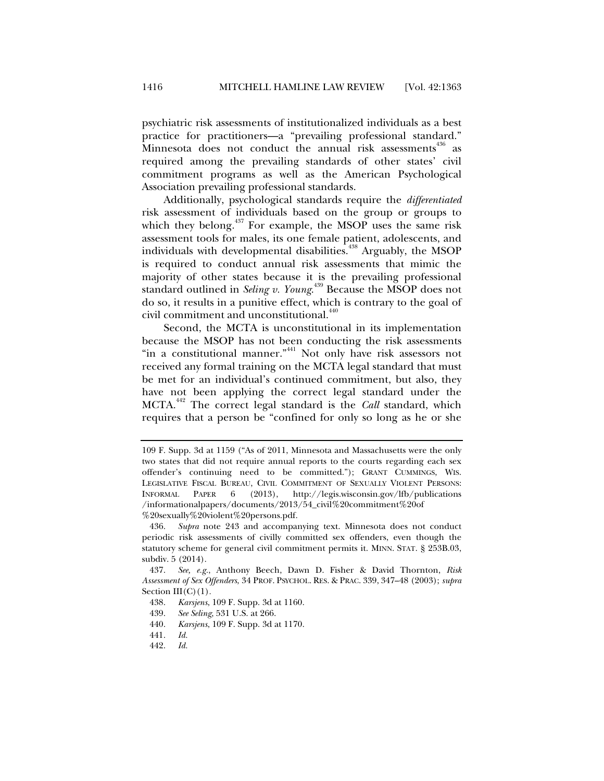psychiatric risk assessments of institutionalized individuals as a best practice for practitioners—a "prevailing professional standard." Minnesota does not conduct the annual risk assessments $436$  as required among the prevailing standards of other states' civil commitment programs as well as the American Psychological Association prevailing professional standards.

Additionally, psychological standards require the *differentiated*  risk assessment of individuals based on the group or groups to which they belong.<sup>437</sup> For example, the MSOP uses the same risk assessment tools for males, its one female patient, adolescents, and individuals with developmental disabilities.<sup>438</sup> Arguably, the MSOP is required to conduct annual risk assessments that mimic the majority of other states because it is the prevailing professional standard outlined in *Seling v. Young*. 439 Because the MSOP does not do so, it results in a punitive effect, which is contrary to the goal of civil commitment and unconstitutional.<sup>440</sup>

Second, the MCTA is unconstitutional in its implementation because the MSOP has not been conducting the risk assessments "in a constitutional manner."<sup>441</sup> Not only have risk assessors not received any formal training on the MCTA legal standard that must be met for an individual's continued commitment, but also, they have not been applying the correct legal standard under the MCTA.442 The correct legal standard is the *Call* standard, which requires that a person be "confined for only so long as he or she

440. *Karsjens*, 109 F. Supp. 3d at 1170.

<sup>109</sup> F. Supp. 3d at 1159 ("As of 2011, Minnesota and Massachusetts were the only two states that did not require annual reports to the courts regarding each sex offender's continuing need to be committed."); GRANT CUMMINGS, WIS. LEGISLATIVE FISCAL BUREAU, CIVIL COMMITMENT OF SEXUALLY VIOLENT PERSONS: INFORMAL PAPER 6 (2013), http://legis.wisconsin.gov/lfb/publications /informationalpapers/documents/2013/54\_civil%20commitment%20of %20sexually%20violent%20persons.pdf.

 <sup>436.</sup> *Supra* note 243 and accompanying text. Minnesota does not conduct periodic risk assessments of civilly committed sex offenders, even though the statutory scheme for general civil commitment permits it. MINN. STAT. § 253B.03, subdiv. 5 (2014).

 <sup>437.</sup> *See, e.g.*, Anthony Beech, Dawn D. Fisher & David Thornton, *Risk Assessment of Sex Offenders*, 34 PROF. PSYCHOL. RES. & PRAC. 339, 347–48 (2003); *supra*  Section III(C)(1)*.* 

 <sup>438.</sup> *Karsjens*, 109 F. Supp. 3d at 1160.

 <sup>439.</sup> *See Seling*, 531 U.S. at 266.

 <sup>441.</sup> *Id.*

 <sup>442.</sup> *Id.*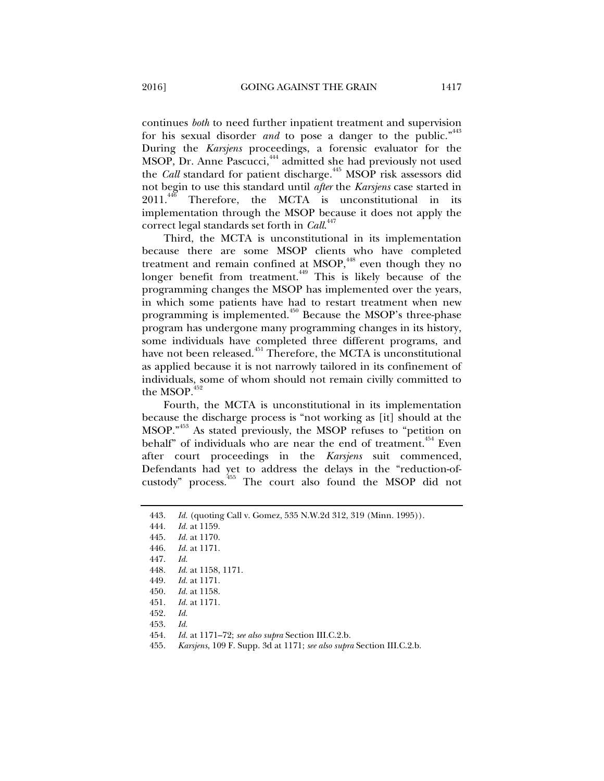continues *both* to need further inpatient treatment and supervision for his sexual disorder *and* to pose a danger to the public."<sup>443</sup> During the *Karsjens* proceedings, a forensic evaluator for the MSOP, Dr. Anne Pascucci,<sup>444</sup> admitted she had previously not used the *Call* standard for patient discharge.<sup>445</sup> MSOP risk assessors did not begin to use this standard until *after* the *Karsjens* case started in  $2011.<sup>446</sup>$  Therefore, the MCTA is unconstitutional in its implementation through the MSOP because it does not apply the correct legal standards set forth in *Call*. 447

Third, the MCTA is unconstitutional in its implementation because there are some MSOP clients who have completed treatment and remain confined at MSOP,<sup>448</sup> even though they no longer benefit from treatment.<sup>449</sup> This is likely because of the programming changes the MSOP has implemented over the years, in which some patients have had to restart treatment when new programming is implemented.<sup>450</sup> Because the MSOP's three-phase program has undergone many programming changes in its history, some individuals have completed three different programs, and have not been released.<sup>451</sup> Therefore, the MCTA is unconstitutional as applied because it is not narrowly tailored in its confinement of individuals, some of whom should not remain civilly committed to the MSOP. $45$ 

Fourth, the MCTA is unconstitutional in its implementation because the discharge process is "not working as [it] should at the MSOP."453 As stated previously, the MSOP refuses to "petition on behalf" of individuals who are near the end of treatment. $454$  Even after court proceedings in the *Karsjens* suit commenced, Defendants had yet to address the delays in the "reduction-ofcustody" process.455 The court also found the MSOP did not

 <sup>443.</sup> *Id.* (quoting Call v. Gomez, 535 N.W.2d 312, 319 (Minn. 1995)).

 <sup>444.</sup> *Id.* at 1159.

 <sup>445.</sup> *Id.* at 1170.

 <sup>446.</sup> *Id.* at 1171.

 <sup>447.</sup> *Id.* 

 <sup>448.</sup> *Id.* at 1158, 1171.

 <sup>449.</sup> *Id.* at 1171.

 <sup>450.</sup> *Id.* at 1158.

 <sup>451.</sup> *Id.* at 1171.

 <sup>452.</sup> *Id.* 

 <sup>453.</sup> *Id.*

 <sup>454.</sup> *Id.* at 1171–72; *see also supra* Section III.C.2.b.

 <sup>455.</sup> *Karsjens*, 109 F. Supp. 3d at 1171; *see also supra* Section III.C.2.b.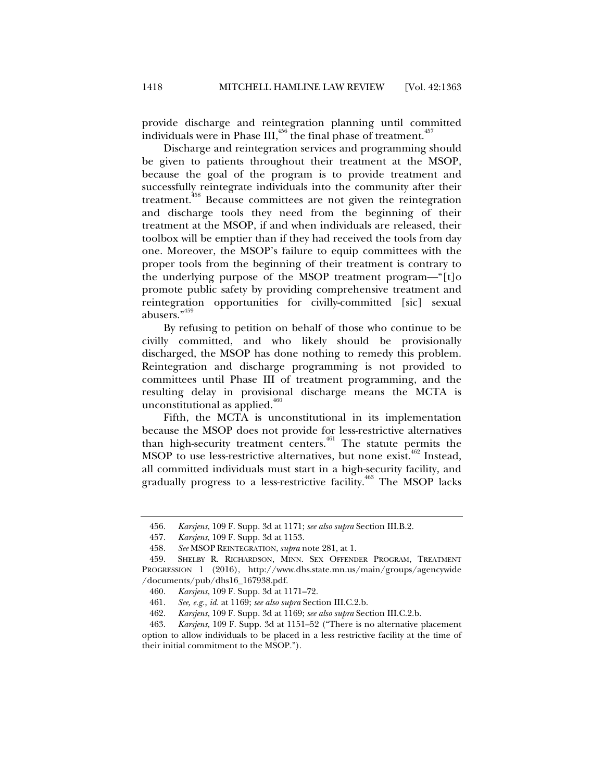provide discharge and reintegration planning until committed individuals were in Phase III,<sup>456</sup> the final phase of treatment.<sup>457</sup>

Discharge and reintegration services and programming should be given to patients throughout their treatment at the MSOP, because the goal of the program is to provide treatment and successfully reintegrate individuals into the community after their treatment.<sup>458</sup> Because committees are not given the reintegration and discharge tools they need from the beginning of their treatment at the MSOP, if and when individuals are released, their toolbox will be emptier than if they had received the tools from day one. Moreover, the MSOP's failure to equip committees with the proper tools from the beginning of their treatment is contrary to the underlying purpose of the MSOP treatment program—"[t]o promote public safety by providing comprehensive treatment and reintegration opportunities for civilly-committed [sic] sexual abusers."<sup>459</sup>

By refusing to petition on behalf of those who continue to be civilly committed, and who likely should be provisionally discharged, the MSOP has done nothing to remedy this problem. Reintegration and discharge programming is not provided to committees until Phase III of treatment programming, and the resulting delay in provisional discharge means the MCTA is unconstitutional as applied. $400$ 

Fifth, the MCTA is unconstitutional in its implementation because the MSOP does not provide for less-restrictive alternatives than high-security treatment centers.461 The statute permits the MSOP to use less-restrictive alternatives, but none exist.<sup>462</sup> Instead, all committed individuals must start in a high-security facility, and gradually progress to a less-restrictive facility.<sup>463</sup> The MSOP lacks

 <sup>456.</sup> *Karsjens*, 109 F. Supp. 3d at 1171; *see also supra* Section III.B.2.

 <sup>457.</sup> *Karsjens*, 109 F. Supp. 3d at 1153.

 <sup>458.</sup> *See* MSOP REINTEGRATION, *supra* note 281, at 1.

 <sup>459.</sup> SHELBY R. RICHARDSON, MINN. SEX OFFENDER PROGRAM, TREATMENT PROGRESSION 1 (2016), http://www.dhs.state.mn.us/main/groups/agencywide /documents/pub/dhs16\_167938.pdf.

 <sup>460.</sup> *Karsjens*, 109 F. Supp. 3d at 1171–72.

 <sup>461.</sup> *See, e.g.*, *id.* at 1169; *see also supra* Section III.C.2.b.

 <sup>462.</sup> *Karsjens*, 109 F. Supp. 3d at 1169; *see also supra* Section III.C.2.b.

 <sup>463.</sup> *Karsjens*, 109 F. Supp. 3d at 1151–52 ("There is no alternative placement option to allow individuals to be placed in a less restrictive facility at the time of their initial commitment to the MSOP.").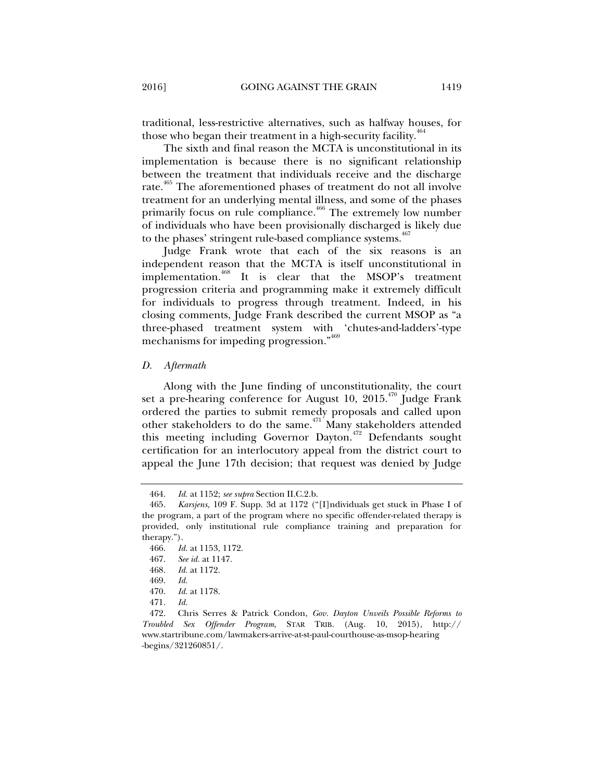traditional, less-restrictive alternatives, such as halfway houses, for those who began their treatment in a high-security facility.<sup>464</sup>

The sixth and final reason the MCTA is unconstitutional in its implementation is because there is no significant relationship between the treatment that individuals receive and the discharge rate.<sup>465</sup> The aforementioned phases of treatment do not all involve treatment for an underlying mental illness, and some of the phases primarily focus on rule compliance.<sup>466</sup> The extremely low number of individuals who have been provisionally discharged is likely due to the phases' stringent rule-based compliance systems.<sup>467</sup>

Judge Frank wrote that each of the six reasons is an independent reason that the MCTA is itself unconstitutional in implementation.468 It is clear that the MSOP's treatment progression criteria and programming make it extremely difficult for individuals to progress through treatment. Indeed, in his closing comments, Judge Frank described the current MSOP as "a three-phased treatment system with 'chutes-and-ladders'-type mechanisms for impeding progression."469

#### *D. Aftermath*

Along with the June finding of unconstitutionality, the court set a pre-hearing conference for August 10,  $2015^{470}$  Judge Frank ordered the parties to submit remedy proposals and called upon other stakeholders to do the same.471 Many stakeholders attended this meeting including Governor Dayton.<sup>472</sup> Defendants sought certification for an interlocutory appeal from the district court to appeal the June 17th decision; that request was denied by Judge

467. *See id.* at 1147.

 <sup>464.</sup> *Id.* at 1152; *see supra* Section II.C.2.b.

 <sup>465.</sup> *Karsjens,* 109 F. Supp. 3d at 1172 ("[I]ndividuals get stuck in Phase I of the program, a part of the program where no specific offender-related therapy is provided, only institutional rule compliance training and preparation for therapy.").

 <sup>466.</sup> *Id.* at 1153, 1172.

 <sup>468.</sup> *Id.* at 1172.

 <sup>469.</sup> *Id.* 

 <sup>470.</sup> *Id.* at 1178.

 <sup>471.</sup> *Id.* 

 <sup>472.</sup> Chris Serres & Patrick Condon, *Gov. Dayton Unveils Possible Reforms to Troubled Sex Offender Program*, STAR TRIB. (Aug. 10, 2015), http:// www.startribune.com/lawmakers-arrive-at-st-paul-courthouse-as-msop-hearing -begins/321260851/.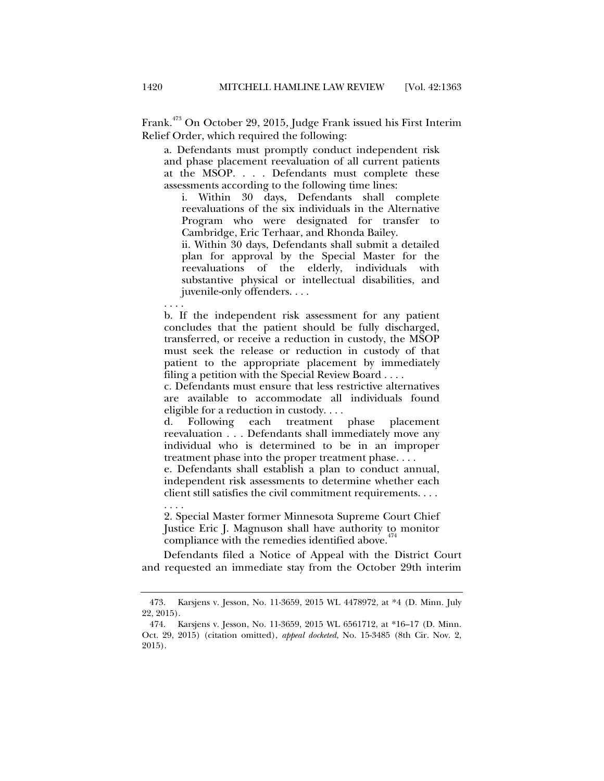Frank.<sup>473</sup> On October 29, 2015, Judge Frank issued his First Interim Relief Order, which required the following:

a. Defendants must promptly conduct independent risk and phase placement reevaluation of all current patients at the MSOP. . . . Defendants must complete these assessments according to the following time lines:

i. Within 30 days, Defendants shall complete reevaluations of the six individuals in the Alternative Program who were designated for transfer to Cambridge, Eric Terhaar, and Rhonda Bailey.

ii. Within 30 days, Defendants shall submit a detailed plan for approval by the Special Master for the reevaluations of the elderly, individuals with substantive physical or intellectual disabilities, and juvenile-only offenders. . . .

. . . . b. If the independent risk assessment for any patient concludes that the patient should be fully discharged, transferred, or receive a reduction in custody, the MSOP must seek the release or reduction in custody of that patient to the appropriate placement by immediately filing a petition with the Special Review Board . . . .

c. Defendants must ensure that less restrictive alternatives are available to accommodate all individuals found eligible for a reduction in custody. . . .

d. Following each treatment phase placement reevaluation . . . Defendants shall immediately move any individual who is determined to be in an improper treatment phase into the proper treatment phase. . . .

e. Defendants shall establish a plan to conduct annual, independent risk assessments to determine whether each client still satisfies the civil commitment requirements. . . . . . . .

2. Special Master former Minnesota Supreme Court Chief Justice Eric J. Magnuson shall have authority to monitor compliance with the remedies identified above. $47$ 

Defendants filed a Notice of Appeal with the District Court and requested an immediate stay from the October 29th interim

 <sup>473.</sup> Karsjens v. Jesson, No. 11-3659, 2015 WL 4478972, at \*4 (D. Minn. July 22, 2015).

 <sup>474.</sup> Karsjens v. Jesson, No. 11-3659, 2015 WL 6561712, at \*16–17 (D. Minn. Oct. 29, 2015) (citation omitted), *appeal docketed*, No. 15-3485 (8th Cir. Nov. 2, 2015).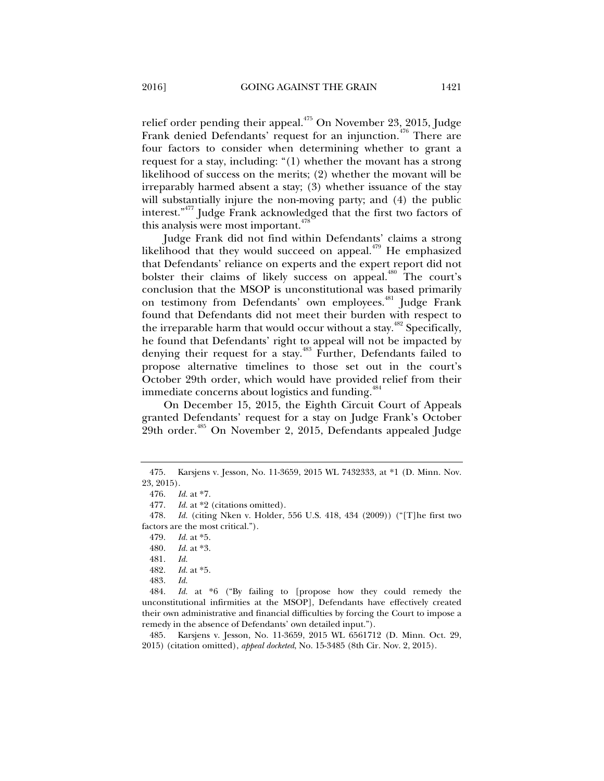relief order pending their appeal. $475$  On November 23, 2015, Judge Frank denied Defendants' request for an injunction.<sup>476</sup> There are four factors to consider when determining whether to grant a request for a stay, including: "(1) whether the movant has a strong likelihood of success on the merits; (2) whether the movant will be irreparably harmed absent a stay; (3) whether issuance of the stay will substantially injure the non-moving party; and (4) the public interest."477 Judge Frank acknowledged that the first two factors of this analysis were most important. $478$ 

Judge Frank did not find within Defendants' claims a strong likelihood that they would succeed on appeal. $479$  He emphasized that Defendants' reliance on experts and the expert report did not bolster their claims of likely success on appeal.480 The court's conclusion that the MSOP is unconstitutional was based primarily on testimony from Defendants' own employees.<sup>481</sup> Judge Frank found that Defendants did not meet their burden with respect to the irreparable harm that would occur without a stay.<sup> $482$ </sup> Specifically, he found that Defendants' right to appeal will not be impacted by denying their request for a stay.<sup>483</sup> Further, Defendants failed to propose alternative timelines to those set out in the court's October 29th order, which would have provided relief from their immediate concerns about logistics and funding.<sup>484</sup>

On December 15, 2015, the Eighth Circuit Court of Appeals granted Defendants' request for a stay on Judge Frank's October 29th order.<sup>485</sup> On November 2, 2015, Defendants appealed Judge

 485. Karsjens v. Jesson, No. 11-3659, 2015 WL 6561712 (D. Minn. Oct. 29, 2015) (citation omitted), *appeal docketed*, No. 15-3485 (8th Cir. Nov. 2, 2015).

 <sup>475.</sup> Karsjens v. Jesson, No. 11-3659, 2015 WL 7432333, at \*1 (D. Minn. Nov. 23, 2015).

 <sup>476.</sup> *Id.* at \*7.

 <sup>477.</sup> *Id.* at \*2 (citations omitted).

 <sup>478.</sup> *Id.* (citing Nken v. Holder, 556 U.S. 418, 434 (2009)) ("[T]he first two factors are the most critical.").

 <sup>479.</sup> *Id.* at \*5.

 <sup>480.</sup> *Id.* at \*3.

 <sup>481.</sup> *Id.*

 <sup>482.</sup> *Id.* at \*5.

 <sup>483.</sup> *Id.* 

 <sup>484.</sup> *Id.* at \*6 ("By failing to [propose how they could remedy the unconstitutional infirmities at the MSOP], Defendants have effectively created their own administrative and financial difficulties by forcing the Court to impose a remedy in the absence of Defendants' own detailed input.").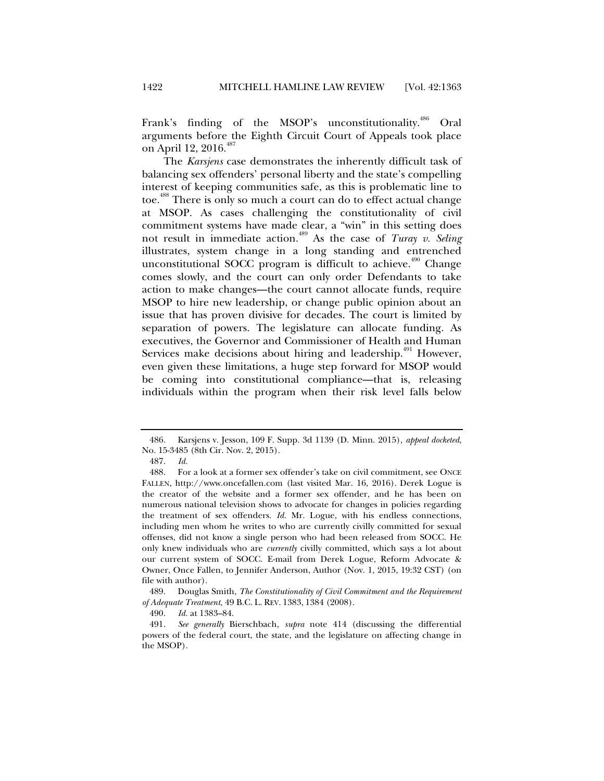Frank's finding of the MSOP's unconstitutionality.<sup>486</sup> Oral arguments before the Eighth Circuit Court of Appeals took place on April 12, 2016.<sup>487</sup>

The *Karsjens* case demonstrates the inherently difficult task of balancing sex offenders' personal liberty and the state's compelling interest of keeping communities safe, as this is problematic line to toe.<sup>488</sup> There is only so much a court can do to effect actual change at MSOP. As cases challenging the constitutionality of civil commitment systems have made clear, a "win" in this setting does not result in immediate action.489 As the case of *Turay v. Seling* illustrates, system change in a long standing and entrenched unconstitutional SOCC program is difficult to achieve.<sup> $490$ </sup> Change comes slowly, and the court can only order Defendants to take action to make changes—the court cannot allocate funds, require MSOP to hire new leadership, or change public opinion about an issue that has proven divisive for decades. The court is limited by separation of powers. The legislature can allocate funding. As executives, the Governor and Commissioner of Health and Human Services make decisions about hiring and leadership.<sup>491</sup> However, even given these limitations, a huge step forward for MSOP would be coming into constitutional compliance—that is, releasing individuals within the program when their risk level falls below

 <sup>486.</sup> Karsjens v. Jesson, 109 F. Supp. 3d 1139 (D. Minn. 2015), *appeal docketed*, No. 15-3485 (8th Cir. Nov. 2, 2015).

 <sup>487.</sup> *Id.*

 <sup>488.</sup> For a look at a former sex offender's take on civil commitment, see ONCE FALLEN, http://www.oncefallen.com (last visited Mar. 16, 2016). Derek Logue is the creator of the website and a former sex offender, and he has been on numerous national television shows to advocate for changes in policies regarding the treatment of sex offenders. *Id.* Mr. Logue, with his endless connections, including men whom he writes to who are currently civilly committed for sexual offenses, did not know a single person who had been released from SOCC. He only knew individuals who are *currently* civilly committed, which says a lot about our current system of SOCC. E-mail from Derek Logue, Reform Advocate & Owner, Once Fallen, to Jennifer Anderson, Author (Nov. 1, 2015, 19:32 CST) (on file with author).

 <sup>489.</sup> Douglas Smith, *The Constitutionality of Civil Commitment and the Requirement of Adequate Treatment*, 49 B.C. L. REV. 1383, 1384 (2008).

 <sup>490.</sup> *Id.* at 1383–84.

 <sup>491.</sup> *See generally* Bierschbach, *supra* note 414 (discussing the differential powers of the federal court, the state, and the legislature on affecting change in the MSOP).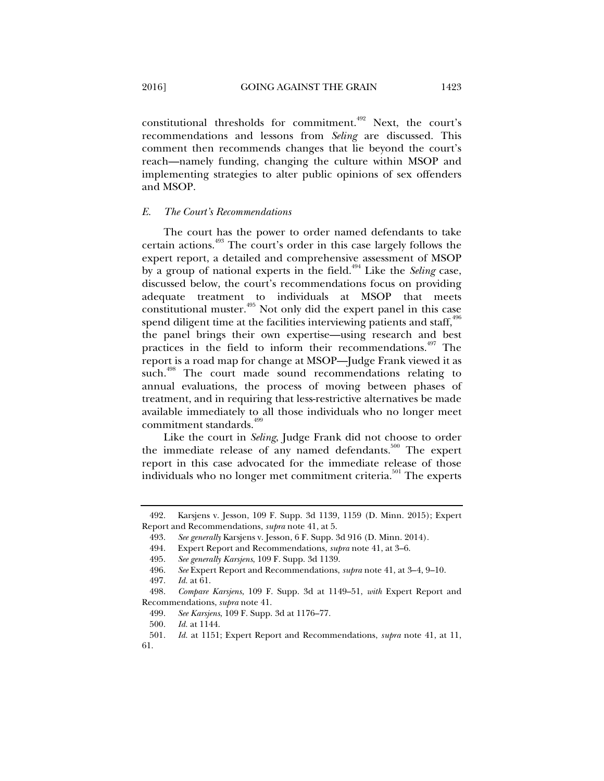constitutional thresholds for commitment.492 Next, the court's recommendations and lessons from *Seling* are discussed. This comment then recommends changes that lie beyond the court's reach—namely funding, changing the culture within MSOP and implementing strategies to alter public opinions of sex offenders and MSOP.

## *E. The Court's Recommendations*

The court has the power to order named defendants to take certain actions.<sup>493</sup> The court's order in this case largely follows the expert report, a detailed and comprehensive assessment of MSOP by a group of national experts in the field.<sup>494</sup> Like the *Seling* case, discussed below, the court's recommendations focus on providing adequate treatment to individuals at MSOP that meets constitutional muster.<sup>495</sup> Not only did the expert panel in this case spend diligent time at the facilities interviewing patients and staff,  $496$ the panel brings their own expertise—using research and best practices in the field to inform their recommendations.<sup>497</sup> The report is a road map for change at MSOP—Judge Frank viewed it as such.<sup>498</sup> The court made sound recommendations relating to annual evaluations, the process of moving between phases of treatment, and in requiring that less-restrictive alternatives be made available immediately to all those individuals who no longer meet commitment standards.<sup>499</sup>

Like the court in *Seling*, Judge Frank did not choose to order the immediate release of any named defendants. $500$  The expert report in this case advocated for the immediate release of those individuals who no longer met commitment criteria.<sup>501</sup> The experts

 <sup>492.</sup> Karsjens v. Jesson, 109 F. Supp. 3d 1139, 1159 (D. Minn. 2015); Expert Report and Recommendations, *supra* note 41, at 5.

 <sup>493.</sup> *See generally* Karsjens v. Jesson, 6 F. Supp. 3d 916 (D. Minn. 2014).

 <sup>494.</sup> Expert Report and Recommendations, *supra* note 41, at 3–6.

 <sup>495.</sup> *See generally Karsjens*, 109 F. Supp. 3d 1139.

 <sup>496.</sup> *See* Expert Report and Recommendations, *supra* note 41, at 3–4, 9–10.

 <sup>497.</sup> *Id.* at 61.

 <sup>498.</sup> *Compare Karsjens*, 109 F. Supp. 3d at 1149–51, *with* Expert Report and Recommendations, *supra* note 41.

 <sup>499.</sup> *See Karsjens*, 109 F. Supp. 3d at 1176–77.

 <sup>500.</sup> *Id.* at 1144.

 <sup>501.</sup> *Id.* at 1151; Expert Report and Recommendations, *supra* note 41, at 11, 61.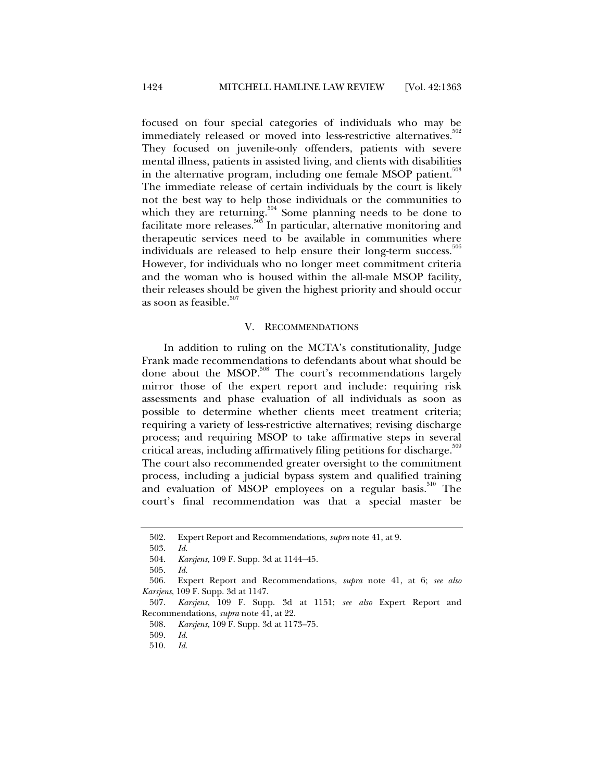focused on four special categories of individuals who may be immediately released or moved into less-restrictive alternatives.<sup>30</sup> They focused on juvenile-only offenders, patients with severe mental illness, patients in assisted living, and clients with disabilities in the alternative program, including one female MSOP patient.<sup>503</sup> The immediate release of certain individuals by the court is likely not the best way to help those individuals or the communities to which they are returning.<sup>504</sup> Some planning needs to be done to facilitate more releases.<sup>505</sup> In particular, alternative monitoring and therapeutic services need to be available in communities where individuals are released to help ensure their long-term success.<sup>506</sup> However, for individuals who no longer meet commitment criteria and the woman who is housed within the all-male MSOP facility, their releases should be given the highest priority and should occur as soon as feasible. $507$ 

#### V. RECOMMENDATIONS

In addition to ruling on the MCTA's constitutionality, Judge Frank made recommendations to defendants about what should be done about the MSOP.<sup>508</sup> The court's recommendations largely mirror those of the expert report and include: requiring risk assessments and phase evaluation of all individuals as soon as possible to determine whether clients meet treatment criteria; requiring a variety of less-restrictive alternatives; revising discharge process; and requiring MSOP to take affirmative steps in several critical areas, including affirmatively filing petitions for discharge. $509$ The court also recommended greater oversight to the commitment process, including a judicial bypass system and qualified training and evaluation of MSOP employees on a regular basis.<sup>510</sup> The court's final recommendation was that a special master be

 <sup>502.</sup> Expert Report and Recommendations, *supra* note 41, at 9.

 <sup>503.</sup> *Id.*

 <sup>504.</sup> *Karsjens*, 109 F. Supp. 3d at 1144–45.

 <sup>505.</sup> *Id.* 

 <sup>506.</sup> Expert Report and Recommendations, *supra* note 41, at 6; *see also Karsjens*, 109 F. Supp. 3d at 1147.

 <sup>507.</sup> *Karsjens*, 109 F. Supp. 3d at 1151; *see also* Expert Report and Recommendations, *supra* note 41, at 22.

 <sup>508.</sup> *Karsjens*, 109 F. Supp. 3d at 1173–75.

 <sup>509.</sup> *Id.* 

 <sup>510.</sup> *Id.*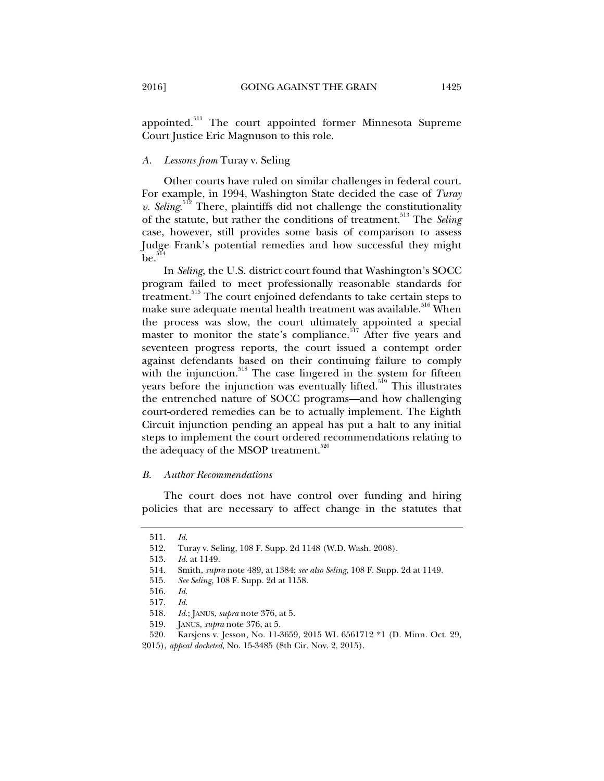## *A. Lessons from* Turay v. Seling

Other courts have ruled on similar challenges in federal court. For example, in 1994, Washington State decided the case of *Turay v. Seling*. 512 There, plaintiffs did not challenge the constitutionality of the statute, but rather the conditions of treatment.<sup>513</sup> The *Seling* case, however, still provides some basis of comparison to assess Judge Frank's potential remedies and how successful they might  $\mathrm{be}$ .<sup>514</sup>

In *Seling*, the U.S. district court found that Washington's SOCC program failed to meet professionally reasonable standards for treatment.<sup>515</sup> The court enjoined defendants to take certain steps to make sure adequate mental health treatment was available.<sup>516</sup> When the process was slow, the court ultimately appointed a special master to monitor the state's compliance.<sup>517</sup> After five years and seventeen progress reports, the court issued a contempt order against defendants based on their continuing failure to comply with the injunction.<sup>518</sup> The case lingered in the system for fifteen years before the injunction was eventually lifted.<sup>519</sup> This illustrates the entrenched nature of SOCC programs—and how challenging court-ordered remedies can be to actually implement. The Eighth Circuit injunction pending an appeal has put a halt to any initial steps to implement the court ordered recommendations relating to the adequacy of the MSOP treatment.<sup>520</sup>

#### *B. Author Recommendations*

The court does not have control over funding and hiring policies that are necessary to affect change in the statutes that

 <sup>511.</sup> *Id.* 

 <sup>512.</sup> Turay v. Seling, 108 F. Supp. 2d 1148 (W.D. Wash. 2008).

 <sup>513.</sup> *Id.* at 1149.

 <sup>514.</sup> Smith, *supra* note 489, at 1384; *see also Seling*, 108 F. Supp. 2d at 1149.

 <sup>515.</sup> *See Seling*, 108 F. Supp. 2d at 1158.

 <sup>516.</sup> *Id.*

 <sup>517.</sup> *Id.* 

 <sup>518.</sup> *Id.*; JANUS, *supra* note 376, at 5.

 <sup>519.</sup> JANUS, *supra* note 376, at 5.

 <sup>520.</sup> Karsjens v. Jesson, No. 11-3659, 2015 WL 6561712 \*1 (D. Minn. Oct. 29, 2015), *appeal docketed*, No. 15-3485 (8th Cir. Nov. 2, 2015).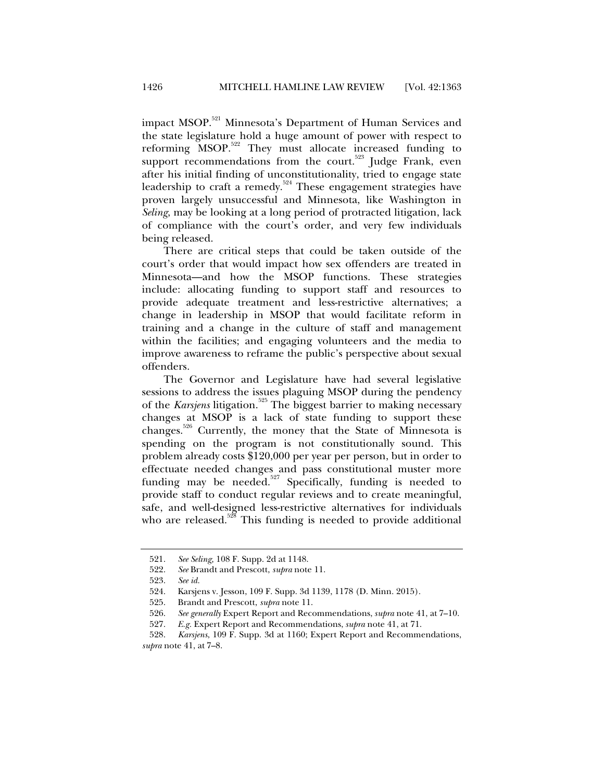impact MSOP.521 Minnesota's Department of Human Services and the state legislature hold a huge amount of power with respect to reforming MSOP.<sup>522</sup> They must allocate increased funding to support recommendations from the court.<sup>523</sup> Judge Frank, even after his initial finding of unconstitutionality, tried to engage state leadership to craft a remedy.<sup>524</sup> These engagement strategies have proven largely unsuccessful and Minnesota, like Washington in *Seling*, may be looking at a long period of protracted litigation, lack of compliance with the court's order, and very few individuals being released.

There are critical steps that could be taken outside of the court's order that would impact how sex offenders are treated in Minnesota—and how the MSOP functions. These strategies include: allocating funding to support staff and resources to provide adequate treatment and less-restrictive alternatives; a change in leadership in MSOP that would facilitate reform in training and a change in the culture of staff and management within the facilities; and engaging volunteers and the media to improve awareness to reframe the public's perspective about sexual offenders.

The Governor and Legislature have had several legislative sessions to address the issues plaguing MSOP during the pendency of the *Karsjens* litigation.<sup>525</sup> The biggest barrier to making necessary changes at MSOP is a lack of state funding to support these changes.<sup>526</sup> Currently, the money that the State of Minnesota is spending on the program is not constitutionally sound. This problem already costs \$120,000 per year per person, but in order to effectuate needed changes and pass constitutional muster more funding may be needed. $527$  Specifically, funding is needed to provide staff to conduct regular reviews and to create meaningful, safe, and well-designed less-restrictive alternatives for individuals who are released.<sup>528</sup> This funding is needed to provide additional

 <sup>521.</sup> *See Seling,* 108 F. Supp. 2d at 1148.

 <sup>522.</sup> *See* Brandt and Prescott, *supra* note 11.

 <sup>523.</sup> *See id.* 

 <sup>524.</sup> Karsjens v. Jesson, 109 F. Supp. 3d 1139, 1178 (D. Minn. 2015).

 <sup>525.</sup> Brandt and Prescott, *supra* note 11.

 <sup>526.</sup> *See generally* Expert Report and Recommendations, *supra* note 41, at 7–10.

 <sup>527.</sup> *E.g.* Expert Report and Recommendations, *supra* note 41, at 71.

 <sup>528.</sup> *Karsjens*, 109 F. Supp. 3d at 1160; Expert Report and Recommendations, *supra* note 41, at 7–8.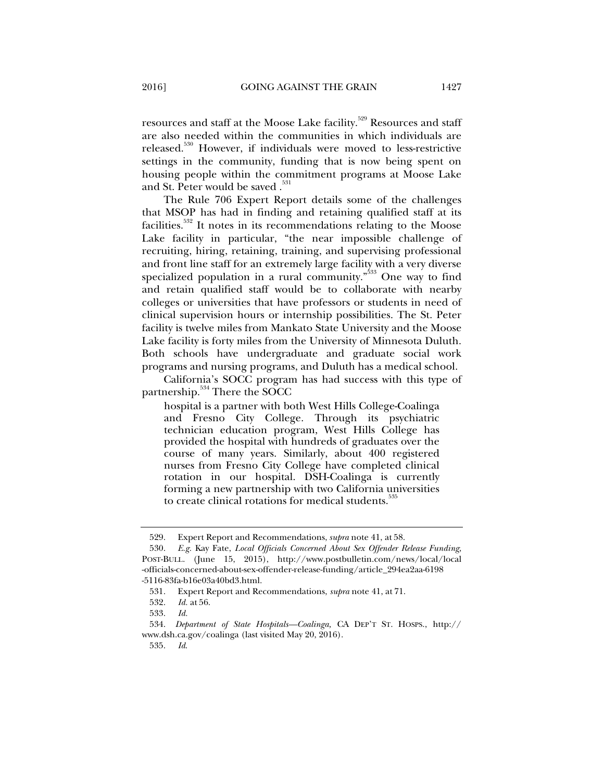resources and staff at the Moose Lake facility.<sup>529</sup> Resources and staff are also needed within the communities in which individuals are released.530 However, if individuals were moved to less-restrictive settings in the community, funding that is now being spent on housing people within the commitment programs at Moose Lake and St. Peter would be saved .<sup>531</sup>

The Rule 706 Expert Report details some of the challenges that MSOP has had in finding and retaining qualified staff at its facilities.532 It notes in its recommendations relating to the Moose Lake facility in particular, "the near impossible challenge of recruiting, hiring, retaining, training, and supervising professional and front line staff for an extremely large facility with a very diverse specialized population in a rural community."<sup>533</sup> One way to find and retain qualified staff would be to collaborate with nearby colleges or universities that have professors or students in need of clinical supervision hours or internship possibilities. The St. Peter facility is twelve miles from Mankato State University and the Moose Lake facility is forty miles from the University of Minnesota Duluth. Both schools have undergraduate and graduate social work programs and nursing programs, and Duluth has a medical school.

California's SOCC program has had success with this type of partnership.<sup>534</sup> There the SOCC

hospital is a partner with both West Hills College-Coalinga and Fresno City College. Through its psychiatric technician education program, West Hills College has provided the hospital with hundreds of graduates over the course of many years. Similarly, about 400 registered nurses from Fresno City College have completed clinical rotation in our hospital. DSH-Coalinga is currently forming a new partnership with two California universities to create clinical rotations for medical students.<sup>33</sup>

 <sup>529.</sup> Expert Report and Recommendations, *supra* note 41, at 58.

 <sup>530.</sup> *E.g.* Kay Fate, *Local Officials Concerned About Sex Offender Release Funding*, POST-BULL. (June 15, 2015), http://www.postbulletin.com/news/local/local -officials-concerned-about-sex-offender-release-funding/article\_294ea2aa-6198 -5116-83fa-b16e03a40bd3.html.

 <sup>531.</sup> Expert Report and Recommendations, *supra* note 41, at 71.

 <sup>532.</sup> *Id.* at 56.

 <sup>533.</sup> *Id.*

 <sup>534.</sup> *Department of State Hospitals—Coalinga,* CA DEP'T ST. HOSPS., http:// www.dsh.ca.gov/coalinga (last visited May 20, 2016).

 <sup>535.</sup> *Id*.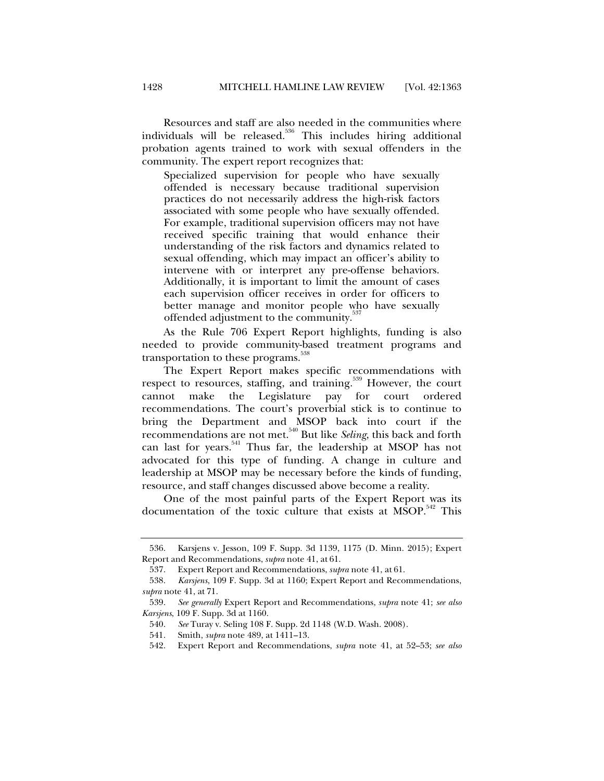Resources and staff are also needed in the communities where individuals will be released.<sup>536</sup> This includes hiring additional probation agents trained to work with sexual offenders in the community. The expert report recognizes that:

Specialized supervision for people who have sexually offended is necessary because traditional supervision practices do not necessarily address the high-risk factors associated with some people who have sexually offended. For example, traditional supervision officers may not have received specific training that would enhance their understanding of the risk factors and dynamics related to sexual offending, which may impact an officer's ability to intervene with or interpret any pre-offense behaviors. Additionally, it is important to limit the amount of cases each supervision officer receives in order for officers to better manage and monitor people who have sexually offended adjustment to the community.<sup>337</sup>

As the Rule 706 Expert Report highlights, funding is also needed to provide community-based treatment programs and transportation to these programs.<sup>538</sup>

The Expert Report makes specific recommendations with respect to resources, staffing, and training.<sup>539</sup> However, the court cannot make the Legislature pay for court ordered recommendations. The court's proverbial stick is to continue to bring the Department and MSOP back into court if the recommendations are not met.540 But like *Seling*, this back and forth can last for years.<sup>541</sup> Thus far, the leadership at MSOP has not advocated for this type of funding. A change in culture and leadership at MSOP may be necessary before the kinds of funding, resource, and staff changes discussed above become a reality.

One of the most painful parts of the Expert Report was its documentation of the toxic culture that exists at MSOP.<sup>542</sup> This

 <sup>536.</sup> Karsjens v. Jesson, 109 F. Supp. 3d 1139, 1175 (D. Minn. 2015); Expert Report and Recommendations, *supra* note 41, at 61.

 <sup>537.</sup> Expert Report and Recommendations, *supra* note 41, at 61.

 <sup>538.</sup> *Karsjens*, 109 F. Supp. 3d at 1160; Expert Report and Recommendations, *supra* note 41, at 71.

 <sup>539.</sup> *See generally* Expert Report and Recommendations, *supra* note 41; *see also Karsjens*, 109 F. Supp. 3d at 1160.

 <sup>540.</sup> *See* Turay v. Seling 108 F. Supp. 2d 1148 (W.D. Wash. 2008).

 <sup>541.</sup> Smith, *supra* note 489, at 1411–13.

 <sup>542.</sup> Expert Report and Recommendations, *supra* note 41, at 52–53; *see also*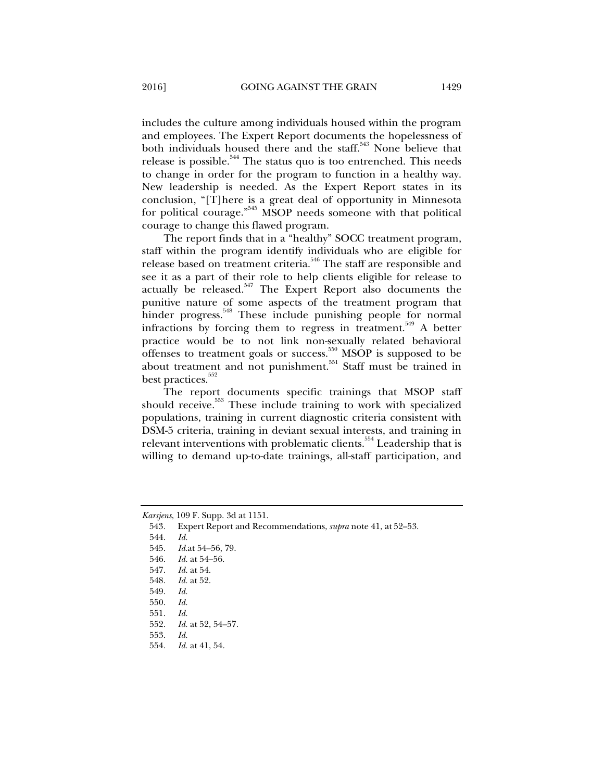includes the culture among individuals housed within the program and employees. The Expert Report documents the hopelessness of both individuals housed there and the staff. $543$  None believe that release is possible.<sup>544</sup> The status quo is too entrenched. This needs to change in order for the program to function in a healthy way. New leadership is needed. As the Expert Report states in its conclusion, "[T]here is a great deal of opportunity in Minnesota for political courage."<sup>545</sup> MSOP needs someone with that political courage to change this flawed program.

The report finds that in a "healthy" SOCC treatment program, staff within the program identify individuals who are eligible for release based on treatment criteria.<sup>546</sup> The staff are responsible and see it as a part of their role to help clients eligible for release to actually be released.<sup>547</sup> The Expert Report also documents the punitive nature of some aspects of the treatment program that hinder progress.<sup>548</sup> These include punishing people for normal infractions by forcing them to regress in treatment.<sup>549</sup> A better practice would be to not link non-sexually related behavioral offenses to treatment goals or success.<sup>550</sup> MSOP is supposed to be about treatment and not punishment.<sup>551</sup> Staff must be trained in best practices.<sup>552</sup>

The report documents specific trainings that MSOP staff should receive.<sup>553</sup> These include training to work with specialized populations, training in current diagnostic criteria consistent with DSM-5 criteria, training in deviant sexual interests, and training in relevant interventions with problematic clients.<sup>554</sup> Leadership that is willing to demand up-to-date trainings, all-staff participation, and

543*.* Expert Report and Recommendations, *supra* note 41, at 52–53.

544. *Id.*

- 545. *Id.*at 54–56, 79.
- 546. *Id.* at 54–56.
- 547. *Id.* at 54.
- 548. *Id.* at 52.
- 549. *Id.*
- 550. *Id.*
- 551. *Id.*
- 552. *Id.* at 52, 54–57.
- 553. *Id.*
- 554. *Id.* at 41, 54.

*Karsjens*, 109 F. Supp. 3d at 1151.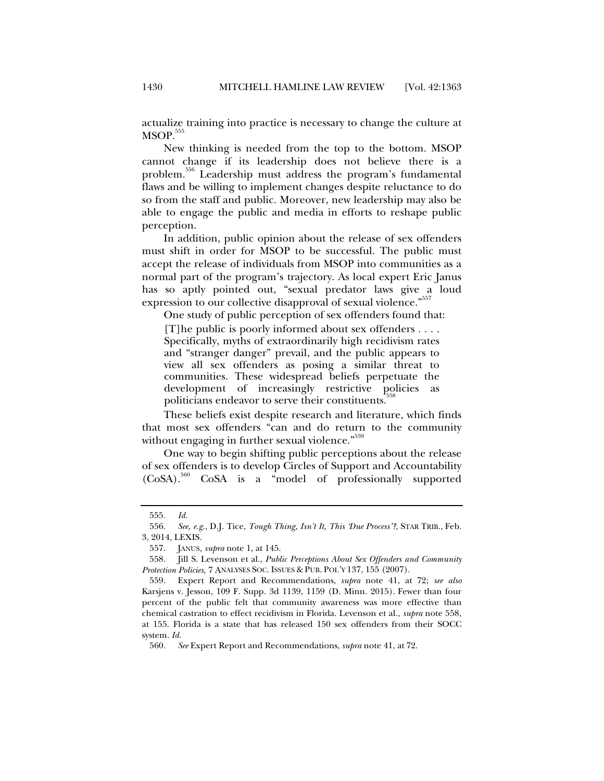actualize training into practice is necessary to change the culture at  $MSOP.<sup>555</sup>$ 

New thinking is needed from the top to the bottom. MSOP cannot change if its leadership does not believe there is a problem.556 Leadership must address the program's fundamental flaws and be willing to implement changes despite reluctance to do so from the staff and public. Moreover, new leadership may also be able to engage the public and media in efforts to reshape public perception.

In addition, public opinion about the release of sex offenders must shift in order for MSOP to be successful. The public must accept the release of individuals from MSOP into communities as a normal part of the program's trajectory. As local expert Eric Janus has so aptly pointed out, "sexual predator laws give a loud expression to our collective disapproval of sexual violence."<sup>557</sup>

One study of public perception of sex offenders found that:

[T]he public is poorly informed about sex offenders . . . . Specifically, myths of extraordinarily high recidivism rates and "stranger danger" prevail, and the public appears to view all sex offenders as posing a similar threat to communities. These widespread beliefs perpetuate the development of increasingly restrictive policies as politicians endeavor to serve their constituents.

These beliefs exist despite research and literature, which finds that most sex offenders "can and do return to the community without engaging in further sexual violence." 559

One way to begin shifting public perceptions about the release of sex offenders is to develop Circles of Support and Accountability (CoSA).560 CoSA is a "model of professionally supported

 <sup>555.</sup> *Id.*

 <sup>556.</sup> *See, e.g.*, D.J. Tice, *Tough Thing, Isn't It, This 'Due Process'?*, STAR TRIB., Feb. 3, 2014, LEXIS.

 <sup>557.</sup> JANUS*, supra* note 1, at 145.

 <sup>558.</sup> Jill S. Levenson et al., *Public Perceptions About Sex Offenders and Community Protection Policies*, 7 ANALYSES SOC. ISSUES & PUB. POL'Y 137, 155 (2007).

 <sup>559.</sup> Expert Report and Recommendations, *supra* note 41, at 72; *see also* Karsjens v. Jesson, 109 F. Supp. 3d 1139, 1159 (D. Minn. 2015). Fewer than four percent of the public felt that community awareness was more effective than chemical castration to effect recidivism in Florida. Levenson et al., *supra* note 558, at 155. Florida is a state that has released 150 sex offenders from their SOCC system. *Id.*

 <sup>560.</sup> *See* Expert Report and Recommendations, *supra* note 41, at 72.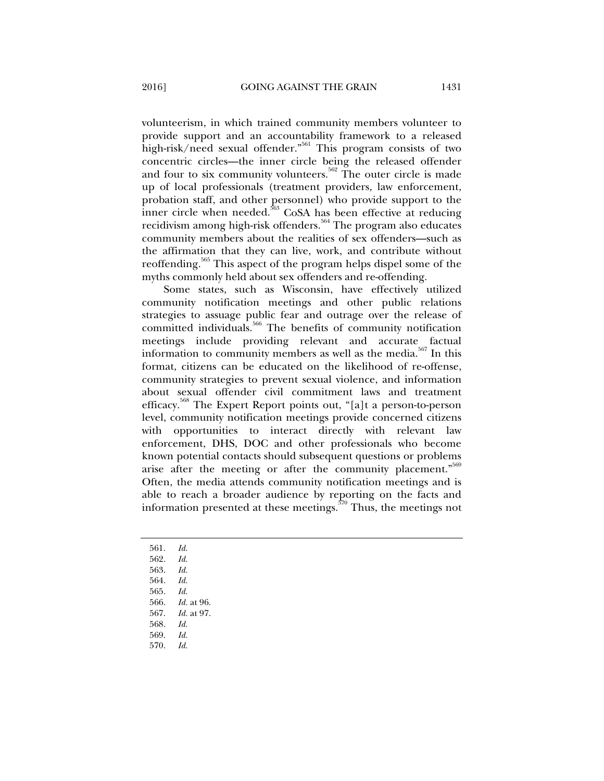volunteerism, in which trained community members volunteer to provide support and an accountability framework to a released high-risk/need sexual offender."<sup>561</sup> This program consists of two concentric circles—the inner circle being the released offender and four to six community volunteers.<sup>562</sup> The outer circle is made up of local professionals (treatment providers, law enforcement, probation staff, and other personnel) who provide support to the inner circle when needed.<sup>563</sup> CoSA has been effective at reducing recidivism among high-risk offenders.564 The program also educates community members about the realities of sex offenders—such as the affirmation that they can live, work, and contribute without reoffending.565 This aspect of the program helps dispel some of the

myths commonly held about sex offenders and re-offending. Some states, such as Wisconsin, have effectively utilized community notification meetings and other public relations strategies to assuage public fear and outrage over the release of committed individuals.<sup>566</sup> The benefits of community notification meetings include providing relevant and accurate factual information to community members as well as the media.<sup>567</sup> In this format, citizens can be educated on the likelihood of re-offense, community strategies to prevent sexual violence, and information about sexual offender civil commitment laws and treatment efficacy.568 The Expert Report points out, "[a]t a person-to-person level, community notification meetings provide concerned citizens with opportunities to interact directly with relevant law enforcement, DHS, DOC and other professionals who become known potential contacts should subsequent questions or problems arise after the meeting or after the community placement."<sup>569</sup> Often, the media attends community notification meetings and is able to reach a broader audience by reporting on the facts and information presented at these meetings. $570$  Thus, the meetings not

- 561. *Id.*
- 562. *Id.*
- 563. *Id.*
- 564. *Id.*
- 565. *Id.*
- 566. *Id.* at 96.
- 567. *Id.* at 97.
- 568. *Id.*
- 569. *Id.*
- 570. *Id.*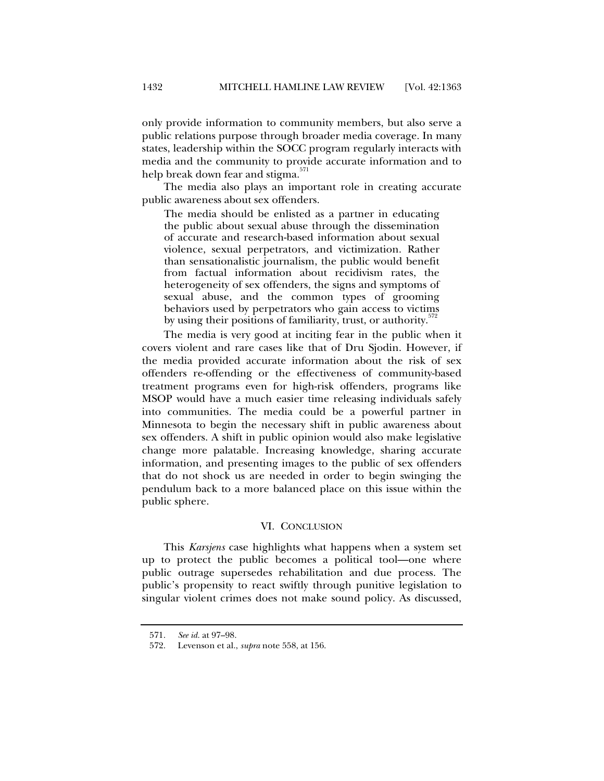only provide information to community members, but also serve a public relations purpose through broader media coverage. In many states, leadership within the SOCC program regularly interacts with media and the community to provide accurate information and to help break down fear and stigma.<sup>571</sup>

The media also plays an important role in creating accurate public awareness about sex offenders.

The media should be enlisted as a partner in educating the public about sexual abuse through the dissemination of accurate and research-based information about sexual violence, sexual perpetrators, and victimization. Rather than sensationalistic journalism, the public would benefit from factual information about recidivism rates, the heterogeneity of sex offenders, the signs and symptoms of sexual abuse, and the common types of grooming behaviors used by perpetrators who gain access to victims by using their positions of familiarity, trust, or authority.<sup>372</sup>

The media is very good at inciting fear in the public when it covers violent and rare cases like that of Dru Sjodin. However, if the media provided accurate information about the risk of sex offenders re-offending or the effectiveness of community-based treatment programs even for high-risk offenders, programs like MSOP would have a much easier time releasing individuals safely into communities. The media could be a powerful partner in Minnesota to begin the necessary shift in public awareness about sex offenders. A shift in public opinion would also make legislative change more palatable. Increasing knowledge, sharing accurate information, and presenting images to the public of sex offenders that do not shock us are needed in order to begin swinging the pendulum back to a more balanced place on this issue within the public sphere.

## VI. CONCLUSION

This *Karsjens* case highlights what happens when a system set up to protect the public becomes a political tool—one where public outrage supersedes rehabilitation and due process. The public's propensity to react swiftly through punitive legislation to singular violent crimes does not make sound policy. As discussed,

 <sup>571.</sup> *See id.* at 97–98.

 <sup>572.</sup> Levenson et al., *supra* note 558, at 156.